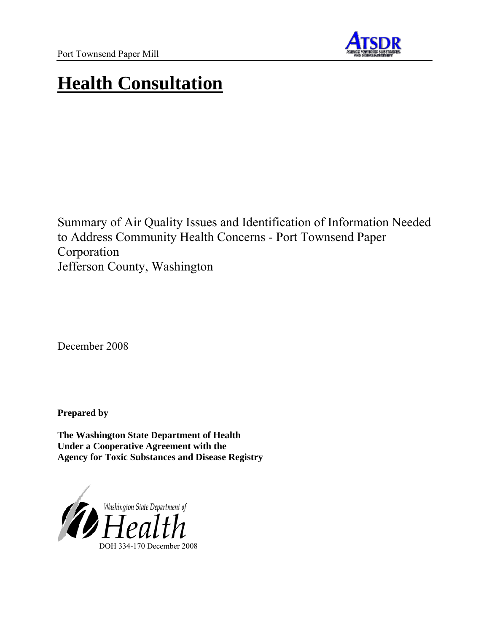

# **Health Consultation**

Summary of Air Quality Issues and Identification of Information Needed to Address Community Health Concerns - Port Townsend Paper Corporation Jefferson County, Washington

December 2008

**Prepared by** 

**The Washington State Department of Health Under a Cooperative Agreement with the Agency for Toxic Substances and Disease Registry**

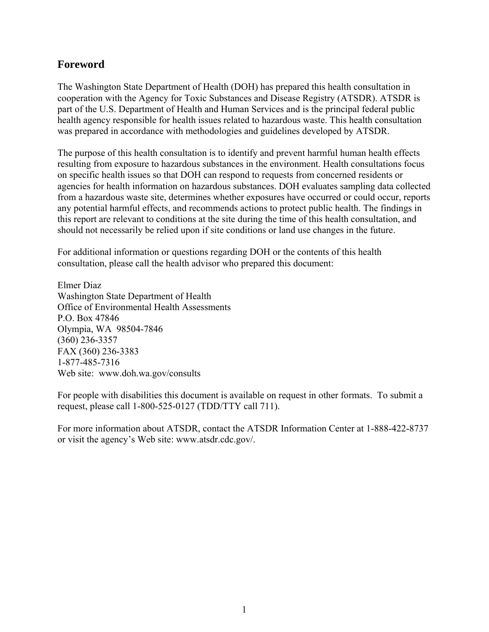### **Foreword**

The Washington State Department of Health (DOH) has prepared this health consultation in cooperation with the Agency for Toxic Substances and Disease Registry (ATSDR). ATSDR is part of the U.S. Department of Health and Human Services and is the principal federal public health agency responsible for health issues related to hazardous waste. This health consultation was prepared in accordance with methodologies and guidelines developed by ATSDR.

The purpose of this health consultation is to identify and prevent harmful human health effects resulting from exposure to hazardous substances in the environment. Health consultations focus on specific health issues so that DOH can respond to requests from concerned residents or agencies for health information on hazardous substances. DOH evaluates sampling data collected from a hazardous waste site, determines whether exposures have occurred or could occur, reports any potential harmful effects, and recommends actions to protect public health. The findings in this report are relevant to conditions at the site during the time of this health consultation, and should not necessarily be relied upon if site conditions or land use changes in the future.

For additional information or questions regarding DOH or the contents of this health consultation, please call the health advisor who prepared this document:

Elmer Diaz Washington State Department of Health Office of Environmental Health Assessments P.O. Box 47846 Olympia, WA 98504-7846 (360) 236-3357 FAX (360) 236-3383 1-877-485-7316 Web site: www.doh.wa.gov/consults

For people with disabilities this document is available on request in other formats. To submit a request, please call 1-800-525-0127 (TDD/TTY call 711).

For more information about ATSDR, contact the ATSDR Information Center at 1-888-422-8737 or visit the agency's Web site: www.atsdr.cdc.gov/.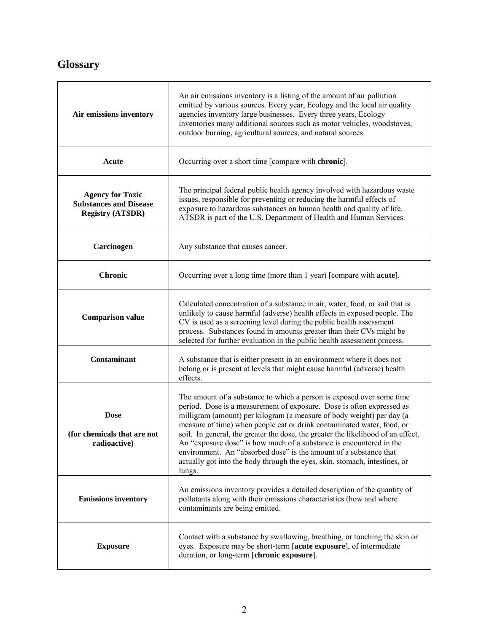# **Glossary**

| Air emissions inventory                                                             | An air emissions inventory is a listing of the amount of air pollution<br>emitted by various sources. Every year, Ecology and the local air quality<br>agencies inventory large businesses. Every three years, Ecology<br>inventories many additional sources such as motor vehicles, woodstoves,<br>outdoor burning, agricultural sources, and natural sources.                                                                                                                                                                                                                                                          |
|-------------------------------------------------------------------------------------|---------------------------------------------------------------------------------------------------------------------------------------------------------------------------------------------------------------------------------------------------------------------------------------------------------------------------------------------------------------------------------------------------------------------------------------------------------------------------------------------------------------------------------------------------------------------------------------------------------------------------|
| Acute                                                                               | Occurring over a short time [compare with chronic].                                                                                                                                                                                                                                                                                                                                                                                                                                                                                                                                                                       |
| <b>Agency for Toxic</b><br><b>Substances and Disease</b><br><b>Registry (ATSDR)</b> | The principal federal public health agency involved with hazardous waste<br>issues, responsible for preventing or reducing the harmful effects of<br>exposure to hazardous substances on human health and quality of life.<br>ATSDR is part of the U.S. Department of Health and Human Services.                                                                                                                                                                                                                                                                                                                          |
| Carcinogen                                                                          | Any substance that causes cancer.                                                                                                                                                                                                                                                                                                                                                                                                                                                                                                                                                                                         |
| <b>Chronic</b>                                                                      | Occurring over a long time (more than 1 year) [compare with <b>acute</b> ].                                                                                                                                                                                                                                                                                                                                                                                                                                                                                                                                               |
| <b>Comparison value</b>                                                             | Calculated concentration of a substance in air, water, food, or soil that is<br>unlikely to cause harmful (adverse) health effects in exposed people. The<br>CV is used as a screening level during the public health assessment<br>process. Substances found in amounts greater than their CVs might be<br>selected for further evaluation in the public health assessment process.                                                                                                                                                                                                                                      |
| Contaminant                                                                         | A substance that is either present in an environment where it does not<br>belong or is present at levels that might cause harmful (adverse) health<br>effects.                                                                                                                                                                                                                                                                                                                                                                                                                                                            |
| <b>Dose</b><br>(for chemicals that are not<br>radioactive)                          | The amount of a substance to which a person is exposed over some time<br>period. Dose is a measurement of exposure. Dose is often expressed as<br>milligram (amount) per kilogram (a measure of body weight) per day (a<br>measure of time) when people eat or drink contaminated water, food, or<br>soil. In general, the greater the dose, the greater the likelihood of an effect.<br>An "exposure dose" is how much of a substance is encountered in the<br>environment. An "absorbed dose" is the amount of a substance that<br>actually got into the body through the eyes, skin, stomach, intestines, or<br>lungs. |
| <b>Emissions inventory</b>                                                          | An emissions inventory provides a detailed description of the quantity of<br>pollutants along with their emissions characteristics (how and where<br>contaminants are being emitted.                                                                                                                                                                                                                                                                                                                                                                                                                                      |
| <b>Exposure</b>                                                                     | Contact with a substance by swallowing, breathing, or touching the skin or<br>eyes. Exposure may be short-term [acute exposure], of intermediate<br>duration, or long-term [chronic exposure].                                                                                                                                                                                                                                                                                                                                                                                                                            |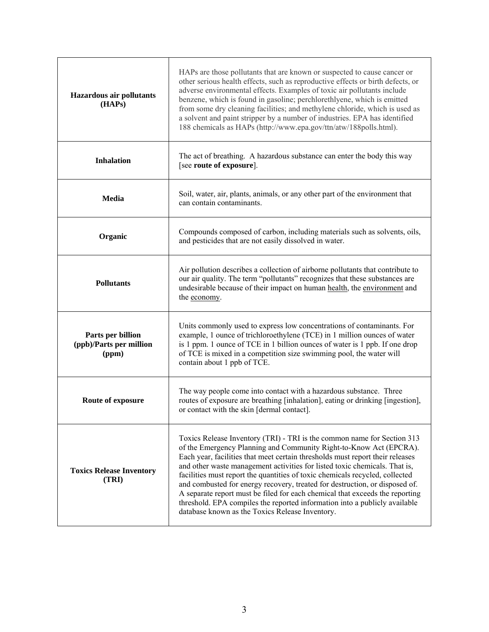| <b>Hazardous air pollutants</b><br>(HAPs)             | HAPs are those pollutants that are known or suspected to cause cancer or<br>other serious health effects, such as reproductive effects or birth defects, or<br>adverse environmental effects. Examples of toxic air pollutants include<br>benzene, which is found in gasoline; perchlorethlyene, which is emitted<br>from some dry cleaning facilities; and methylene chloride, which is used as<br>a solvent and paint stripper by a number of industries. EPA has identified<br>188 chemicals as HAPs (http://www.epa.gov/ttn/atw/188polls.html).                                                                                                                                          |
|-------------------------------------------------------|----------------------------------------------------------------------------------------------------------------------------------------------------------------------------------------------------------------------------------------------------------------------------------------------------------------------------------------------------------------------------------------------------------------------------------------------------------------------------------------------------------------------------------------------------------------------------------------------------------------------------------------------------------------------------------------------|
| <b>Inhalation</b>                                     | The act of breathing. A hazardous substance can enter the body this way<br>[see route of exposure].                                                                                                                                                                                                                                                                                                                                                                                                                                                                                                                                                                                          |
| Media                                                 | Soil, water, air, plants, animals, or any other part of the environment that<br>can contain contaminants.                                                                                                                                                                                                                                                                                                                                                                                                                                                                                                                                                                                    |
| Organic                                               | Compounds composed of carbon, including materials such as solvents, oils,<br>and pesticides that are not easily dissolved in water.                                                                                                                                                                                                                                                                                                                                                                                                                                                                                                                                                          |
| <b>Pollutants</b>                                     | Air pollution describes a collection of airborne pollutants that contribute to<br>our air quality. The term "pollutants" recognizes that these substances are<br>undesirable because of their impact on human health, the environment and<br>the <u>economy</u> .                                                                                                                                                                                                                                                                                                                                                                                                                            |
| Parts per billion<br>(ppb)/Parts per million<br>(ppm) | Units commonly used to express low concentrations of contaminants. For<br>example, 1 ounce of trichloroethylene (TCE) in 1 million ounces of water<br>is 1 ppm. 1 ounce of TCE in 1 billion ounces of water is 1 ppb. If one drop<br>of TCE is mixed in a competition size swimming pool, the water will<br>contain about 1 ppb of TCE.                                                                                                                                                                                                                                                                                                                                                      |
| Route of exposure                                     | The way people come into contact with a hazardous substance. Three<br>routes of exposure are breathing [inhalation], eating or drinking [ingestion],<br>or contact with the skin [dermal contact].                                                                                                                                                                                                                                                                                                                                                                                                                                                                                           |
| <b>Toxics Release Inventory</b><br>(TRI)              | Toxics Release Inventory (TRI) - TRI is the common name for Section 313<br>of the Emergency Planning and Community Right-to-Know Act (EPCRA).<br>Each year, facilities that meet certain thresholds must report their releases<br>and other waste management activities for listed toxic chemicals. That is,<br>facilities must report the quantities of toxic chemicals recycled, collected<br>and combusted for energy recovery, treated for destruction, or disposed of.<br>A separate report must be filed for each chemical that exceeds the reporting<br>threshold. EPA compiles the reported information into a publicly available<br>database known as the Toxics Release Inventory. |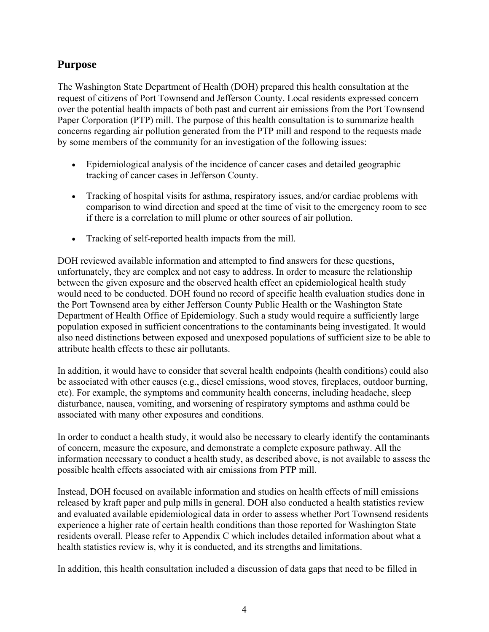# **Purpose**

The Washington State Department of Health (DOH) prepared this health consultation at the request of citizens of Port Townsend and Jefferson County. Local residents expressed concern over the potential health impacts of both past and current air emissions from the Port Townsend Paper Corporation (PTP) mill. The purpose of this health consultation is to summarize health concerns regarding air pollution generated from the PTP mill and respond to the requests made by some members of the community for an investigation of the following issues:

- Epidemiological analysis of the incidence of cancer cases and detailed geographic tracking of cancer cases in Jefferson County.
- Tracking of hospital visits for asthma, respiratory issues, and/or cardiac problems with comparison to wind direction and speed at the time of visit to the emergency room to see if there is a correlation to mill plume or other sources of air pollution.
- Tracking of self-reported health impacts from the mill.

DOH reviewed available information and attempted to find answers for these questions, unfortunately, they are complex and not easy to address. In order to measure the relationship between the given exposure and the observed health effect an epidemiological health study would need to be conducted. DOH found no record of specific health evaluation studies done in the Port Townsend area by either Jefferson County Public Health or the Washington State Department of Health Office of Epidemiology. Such a study would require a sufficiently large population exposed in sufficient concentrations to the contaminants being investigated. It would also need distinctions between exposed and unexposed populations of sufficient size to be able to attribute health effects to these air pollutants.

In addition, it would have to consider that several health endpoints (health conditions) could also be associated with other causes (e.g., diesel emissions, wood stoves, fireplaces, outdoor burning, etc). For example, the symptoms and community health concerns, including headache, sleep disturbance, nausea, vomiting, and worsening of respiratory symptoms and asthma could be associated with many other exposures and conditions.

In order to conduct a health study, it would also be necessary to clearly identify the contaminants of concern, measure the exposure, and demonstrate a complete exposure pathway. All the information necessary to conduct a health study, as described above, is not available to assess the possible health effects associated with air emissions from PTP mill.

Instead, DOH focused on available information and studies on health effects of mill emissions released by kraft paper and pulp mills in general. DOH also conducted a health statistics review and evaluated available epidemiological data in order to assess whether Port Townsend residents experience a higher rate of certain health conditions than those reported for Washington State residents overall. Please refer to Appendix C which includes detailed information about what a health statistics review is, why it is conducted, and its strengths and limitations.

In addition, this health consultation included a discussion of data gaps that need to be filled in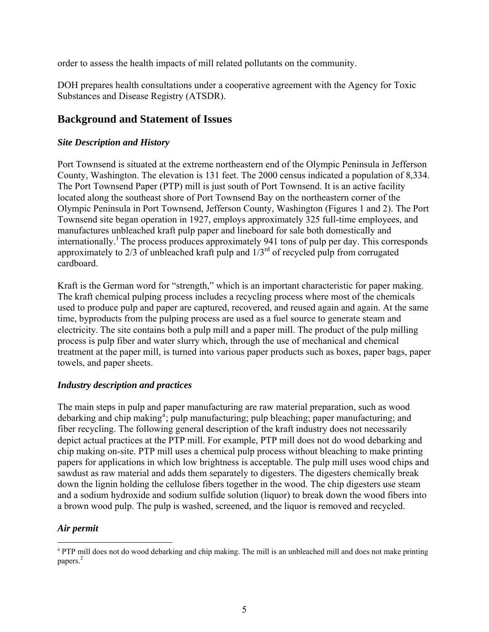order to assess the health impacts of mill related pollutants on the community.

DOH prepares health consultations under a cooperative agreement with the Agency for Toxic Substances and Disease Registry (ATSDR).

# **Background and Statement of Issues**

#### *Site Description and History*

Port Townsend is situated at the extreme northeastern end of the Olympic Peninsula in Jefferson County, Washington. The elevation is 131 feet. The 2000 census indicated a population of 8,334. The Port Townsend Paper (PTP) mill is just south of Port Townsend. It is an active facility located along the southeast shore of Port Townsend Bay on the northeastern corner of the Olympic Peninsula in Port Townsend, Jefferson County, Washington (Figures 1 and 2). The Port Townsend site began operation in 1927, employs approximately 325 full-time employees, and manufactures unbleached kraft pulp paper and lineboard for sale both domestically and internationally.<sup>1</sup> The process produces approximately 941 tons of pulp per day. This corresponds approximately to  $2/3$  of unbleached kraft pulp and  $1/3<sup>rd</sup>$  of recycled pulp from corrugated cardboard.

Kraft is the German word for "strength," which is an important characteristic for paper making. The kraft chemical pulping process includes a recycling process where most of the chemicals used to produce pulp and paper are captured, recovered, and reused again and again. At the same time, byproducts from the pulping process are used as a fuel source to generate steam and electricity. The site contains both a pulp mill and a paper mill. The product of the pulp milling process is pulp fiber and water slurry which, through the use of mechanical and chemical treatment at the paper mill, is turned into various paper products such as boxes, paper bags, paper towels, and paper sheets.

#### *Industry description and practices*

The main steps in pulp and paper manufacturing are raw material preparation, such as wood deb[a](#page-5-0)rking and chip making<sup>a</sup>; pulp manufacturing; pulp bleaching; paper manufacturing; and fiber recycling. The following general description of the kraft industry does not necessarily depict actual practices at the PTP mill. For example, PTP mill does not do wood debarking and chip making on-site. PTP mill uses a chemical pulp process without bleaching to make prin ting papers for applications in which low brightness is acceptable. The pulp mill uses wood chips and sawdust as raw material and adds them separately to digesters. The digesters chemically break down the lignin holding the cellulose fibers together in the wood. The chip digesters use steam and a sodium hydroxide and sodium sulfide solution (liquor) to break down the wood fibers into a brown wood pulp. The pulp is washed, screened, and the liquor is removed and recycled.

#### *Air permit*

 $\overline{a}$ 

<span id="page-5-0"></span><sup>&</sup>lt;sup>a</sup> PTP mill does not do wood debarking and chip making. The mill is an unbleached mill and does not make printing papers.<sup>2</sup>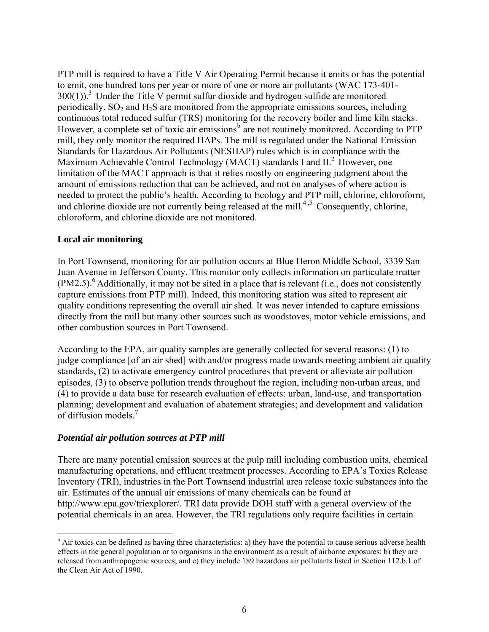PTP mill is required to have a Title V Air Operating Permit because it emits or has the potential to emit, one hundred tons per year or more of one or more air pollutants (WAC 173-401-  $300(1)$ .<sup>3</sup> Under the Title V permit sulfur dioxide and hydrogen sulfide are monitored periodically. SO<sub>2</sub> and H<sub>2</sub>S are monitored from the appropriate emissions sources, including continuous total reduced sulfur (TRS) monitoring for the recovery boiler and lime kiln stacks. However, a complete set of toxic air emissions<sup>[b](#page-6-0)</sup> are not routinely monitored. According to PTP mill, they only monitor the required HAPs. The mill is regulated under the National Emission Standards for Hazardous Air Pollutants (NESHAP) rules which is in compliance with the Maximum Achievable Control Technology (MACT) standards I and II.<sup>2</sup> However, one limitation of the MACT approach is that it relies mostly on engineering judgment about the amount of emissions reduction that can be achieved, and not on analyses of where action is needed to protect the public's health. According to Ecology and PTP mill, chlorine, chloroform, and chlorine dioxide are not currently being released at the mill.<sup>4,5</sup> Consequently, chlorine, chloroform, and chlorine dioxide are not monitored.

#### **Local air monitoring**

 $\overline{a}$ 

In Port Townsend, monitoring for air pollution occurs at Blue Heron Middle School, 3339 San Juan Avenue in Jefferson County. This monitor only collects information on particulate matter  $(PM2.5)$ .<sup>6</sup> Additionally, it may not be sited in a place that is relevant (i.e., does not consistently capture emissions from PTP mill). Indeed, this monitoring station was sited to represent air quality conditions representing the overall air shed. It was never intended to capture emissions directly from the mill but many other sources such as woodstoves, motor vehicle emissions, and other combustion sources in Port Townsend.

According to the EPA, air quality samples are generally collected for several reasons: (1) to judge compliance [of an air shed] with and/or progress made towards meeting ambient air quality standards, (2) to activate emergency control procedures that prevent or alleviate air pollution episodes, (3) to observe pollution trends throughout the region, including non-urban areas, and (4) to provide a data base for research evaluation of effects: urban, land-use, and transportation planning; development and evaluation of abatement strategies; and development and validation of diffusion models.<sup>7</sup>

#### *Potential air pollution sources at PTP mill*

There are many potential emission sources at the pulp mill including combustion units, chemical manufacturing operations, and effluent treatment processes. According to EPA's Toxics Release Inventory (TRI), industries in the Port Townsend industrial area release toxic substances into the air. Estimates of the annual air emissions of many chemicals can be found at http://www.epa.gov/triexplorer/. TRI data provide DOH staff with a general overview of the potential chemicals in an area. However, the TRI regulations only require facilities in certain

<span id="page-6-0"></span><sup>&</sup>lt;sup>b</sup> Air toxics can be defined as having three characteristics: a) they have the potential to cause serious adverse health effects in the general population or to organisms in the environment as a result of airborne exposures; b) they are released from anthropogenic sources; and c) they include 189 hazardous air pollutants listed in Section 112.b.1 of the Clean Air Act of 1990.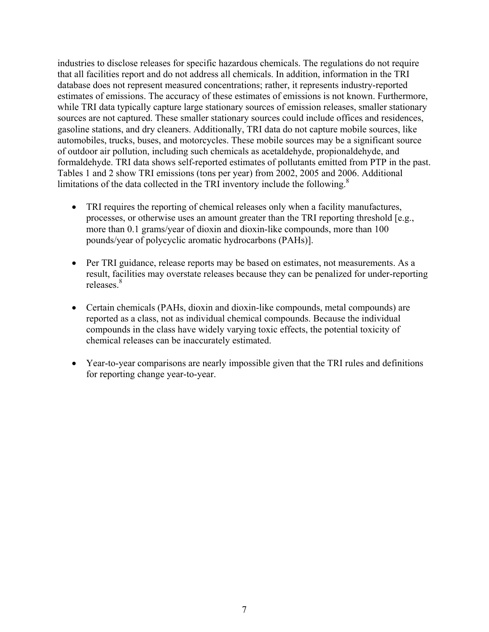industries to disclose releases for specific hazardous chemicals. The regulations do not require that all facilities report and do not address all chemicals. In addition, information in the TRI database does not represent measured concentrations; rather, it represents industry-reported estimates of emissions. The accuracy of these estimates of emissions is not known. Furthermore, while TRI data typically capture large stationary sources of emission releases, smaller stationary sources are not captured. These smaller stationary sources could include offices and residences, gasoline stations, and dry cleaners. Additionally, TRI data do not capture mobile sources, like automobiles, trucks, buses, and motorcycles. These mobile sources may be a significant source of outdoor air pollution, including such chemicals as acetaldehyde, propionaldehyde, and formaldehyde. TRI data shows self-reported estimates of pollutants emitted from PTP in the past. Tables 1 and 2 show TRI emissions (tons per year) from 2002, 2005 and 2006. Additional limitations of the data collected in the TRI inventory include the following. $8$ 

- TRI requires the reporting of chemical releases only when a facility manufactures, processes, or otherwise uses an amount greater than the TRI reporting threshold [e.g., more than 0.1 grams/year of dioxin and dioxin-like compounds, more than 100 pounds/year of polycyclic aromatic hydrocarbons (PAHs)].
- Per TRI guidance, release reports may be based on estimates, not measurements. As a result, facilities may overstate releases because they can be penalized for under-reporting releases<sup>8</sup>
- Certain chemicals (PAHs, dioxin and dioxin-like compounds, metal compounds) are reported as a class, not as individual chemical compounds. Because the individual compounds in the class have widely varying toxic effects, the potential toxicity of chemical releases can be inaccurately estimated.
- Year-to-year comparisons are nearly impossible given that the TRI rules and definitions for reporting change year-to-year.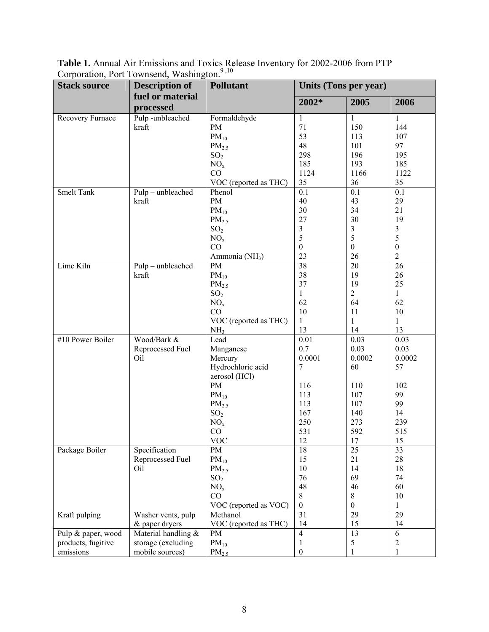**Stack source** Description of Pollutant Units (Tons per year) **fuel or material processed Pollutant 2002\* 2005 2006**  Recovery Furnace Pulp -unbleached kraft Formaldehyde PM  $PM_{10}$  $PM<sub>2.5</sub>$  $SO<sub>2</sub>$  $NO<sub>x</sub>$ CO VOC (reported as THC) 1 71 53 48 298 185 1124 35 1 150 113 101 196 193 1166 36 1 144 107 97 195 185 1122 35 Smelt Tank Pulp – unbleached kraft Phenol PM  $PM_{10}$  $PM<sub>2.5</sub>$  $SO<sub>2</sub>$  $NO_{x}$ CO Ammonia (NH<sub>3</sub>) 0.1 40 30 27 3 5 0 23 0.1 43 34 30 3 5 0 26  $\overline{0.1}$ 29 21 19 3 5 0 2 Lime Kiln Pulp – unbleached kraft PM  $PM_{10}$  $PM<sub>2.5</sub>$  $SO<sub>2</sub>$  $NO<sub>x</sub>$ CO VOC (reported as THC)  $NH<sub>3</sub>$ 38 38 37 1 62 10 1 13 20 19 19 2 64 11 1 14 26 26 25 1 62 10 1 13 #10 Power Boiler Wood/Bark & Reprocessed Fuel Oil Lead Manganese **Mercury** Hydrochloric acid aerosol (HCl) PM  $PM_{10}$  $PM<sub>2.5</sub>$  $SO<sub>2</sub>$  $NO<sub>x</sub>$ CO VOC 0.01 0.7 0.0001 7 116 113 113 167 250 531 12 0.03 0.03 0.0002 60 110 107 107 140 273 592 17 0.03 0.03 0.0002 57 102 99 99 14 239 515 15 Package Boiler Specification Reprocessed Fuel Oil PM  $PM_{10}$  $PM<sub>2.5</sub>$  $SO<sub>2</sub>$  $NO<sub>x</sub>$ CO VOC (reported as VOC) 18 15 10 76 48 8 0 25 21 14 69 46 8 0 33 28 18 74 60 10 1 Kraft pulping Washer vents, pulp & paper dryers Methanol VOC (reported as THC) 31 14 29 15 29 14 Pulp & paper, wood products, fugitive emissions Material handling & storage (excluding mobile sources) PM  $PM_{10}$  $PM<sub>2.5</sub>$ 4 1 0 13 5 1 6 2 1

**Table 1.** Annual Air Emissions and Toxics Release Inventory for 2002-2006 from PTP Corporation, Port Townsend, Washington.<sup>9,10</sup>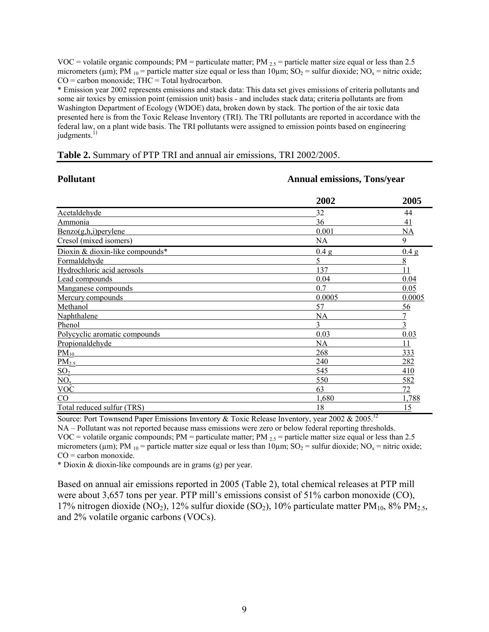VOC = volatile organic compounds; PM = particulate matter; PM  $_{2.5}$  = particle matter size equal or less than 2.5 micrometers ( $\mu$ m); PM <sub>10</sub> = particle matter size equal or less than 10 $\mu$ m; SO<sub>2</sub> = sulfur dioxide; NO<sub>x</sub> = nitric oxide;  $CO =$  carbon monoxide; THC = Total hydrocarbon.

\* Emission year 2002 represents emissions and stack data: This data set gives emissions of criteria pollutants and some air toxics by emission point (emission unit) basis - and includes stack data; criteria pollutants are from Washington Department of Ecology (WDOE) data, broken down by stack. The portion of the air toxic data presented here is from the Toxic Release Inventory (TRI). The TRI pollutants are reported in accordance with the federal law, on a plant wide basis. The TRI pollutants were assigned to emission points based on engineering judgments. $<sup>1</sup>$ </sup>

**Pollutant Annual emissions, Tons/year** 

|  |  |  | <b>Table 2.</b> Summary of PTP TRI and annual air emissions, TRI 2002/2005. |
|--|--|--|-----------------------------------------------------------------------------|
|  |  |  |                                                                             |

| 1 vuutant                          | Allituai Chiissiviis, Tuiis/Veal |        |  |  |
|------------------------------------|----------------------------------|--------|--|--|
|                                    | 2002                             | 2005   |  |  |
| Acetaldehyde                       | 32                               | 44     |  |  |
| Ammonia                            | 36                               | 41     |  |  |
| $Benzo(g,h,i)$ per ylene           | 0.001                            | NA     |  |  |
| Cresol (mixed isomers)             | NA                               | 9      |  |  |
| Dioxin & dioxin-like compounds*    | 0.4 g                            | 0.4 g  |  |  |
| Formaldehyde                       | 5                                | 8      |  |  |
| Hydrochloric acid aerosols         | 137                              | 11     |  |  |
| Lead compounds                     | 0.04                             | 0.04   |  |  |
| Manganese compounds                | 0.7                              | 0.05   |  |  |
| Mercury compounds                  | 0.0005                           | 0.0005 |  |  |
| Methanol                           | 57                               | 56     |  |  |
| Naphthalene                        | NA                               | 7      |  |  |
| Phenol                             | 3                                | 3      |  |  |
| Polycyclic aromatic compounds      | 0.03                             | 0.03   |  |  |
| Propionaldehyde                    | NA                               | 11     |  |  |
| $\underline{PM}_{10}$              | 268                              | 333    |  |  |
| $\frac{\overline{PM_{2.5}}}{SO_2}$ | 240                              | 282    |  |  |
|                                    | 545                              | 410    |  |  |
| $NO_x$                             | 550                              | 582    |  |  |
| <b>VOC</b>                         | 63                               | 72     |  |  |
| $\rm CO$                           | 1,680                            | 1,788  |  |  |
| Total reduced sulfur (TRS)         | 18                               | 15     |  |  |

Source: Port Townsend Paper Emissions Inventory & Toxic Release Inventory, year 2002 & 2005.<sup>12</sup>

NA – Pollutant was not reported because mass emissions were zero or below federal reporting thresholds. VOC = volatile organic compounds; PM = particulate matter; PM  $_{2.5}$  = particle matter size equal or less than 2.5 micrometers ( $\mu$ m); PM <sub>10</sub> = particle matter size equal or less than 10 $\mu$ m; SO<sub>2</sub> = sulfur dioxide; NO<sub>x</sub> = nitric oxide; CO = carbon monoxide.

\* Dioxin & dioxin-like compounds are in grams (g) per year.

Based on annual air emissions reported in 2005 (Table 2), total chemical releases at PTP mill were about 3,657 tons per year. PTP mill's emissions consist of 51% carbon monoxide (CO), 17% nitrogen dioxide (NO<sub>2</sub>), 12% sulfur dioxide (SO<sub>2</sub>), 10% particulate matter PM<sub>10</sub>, 8% PM<sub>2.5</sub>, and 2% volatile organic carbons (VOCs).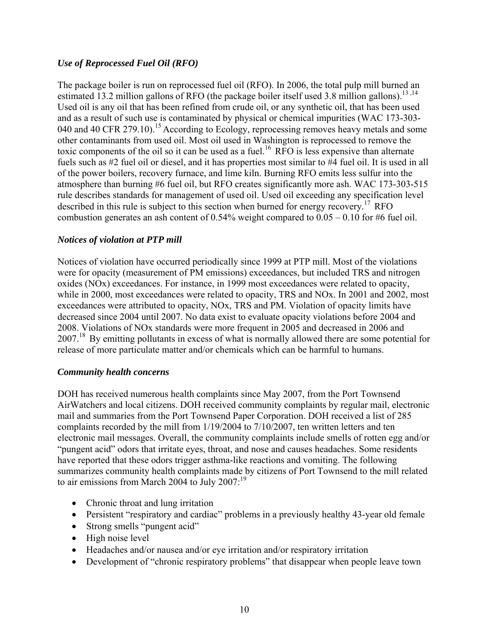#### *Use of Reprocessed Fuel Oil (RFO)*

The package boiler is run on reprocessed fuel oil (RFO). In 2006, the total pulp mill burned an estimated 13.2 million gallons of RFO (the package boiler itself used 3.8 million gallons).<sup>13,14</sup> Used oil is any oil that has been refined from crude oil, or any synthetic oil, that has been used and as a result of such use is contaminated by physical or chemical impurities (WAC 173-303- 040 and 40 CFR 279.10).<sup>15</sup> According to Ecology, reprocessing removes heavy metals and some other contaminants from used oil. Most oil used in Washington is reprocessed to remove the toxic components of the oil so it can be used as a fuel.<sup>16</sup> RFO is less expensive than alternate fuels such as #2 fuel oil or diesel, and it has properties most similar to #4 fuel oil. It is used in all of the power boilers, recovery furnace, and lime kiln. Burning RFO emits less sulfur into the atmosphere than burning #6 fuel oil, but RFO creates significantly more ash. WAC 173-303-515 rule describes standards for management of used oil. Used oil exceeding any specification level described in this rule is subject to this section when burned for energy recovery.<sup>17</sup> RFO combustion generates an ash content of  $0.54\%$  weight compared to  $0.05 - 0.10$  for #6 fuel oil.

#### *Notices of violation at PTP mill*

Notices of violation have occurred periodically since 1999 at PTP mill. Most of the violations were for opacity (measurement of PM emissions) exceedances, but included TRS and nitrogen oxides (NOx) exceedances. For instance, in 1999 most exceedances were related to opacity, while in 2000, most exceedances were related to opacity, TRS and NOx. In 2001 and 2002, most exceedances were attributed to opacity, NOx, TRS and PM. Violation of opacity limits have decreased since 2004 until 2007. No data exist to evaluate opacity violations before 2004 and 2008. Violations of NOx standards were more frequent in 2005 and decreased in 2006 and 2007.<sup>18</sup> By emitting pollutants in excess of what is normally allowed there are some potential for release of more particulate matter and/or chemicals which can be harmful to humans.

#### *Community health concerns*

DOH has received numerous health complaints since May 2007, from the Port Townsend AirWatchers and local citizens. DOH received community complaints by regular mail, electronic mail and summaries from the Port Townsend Paper Corporation. DOH received a list of 285 complaints recorded by the mill from 1/19/2004 to 7/10/2007, ten written letters and ten electronic mail messages. Overall, the community complaints include smells of rotten egg and/or "pungent acid" odors that irritate eyes, throat, and nose and causes headaches. Some residents have reported that these odors trigger asthma-like reactions and vomiting. The following summarizes community health complaints made by citizens of Port Townsend to the mill related to air emissions from March 2004 to July 2007:<sup>19</sup>

- Chronic throat and lung irritation
- Persistent "respiratory and cardiac" problems in a previously healthy 43-year old female
- Strong smells "pungent acid"
- High noise level
- Headaches and/or nausea and/or eye irritation and/or respiratory irritation
- Development of "chronic respiratory problems" that disappear when people leave town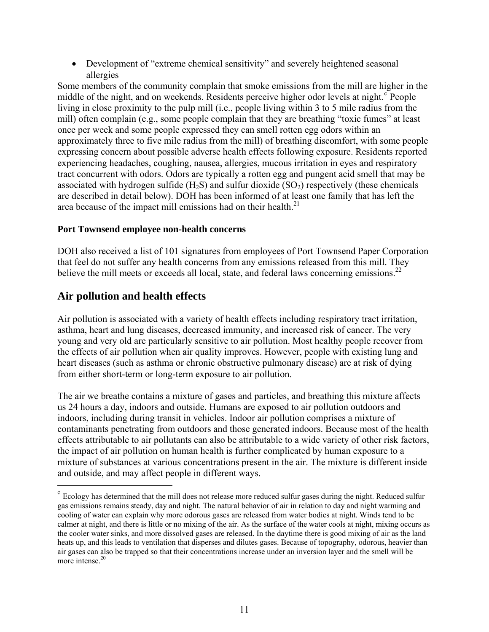• Development of "extreme chemical sensitivity" and severely heightened seasonal allergies

Some members of the community complain that smoke emissions from the mill are higher in the middle of the night, and on weekends. Residents per[c](#page-11-0)eive higher odor levels at night.<sup>c</sup> People living in close proximity to the pulp mill (i.e., people living within 3 to 5 mile radius from the mill) often complain (e.g., some people complain that they are breathing "toxic fumes" at least once per week and some people expressed they can smell rotten egg odors within an approximately three to five mile radius from the mill) of breathing discomfort, with some people expressing concern about possible adverse health effects following exposure. Residents reported experiencing headaches, coughing, nausea, allergies, mucous irritation in eyes and respiratory tract concurrent with odors. Odors are typically a rotten egg and pungent acid smell that may be associated with hydrogen sulfide  $(H_2S)$  and sulfur dioxide  $(SO_2)$  respectively (these chemicals are described in detail below). DOH has been informed of at least one family that has left the area because of the impact mill emissions had on their health.<sup>21</sup>

#### **Port Townsend employee non-health concerns**

DOH also received a list of 101 signatures from employees of Port Townsend Paper Corporation that feel do not suffer any health concerns from any emissions released from this mill. They believe the mill meets or exceeds all local, state, and federal laws concerning emissions.<sup>22</sup>

# **Air pollution and health effects**

 $\overline{a}$ 

Air pollution is associated with a variety of health effects including respiratory tract irritation, asthma, heart and lung diseases, decreased immunity, and increased risk of cancer. The very young and very old are particularly sensitive to air pollution. Most healthy people recover from the effects of air pollution when air quality improves. However, people with existing lung and heart diseases (such as asthma or chronic obstructive pulmonary disease) are at risk of dying from either short-term or long-term exposure to air pollution.

The air we breathe contains a mixture of gases and particles, and breathing this mixture affects us 24 hours a day, indoors and outside. Humans are exposed to air pollution outdoors and indoors, including during transit in vehicles. Indoor air pollution comprises a mixture of contaminants penetrating from outdoors and those generated indoors. Because most of the health effects attributable to air pollutants can also be attributable to a wide variety of other risk factors, the impact of air pollution on human health is further complicated by human exposure to a mixture of substances at various concentrations present in the air. The mixture is different inside and outside, and may affect people in different ways.

<span id="page-11-0"></span><sup>&</sup>lt;sup>c</sup> Ecology has determined that the mill does not release more reduced sulfur gases during the night. Reduced sulfur gas emissions remains steady, day and night. The natural behavior of air in relation to day and night warming and cooling of water can explain why more odorous gases are released from water bodies at night. Winds tend to be calmer at night, and there is little or no mixing of the air. As the surface of the water cools at night, mixing occurs as the cooler water sinks, and more dissolved gases are released. In the daytime there is good mixing of air as the land heats up, and this leads to ventilation that disperses and dilutes gases. Because of topography, odorous, heavier than air gases can also be trapped so that their concentrations increase under an inversion layer and the smell will be more intense.<sup>20</sup>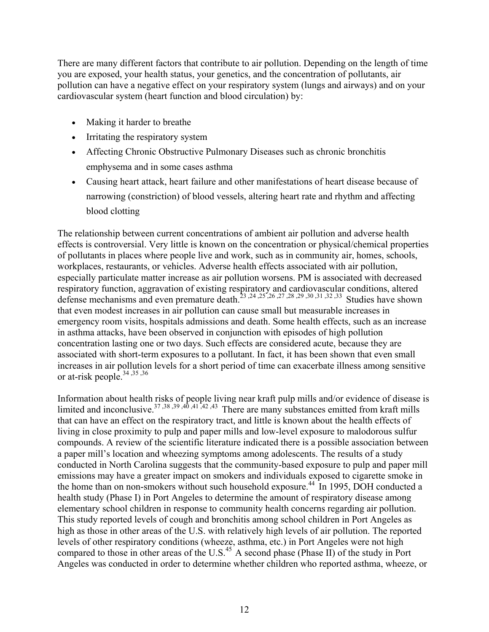There are many different factors that contribute to air pollution. Depending on the length of time you are exposed, your health status, your genetics, and the concentration of pollutants, air pollution can have a negative effect on your respiratory system (lungs and airways) and on your cardiovascular system (heart function and blood circulation) by:

- Making it harder to breathe
- Irritating the respiratory system
- Affecting Chronic Obstructive Pulmonary Diseases such as chronic bronchitis emphysema and in some cases asthma
- Causing heart attack, heart failure and other manifestations of heart disease because of narrowing (constriction) of blood vessels, altering heart rate and rhythm and affecting blood clotting

The relationship between current concentrations of ambient air pollution and adverse health effects is controversial. Very little is known on the concentration or physical/chemical properties of pollutants in places where people live and work, such as in community air, homes, schools, workplaces, restaurants, or vehicles. Adverse health effects associated with air pollution, especially particulate matter increase as air pollution worsens. PM is associated with decreased respiratory function, aggravation of existing respiratory and cardiovascular conditions, altered defense mechanisms and even premature death.<sup>23, 24, 25, 26, 27, 28, 29, 30, 31, 32, 33</sup> Studies have shown that even modest increases in air pollution can cause small but measurable increases in emergency room visits, hospitals admissions and death. Some health effects, such as an increase in asthma attacks, have been observed in conjunction with episodes of high pollution concentration lasting one or two days. Such effects are considered acute, because they are associated with short-term exposures to a pollutant. In fact, it has been shown that even small increases in air pollution levels for a short period of time can exacerbate illness among sensitive or at-risk people. $34,35,36$ 

Information about health risks of people living near kraft pulp mills and/or evidence of disease is limited and inconclusive.<sup>37,38,39,40,41,42,43</sup> There are many substances emitted from kraft mills that can have an effect on the respiratory tract, and little is known about the health effects of living in close proximity to pulp and paper mills and low-level exposure to malodorous sulfur compounds. A review of the scientific literature indicated there is a possible association between a paper mill's location and wheezing symptoms among adolescents. The results of a study conducted in North Carolina suggests that the community-based exposure to pulp and paper mill emissions may have a greater impact on smokers and individuals exposed to cigarette smoke in the home than on non-smokers without such household exposure.<sup>44</sup> In 1995, DOH conducted a health study (Phase I) in Port Angeles to determine the amount of respiratory disease among elementary school children in response to community health concerns regarding air pollution. This study reported levels of cough and bronchitis among school children in Port Angeles as high as those in other areas of the U.S. with relatively high levels of air pollution. The reported levels of other respiratory conditions (wheeze, asthma, etc.) in Port Angeles were not high compared to those in other areas of the U.S.<sup>45</sup> A second phase (Phase II) of the study in Port Angeles was conducted in order to determine whether children who reported asthma, wheeze, or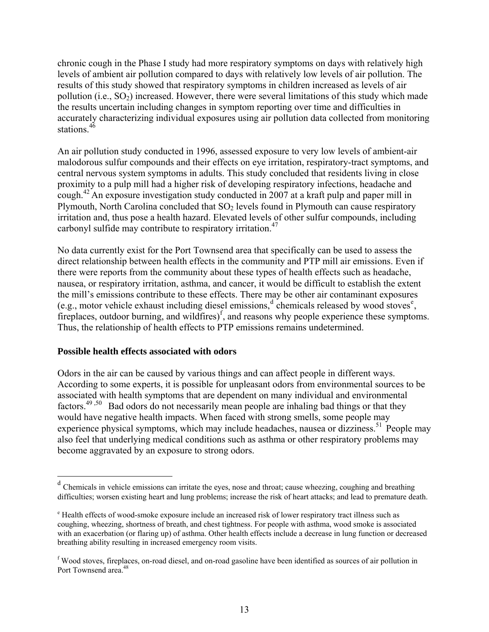chronic cough in the Phase I study had more respiratory symptoms on days with relatively high levels of ambient air pollution compared to days with relatively low levels of air pollution. The results of this study showed that respiratory symptoms in children increased as levels of air pollution (i.e.,  $SO_2$ ) increased. However, there were several limitations of this study which made the results uncertain including changes in symptom reporting over time and difficulties in accurately characterizing individual exposures using air pollution data collected from monitoring stations  $46$ 

An air pollution study conducted in 1996, assessed exposure to very low levels of ambient-air malodorous sulfur compounds and their effects on eye irritation, respiratory-tract symptoms, and central nervous system symptoms in adults. This study concluded that residents living in close proximity to a pulp mill had a higher risk of developing respiratory infections, headache and cough.<sup>42</sup> An exposure investigation study conducted in 2007 at a kraft pulp and paper mill in Plymouth, North Carolina concluded that  $SO<sub>2</sub>$  levels found in Plymouth can cause respiratory irritation and, thus pose a health hazard. Elevated levels of other sulfur compounds, including carbonyl sulfide may contribute to respiratory irritation.47

No data currently exist for the Port Townsend area that specifically can be used to assess the direct relationship between health effects in the community and PTP mill air emissions. Even if there were reports from the community about these types of health effects such as headache, nausea, or respiratory irritation, asthma, and cancer, it would be difficult to establish the extent the mill's emissions contribute to these effects. There may be other air contaminant exposures (e.g., motor vehicle exhaust inclu[d](#page-13-0)ing di[e](#page-13-1)sel emissions,  $d$  chemicals released by wood stoves<sup>e</sup>, [f](#page-13-2)ireplaces, outdoor burning, and wildfires)<sup> $f$ </sup>, and reasons why people experience these symptoms. Thus, the relationship of health effects to PTP emissions remains undetermined.

#### **Possible health effects associated with odors**

 $\overline{a}$ 

Odors in the air can be caused by various things and can affect people in different ways. According to some experts, it is possible for unpleasant odors from environmental sources to be associated with health symptoms that are dependent on many individual and environmental factors.<sup>49,50</sup> Bad odors do not necessarily mean people are inhaling bad things or that they would have negative health impacts. When faced with strong smells, some people may experience physical symptoms, which may include headaches, nausea or dizziness.<sup>51</sup> People may also feel that underlying medical conditions such as asthma or other respiratory problems may become aggravated by an exposure to strong odors.

<span id="page-13-0"></span><sup>&</sup>lt;sup>d</sup> Chemicals in vehicle emissions can irritate the eyes, nose and throat; cause wheezing, coughing and breathing difficulties; worsen existing heart and lung problems; increase the risk of heart attacks; and lead to premature death.

<span id="page-13-1"></span><sup>&</sup>lt;sup>e</sup> Health effects of wood-smoke exposure include an increased risk of lower respiratory tract illness such as coughing, wheezing, shortness of breath, and chest tightness. For people with asthma, wood smoke is associated with an exacerbation (or flaring up) of asthma. Other health effects include a decrease in lung function or decreased breathing ability resulting in increased emergency room visits.

<span id="page-13-2"></span><sup>&</sup>lt;sup>f</sup> Wood stoves, fireplaces, on-road diesel, and on-road gasoline have been identified as sources of air pollution in Port Townsend area.<sup>48</sup>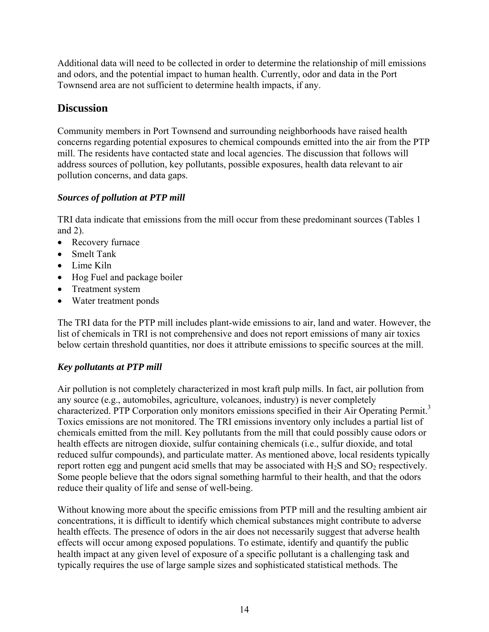Additional data will need to be collected in order to determine the relationship of mill emissions and odors, and the potential impact to human health. Currently, odor and data in the Port Townsend area are not sufficient to determine health impacts, if any.

# **Discussion**

Community members in Port Townsend and surrounding neighborhoods have raised health concerns regarding potential exposures to chemical compounds emitted into the air from the PTP mill. The residents have contacted state and local agencies. The discussion that follows will address sources of pollution, key pollutants, possible exposures, health data relevant to air pollution concerns, and data gaps.

# *Sources of pollution at PTP mill*

TRI data indicate that emissions from the mill occur from these predominant sources (Tables 1 and 2).

- Recovery furnace
- Smelt Tank
- Lime Kiln
- Hog Fuel and package boiler
- Treatment system
- Water treatment ponds

The TRI data for the PTP mill includes plant-wide emissions to air, land and water. However, the list of chemicals in TRI is not comprehensive and does not report emissions of many air toxics below certain threshold quantities, nor does it attribute emissions to specific sources at the mill.

# *Key pollutants at PTP mill*

Air pollution is not completely characterized in most kraft pulp mills. In fact, air pollution from any source (e.g., automobiles, agriculture, volcanoes, industry) is never completely characterized. PTP Corporation only monitors emissions specified in their Air Operating Permit.<sup>3</sup> Toxics emissions are not monitored. The TRI emissions inventory only includes a partial list of chemicals emitted from the mill. Key pollutants from the mill that could possibly cause odors or health effects are nitrogen dioxide, sulfur containing chemicals (i.e., sulfur dioxide, and total reduced sulfur compounds), and particulate matter. As mentioned above, local residents typically report rotten egg and pungent acid smells that may be associated with  $H_2S$  and  $SO_2$  respectively. Some people believe that the odors signal something harmful to their health, and that the odors reduce their quality of life and sense of well-being.

Without knowing more about the specific emissions from PTP mill and the resulting ambient air concentrations, it is difficult to identify which chemical substances might contribute to adverse health effects. The presence of odors in the air does not necessarily suggest that adverse health effects will occur among exposed populations. To estimate, identify and quantify the public health impact at any given level of exposure of a specific pollutant is a challenging task and typically requires the use of large sample sizes and sophisticated statistical methods. The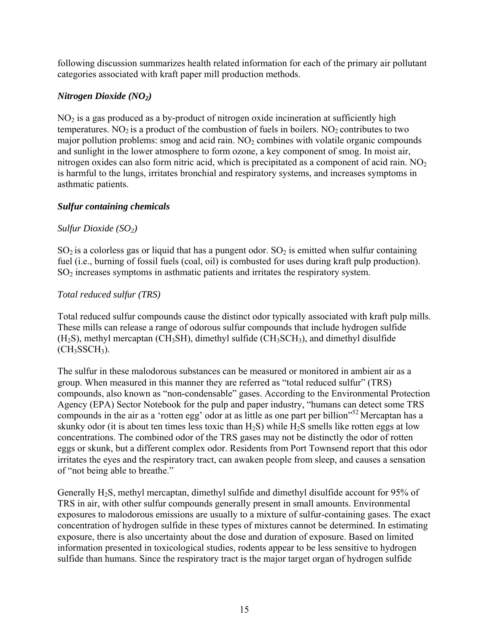following discussion summarizes health related information for each of the primary air pollutant categories associated with kraft paper mill production methods.

#### *Nitrogen Dioxide (NO2)*

 $NO<sub>2</sub>$  is a gas produced as a by-product of nitrogen oxide incineration at sufficiently high temperatures. NO<sub>2</sub> is a product of the combustion of fuels in boilers. NO<sub>2</sub> contributes to two major pollution problems: smog and acid rain.  $NO<sub>2</sub>$  combines with volatile organic compounds and sunlight in the lower atmosphere to form ozone, a key component of smog. In moist air, nitrogen oxides can also form nitric acid, which is precipitated as a component of acid rain.  $NO<sub>2</sub>$ is harmful to the lungs, irritates bronchial and respiratory systems, and increases symptoms in asthmatic patients.

#### *Sulfur containing chemicals*

#### *Sulfur Dioxide* (*SO<sub>2</sub>*)

 $SO<sub>2</sub>$  is a colorless gas or liquid that has a pungent odor.  $SO<sub>2</sub>$  is emitted when sulfur containing fuel (i.e., burning of fossil fuels (coal, oil) is combusted for uses during kraft pulp production). SO2 increases symptoms in asthmatic patients and irritates the respiratory system.

#### *Total reduced sulfur (TRS)*

Total reduced sulfur compounds cause the distinct odor typically associated with kraft pulp mills. These mills can release a range of odorous sulfur compounds that include hydrogen sulfide  $(H<sub>2</sub>S)$ , methyl mercaptan (CH<sub>3</sub>SH), dimethyl sulfide (CH<sub>3</sub>SCH<sub>3</sub>), and dimethyl disulfide  $(CH<sub>3</sub>SSCH<sub>3</sub>)$ .

The sulfur in these malodorous substances can be measured or monitored in ambient air as a group. When measured in this manner they are referred as "total reduced sulfur" (TRS) compounds, also known as "non-condensable" gases. According to the Environmental Protection Agency (EPA) Sector Notebook for the pulp and paper industry, "humans can detect some TRS compounds in the air as a 'rotten egg' odor at as little as one part per billion"<sup>52</sup> Mercaptan has a skunky odor (it is about ten times less toxic than  $H_2S$ ) while  $H_2S$  smells like rotten eggs at low concentrations. The combined odor of the TRS gases may not be distinctly the odor of rotten eggs or skunk, but a different complex odor. Residents from Port Townsend report that this odor irritates the eyes and the respiratory tract, can awaken people from sleep, and causes a sensation of "not being able to breathe."

Generally H2S, methyl mercaptan, dimethyl sulfide and dimethyl disulfide account for 95% of TRS in air, with other sulfur compounds generally present in small amounts. Environmental exposures to malodorous emissions are usually to a mixture of sulfur-containing gases. The exact concentration of hydrogen sulfide in these types of mixtures cannot be determined. In estimating exposure, there is also uncertainty about the dose and duration of exposure. Based on limited information presented in toxicological studies, rodents appear to be less sensitive to hydrogen sulfide than humans. Since the respiratory tract is the major target organ of hydrogen sulfide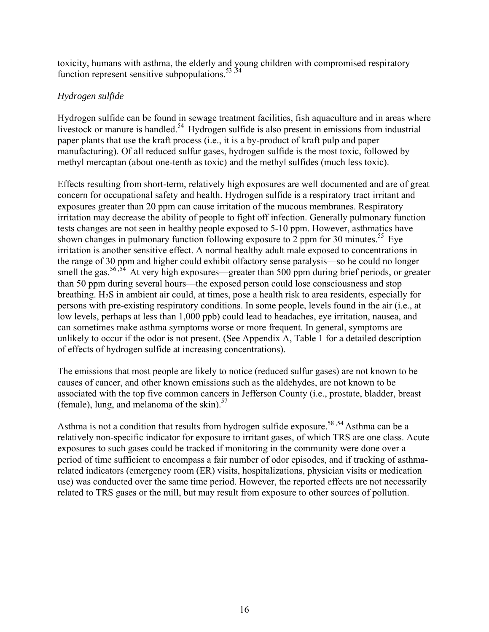toxicity, humans with asthma, the elderly and young children with compromised respiratory function represent sensitive subpopulations.  $53,54$ 

#### *Hydrogen sulfide*

Hydrogen sulfide can be found in sewage treatment facilities, fish aquaculture and in areas where livestock or manure is handled.<sup>54</sup> Hydrogen sulfide is also present in emissions from industrial paper plants that use the kraft process (i.e., it is a by-product of kraft pulp and paper manufacturing). Of all reduced sulfur gases, hydrogen sulfide is the most toxic, followed by methyl mercaptan (about one-tenth as toxic) and the methyl sulfides (much less toxic).

Effects resulting from short-term, relatively high exposures are well documented and are of great concern for occupational safety and health. Hydrogen sulfide is a respiratory tract irritant and exposures greater than 20 ppm can cause irritation of the mucous membranes. Respiratory irritation may decrease the ability of people to fight off infection. Generally pulmonary function tests changes are not seen in healthy people exposed to 5-10 ppm. However, asthmatics have shown changes in pulmonary function following exposure to 2 ppm for 30 minutes.<sup>55</sup> Eye irritation is another sensitive effect. A normal healthy adult male exposed to concentrations in the range of 30 ppm and higher could exhibit olfactory sense paralysis—so he could no longer smell the gas.<sup>56,54</sup> At very high exposures—greater than 500 ppm during brief periods, or greater than 50 ppm during several hours—the exposed person could lose consciousness and stop breathing. H2S in ambient air could, at times, pose a health risk to area residents, especially for persons with pre-existing respiratory conditions. In some people, levels found in the air (i.e., at low levels, perhaps at less than 1,000 ppb) could lead to headaches, eye irritation, nausea, and can sometimes make asthma symptoms worse or more frequent. In general, symptoms are unlikely to occur if the odor is not present. (See Appendix A, Table 1 for a detailed description of effects of hydrogen sulfide at increasing concentrations).

The emissions that most people are likely to notice (reduced sulfur gases) are not known to be causes of cancer, and other known emissions such as the aldehydes, are not known to be associated with the top five common cancers in Jefferson County (i.e., prostate, bladder, breast (female), lung, and melanoma of the skin). $57$ 

Asthma is not a condition that results from hydrogen sulfide exposure.<sup>58,54</sup> Asthma can be a relatively non-specific indicator for exposure to irritant gases, of which TRS are one class. Acute exposures to such gases could be tracked if monitoring in the community were done over a period of time sufficient to encompass a fair number of odor episodes, and if tracking of asthmarelated indicators (emergency room (ER) visits, hospitalizations, physician visits or medication use) was conducted over the same time period. However, the reported effects are not necessarily related to TRS gases or the mill, but may result from exposure to other sources of pollution.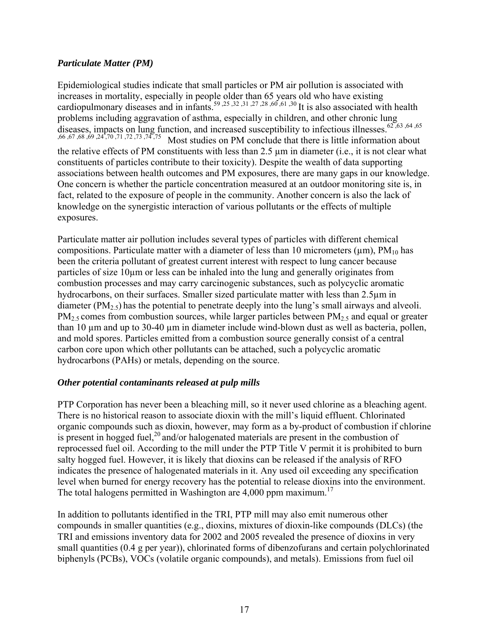#### *Particulate Matter (PM)*

Epidemiological studies indicate that small particles or PM air pollution is associated with increases in mortality, especially in people older than 65 years old who have existing cardiopulmonary diseases and in infants.<sup>59,25,32,31,27,28,60,61,30</sup> It is also associated with health problems including aggravation of asthma, especially in children, and other chronic lung diseases, impacts on lung function, and increased susceptibility to infectious illnesses.<sup>62</sup>,<sup>63</sup>,<sup>64</sup>,<sup>65</sup>,  $(60, 67, 68, 69, 24, 70, 71, 72, 73, 74, 75)$  Most studies on PM conclude that there is little information abo Most studies on PM conclude that there is little information about the relative effects of PM constituents with less than 2.5 µm in diameter (i.e., it is not clear what constituents of particles contribute to their toxicity). Despite the wealth of data supporting associations between health outcomes and PM exposures, there are many gaps in our knowledge. One concern is whether the particle concentration measured at an outdoor monitoring site is, in fact, related to the exposure of people in the community. Another concern is also the lack of knowledge on the synergistic interaction of various pollutants or the effects of multiple exposures.

Particulate matter air pollution includes several types of particles with different chemical compositions. Particulate matter with a diameter of less than 10 micrometers ( $\mu$ m), PM<sub>10</sub> has been the criteria pollutant of greatest current interest with respect to lung cancer because particles of size 10µm or less can be inhaled into the lung and generally originates from combustion processes and may carry carcinogenic substances, such as polycyclic aromatic hydrocarbons, on their surfaces. Smaller sized particulate matter with less than 2.5 $\mu$ m in diameter  $(PM_{2.5})$  has the potential to penetrate deeply into the lung's small airways and alveoli.  $PM<sub>2.5</sub> comes from combustion sources, while larger particles between  $PM<sub>2.5</sub>$  and equal or greater$ than 10 um and up to 30-40 um in diameter include wind-blown dust as well as bacteria, pollen, and mold spores. Particles emitted from a combustion source generally consist of a central carbon core upon which other pollutants can be attached, such a polycyclic aromatic hydrocarbons (PAHs) or metals, depending on the source.

#### *Other potential contaminants released at pulp mills*

PTP Corporation has never been a bleaching mill, so it never used chlorine as a bleaching agent. There is no historical reason to associate dioxin with the mill's liquid effluent. Chlorinated organic compounds such as dioxin, however, may form as a by-product of combustion if chlorine is present in hogged fuel,<sup>20</sup> and/or halogenated materials are present in the combustion of reprocessed fuel oil. According to the mill under the PTP Title V permit it is prohibited to burn salty hogged fuel. However, it is likely that dioxins can be released if the analysis of RFO indicates the presence of halogenated materials in it. Any used oil exceeding any specification level when burned for energy recovery has the potential to release dioxins into the environment. The total halogens permitted in Washington are  $4,000$  ppm maximum.<sup>17</sup>

In addition to pollutants identified in the TRI, PTP mill may also emit numerous other compounds in smaller quantities (e.g., dioxins, mixtures of dioxin-like compounds (DLCs) (the TRI and emissions inventory data for 2002 and 2005 revealed the presence of dioxins in very small quantities (0.4 g per year)), chlorinated forms of dibenzofurans and certain polychlorinated biphenyls (PCBs), VOCs (volatile organic compounds), and metals). Emissions from fuel oil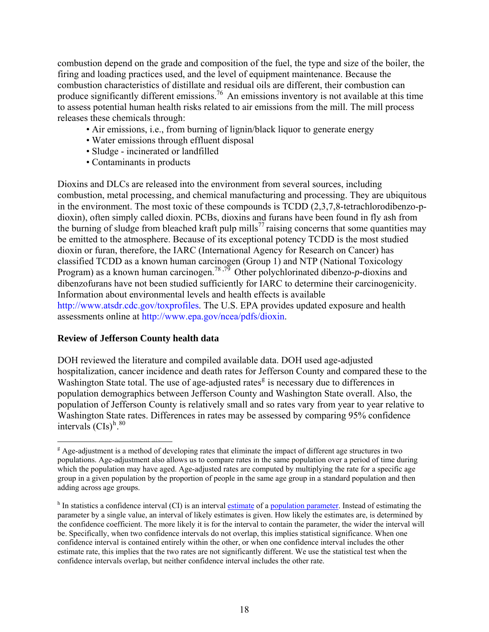combustion depend on the grade and composition of the fuel, the type and size of the boiler, the firing and loading practices used, and the level of equipment maintenance. Because the combustion characteristics of distillate and residual oils are different, their combustion can produce significantly different emissions.<sup>76</sup> An emissions inventory is not available at this time to assess potential human health risks related to air emissions from the mill. The mill process releases these chemicals through:

- Air emissions, i.e., from burning of lignin/black liquor to generate energy
- Water emissions through effluent disposal
- Sludge incinerated or landfilled
- Contaminants in products

Dioxins and DLCs are released into the environment from several sources, including combustion, metal processing, and chemical manufacturing and processing. They are ubiquitous in the environment. The most toxic of these compounds is TCDD (2,3,7,8-tetrachlorodibenzo-pdioxin), often simply called dioxin. PCBs, dioxins and furans have been found in fly ash from the burning of sludge from bleached kraft pulp mills<sup>77</sup> raising concerns that some quantities may be emitted to the atmosphere. Because of its exceptional potency TCDD is the most studied dioxin or furan, therefore, the IARC (International Agency for Research on Cancer) has classified TCDD as a known human carcinogen (Group 1) and NTP (National Toxicology Program) as a known human carcinogen.78 ,79 Other polychlorinated dibenzo*-p-*dioxins and dibenzofurans have not been studied sufficiently for IARC to determine their carcinogenicity. Information about environmental levels and health effects is available http://www.atsdr.cdc.gov/toxprofiles. The U.S. EPA provides updated exposure and health assessments online at http://www.epa.gov/ncea/pdfs/dioxin.

#### **Review of Jefferson County health data**

 $\overline{a}$ 

DOH reviewed the literature and compiled available data. DOH used age-adjusted hospitalization, cancer incidence and death rates for Jefferson County and compared these to the Washin[g](#page-18-0)ton State total. The use of age-adjusted rates<sup>g</sup> is necessary due to differences in population demographics between Jefferson County and Washington State overall. Also, the population of Jefferson County is relatively small and so rates vary from year to year relative to Washington State rates. Differences in rates may be assessed by comparing 95% confidence intervals  $(CIs)^{h}$  $(CIs)^{h}$  $(CIs)^{h}$ .<sup>80</sup>

<span id="page-18-0"></span><sup>&</sup>lt;sup>g</sup> Age-adjustment is a method of developing rates that eliminate the impact of different age structures in two populations. Age-adjustment also allows us to compare rates in the same population over a period of time during which the population may have aged. Age-adjusted rates are computed by multiplying the rate for a specific age group in a given population by the proportion of people in the same age group in a standard population and then adding across age groups.

<span id="page-18-1"></span><sup>&</sup>lt;sup>h</sup> In statistics a confidence interval (CI) is an interval [estimate](http://en.wikipedia.org/wiki/Estimate) of a [population parameter.](http://en.wikipedia.org/wiki/Population_parameter) Instead of estimating the parameter by a single value, an interval of likely estimates is given. How likely the estimates are, is determined by the confidence coefficient. The more likely it is for the interval to contain the parameter, the wider the interval will be. Specifically, when two confidence intervals do not overlap, this implies statistical significance. When one confidence interval is contained entirely within the other, or when one confidence interval includes the other estimate rate, this implies that the two rates are not significantly different. We use the statistical test when the confidence intervals overlap, but neither confidence interval includes the other rate.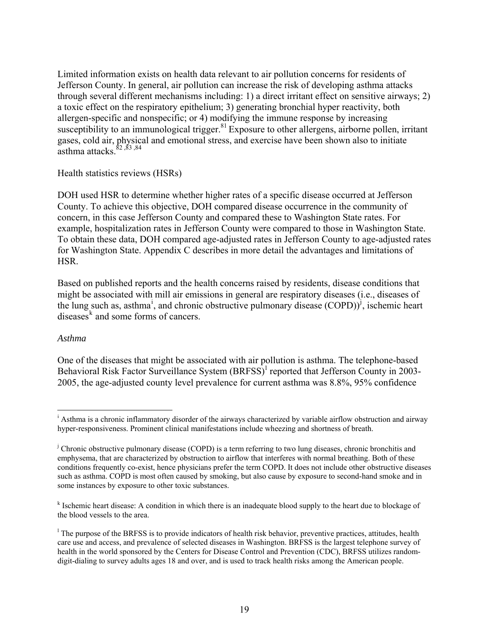Limited information exists on health data relevant to air pollution concerns for residents of Jefferson County. In general, air pollution can increase the risk of developing asthma attacks through several different mechanisms including: 1) a direct irritant effect on sensitive airways; 2) a toxic effect on the respiratory epithelium; 3) generating bronchial hyper reactivity, both allergen-specific and nonspecific; or 4) modifying the immune response by increasing susceptibility to an immunological trigger.<sup>81</sup> Exposure to other allergens, airborne pollen, irritant gases, cold air, physical and emotional stress, and exercise have been shown also to initiate  $a$ sthma attacks.<sup>82</sup>,83,84

#### Health statistics reviews (HSRs)

DOH used HSR to determine whether higher rates of a specific disease occurred at Jefferson County. To achieve this objective, DOH compared disease occurrence in the community of concern, in this case Jefferson County and compared these to Washington State rates. For example, hospitalization rates in Jefferson County were compared to those in Washington State. To obtain these data, DOH compared age-adjusted rates in Jefferson County to age-adjusted rates for Washington State. Appendix C describes in more detail the advantages and limitations of **HSR** 

Based on published reports and the health concerns raised by residents, disease conditions that might be associated with mill air emissions in general are respiratory diseases (i.e., diseases of the lung such as, asthma<sup>[i](#page-19-0)</sup>, and chronic obstructive pulmonary disease  $(COPD)$ <sup>[j](#page-19-1)</sup>, ischemic heart diseases<sup> $k$ </sup> and some forms of cancers.

#### *Asthma*

One of the diseases that might be associated with air pollution is asthma. The telephone-based Behaviora[l](#page-19-3) Risk Factor Surveillance System (BRFSS)<sup>1</sup> reported that Jefferson County in 2003-2005, the age-adjusted county level prevalence for current asthma was 8.8%, 95% confidence

<span id="page-19-0"></span> $\overline{a}$ <sup>i</sup> Asthma is a chronic inflammatory disorder of the airways characterized by variable airflow obstruction and airway hyper-responsiveness. Prominent clinical manifestations include wheezing and shortness of breath.

<span id="page-19-1"></span><sup>&</sup>lt;sup>j</sup> Chronic obstructive pulmonary disease (COPD) is a term referring to two lung diseases, chronic bronchitis and emphysema, that are characterized by obstruction to airflow that interferes with normal breathing. Both of these conditions frequently co-exist, hence physicians prefer the term COPD. It does not include other obstructive diseases such as asthma. COPD is most often caused by smoking, but also cause by exposure to second-hand smoke and in some instances by exposure to other toxic substances.

<span id="page-19-2"></span><sup>&</sup>lt;sup>k</sup> Ischemic heart disease: A condition in which there is an inadequate blood supply to the heart due to blockage of the blood vessels to the area.

<span id="page-19-3"></span><sup>&</sup>lt;sup>1</sup> The purpose of the BRFSS is to provide indicators of health risk behavior, preventive practices, attitudes, health care use and access, and prevalence of selected diseases in Washington. BRFSS is the largest telephone survey of health in the world sponsored by the Centers for Disease Control and Prevention (CDC), BRFSS utilizes randomdigit-dialing to survey adults ages 18 and over, and is used to track health risks among the American people.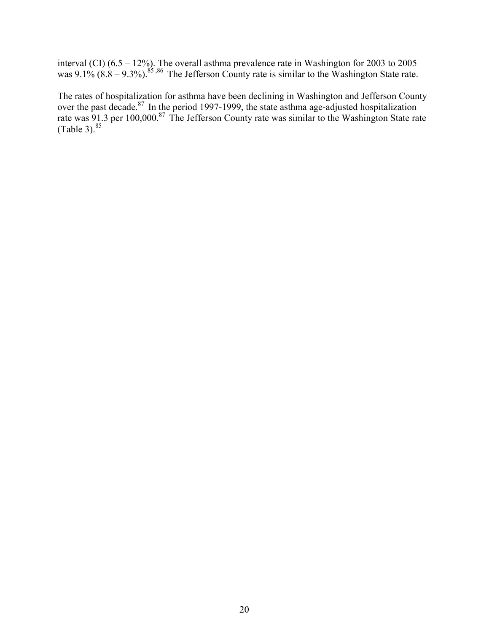interval (CI)  $(6.5 - 12\%)$ . The overall asthma prevalence rate in Washington for 2003 to 2005 was  $9.1\%$  (8.8 – 9.3%).<sup>85,86</sup> The Jefferson County rate is similar to the Washington State rate.

The rates of hospitalization for asthma have been declining in Washington and Jefferson County over the past decade. $87$  In the period 1997-1999, the state asthma age-adjusted hospitalization rate was  $91.3$  per 100,000.<sup>87</sup> The Jefferson County rate was similar to the Washington State rate  $(Table 3).$ <sup>85</sup>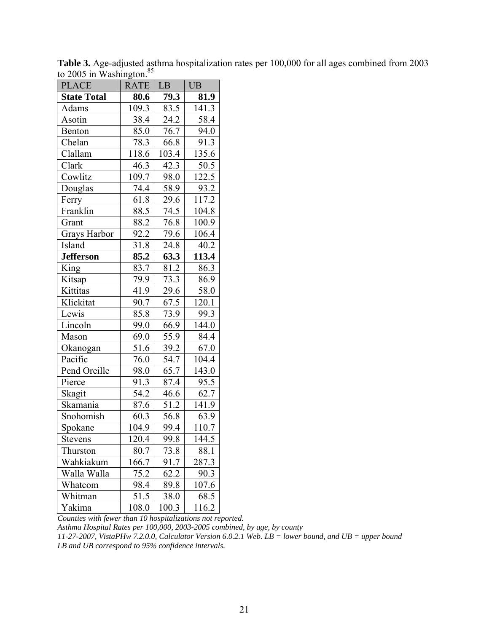| <b>PLACE</b>       | <b>RATE</b>       | LB               | <b>UB</b> |  |
|--------------------|-------------------|------------------|-----------|--|
| <b>State Total</b> | 80.6              | 79.3             | 81.9      |  |
| Adams              | 109.3             | 83.5             | 141.3     |  |
| Asotin             | 38.4              | 24.2             | 58.4      |  |
| Benton             | 85.0              | 76.7             | 94.0      |  |
| Chelan             | 78.3              | 66.8             | 91.3      |  |
| Clallam            | 118.6             | 103.4            | 135.6     |  |
| Clark              | 46.3              | 42.3             | 50.5      |  |
| Cowlitz            | 109.7             | 98.0             | 122.5     |  |
| Douglas            | 74.4              | 58.9             | 93.2      |  |
| Ferry              | 61.8              | 29.6             | 117.2     |  |
| Franklin           | $88.\overline{5}$ | $\frac{1}{74.5}$ | 104.8     |  |
| Grant              | 88.2              | 76.8             | 100.9     |  |
| Grays Harbor       | 92.2              | 79.6             | 106.4     |  |
| Island             | 31.8              | 24.8             | 40.2      |  |
| <b>Jefferson</b>   | 85.2              | 63.3             | 113.4     |  |
| King               | 83.7              | 81.2             | 86.3      |  |
| Kitsap             | 79.9              | 73.3             | 86.9      |  |
| Kittitas           | 41.9              | 29.6             | 58.0      |  |
| Klickitat          | 90.7              | 67.5             | 120.1     |  |
| Lewis              | 85.8              | 73.9             | 99.3      |  |
| Lincoln            | 99.0              | 66.9             | 144.0     |  |
| Mason              | 69.0              | 55.9             | 84.4      |  |
| Okanogan           | 51.6              | 39.2             | 67.0      |  |
| Pacific            | 76.0              | 54.7             | 104.4     |  |
| Pend Oreille       | 98.0              | 65.7             | 143.0     |  |
| Pierce             | 91.3              | 87.4             | 95.5      |  |
| Skagit             | 54.2              | 46.6             | 62.7      |  |
| Skamania           | 87.6              | 51.2             | 141.9     |  |
| Snohomish          | 60.3              | 56.8             | 63.9      |  |
| Spokane            | 104.9             | 99.4             | 110.7     |  |
| Stevens            | 120.4             | 99.8             | 144.5     |  |
| Thurston           | 80.7              | 73.8             | 88.1      |  |
| Wahkiakum          | 166.7             | 91.7             | 287.3     |  |
| Walla Walla        | 75.2              | 62.2             | 90.3      |  |
| Whatcom            | 98.4              | 89.8             | 107.6     |  |
| Whitman            | 51.5              | 38.0             | 68.5      |  |
| Yakima             | 108.0             | 100.3            | 116.2     |  |

**Table 3.** Age-adjusted asthma hospitalization rates per 100,000 for all ages combined from 2003 to 2005 in Washington. $85$ 

*Counties with fewer than 10 hospitalizations not reported.* 

*Asthma Hospital Rates per 100,000, 2003-2005 combined, by age, by county* 

*11-27-2007, VistaPHw 7.2.0.0, Calculator Version 6.0.2.1 Web. LB = lower bound, and UB = upper bound LB and UB correspond to 95% confidence intervals.*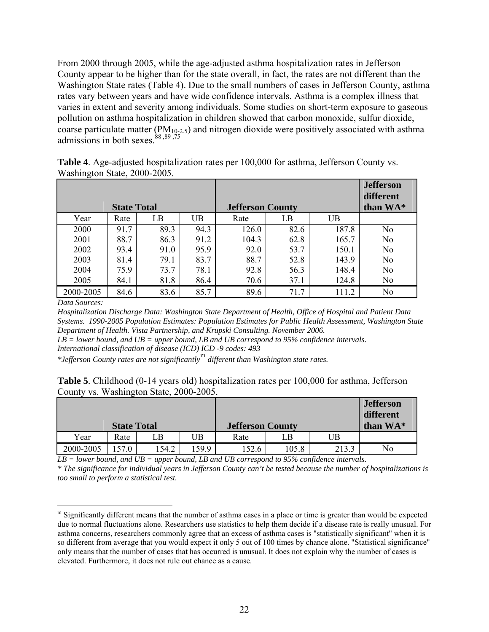From 2000 through 2005, while the age-adjusted asthma hospitalization rates in Jefferson County appear to be higher than for the state overall, in fact, the rates are not different than the Washington State rates (Table 4). Due to the small numbers of cases in Jefferson County, asthma rates vary between years and have wide confidence intervals. Asthma is a complex illness that varies in extent and severity among individuals. Some studies on short-term exposure to gaseous pollution on asthma hospitalization in children showed that carbon monoxide, sulfur dioxide, coarse particulate matter (PM10-2.5) and nitrogen dioxide were positively associated with asthma admissions in both sexes. $88,89,75$ 

|           | <b>State Total</b> |      |           | <b>Jefferson County</b> |      |       | <b>Jefferson</b><br>different<br>than WA* |
|-----------|--------------------|------|-----------|-------------------------|------|-------|-------------------------------------------|
| Year      | Rate               | LB   | <b>UB</b> | Rate                    | LB   | UB    |                                           |
| 2000      | 91.7               | 89.3 | 94.3      | 126.0                   | 82.6 | 187.8 | N <sub>o</sub>                            |
| 2001      | 88.7               | 86.3 | 91.2      | 104.3                   | 62.8 | 165.7 | N <sub>0</sub>                            |
| 2002      | 93.4               | 91.0 | 95.9      | 92.0                    | 53.7 | 150.1 | N <sub>0</sub>                            |
| 2003      | 81.4               | 79.1 | 83.7      | 88.7                    | 52.8 | 143.9 | N <sub>0</sub>                            |
| 2004      | 75.9               | 73.7 | 78.1      | 92.8                    | 56.3 | 148.4 | N <sub>o</sub>                            |
| 2005      | 84.1               | 81.8 | 86.4      | 70.6                    | 37.1 | 124.8 | N <sub>0</sub>                            |
| 2000-2005 | 84.6               | 83.6 | 85.7      | 89.6                    | 71.7 | 111.2 | N <sub>o</sub>                            |

**Table 4**. Age-adjusted hospitalization rates per 100,000 for asthma, Jefferson County vs. Washington State, 2000-2005.

*Data Sources:* 

 $\overline{a}$ 

*Hospitalization Discharge Data: Washington State Department of Health, Office of Hospital and Patient Data Systems. 1990-2005 Population Estimates: Population Estimates for Public Health Assessment, Washington State Department of Health. Vista Partnership, and Krupski Consulting. November 2006.* 

*LB = lower bound, and UB = upper bound, LB and UB correspond to 95% confidence intervals.*

*International classification of disease (ICD) ICD -9 codes: 493* 

*\*Jefferson County rates are not significantly*[m](#page-22-0) *different than Washington state rates.* 

| <b>Table 5</b> . Childhood (0-14 years old) hospitalization rates per 100,000 for asthma, Jefferson |  |
|-----------------------------------------------------------------------------------------------------|--|
| County vs. Washington State, 2000-2005.                                                             |  |

|                    |      |      |      |                         |       |       | <b>Jefferson</b><br>different |
|--------------------|------|------|------|-------------------------|-------|-------|-------------------------------|
| <b>State Total</b> |      |      |      | <b>Jefferson County</b> |       |       | than WA*                      |
| Year               | Rate | LΒ   | UΒ   | Rate                    | LВ    | UΒ    |                               |
| 2000-2005          |      | 54.2 | 59.9 | 152.6                   | 105.8 | 213.3 | No                            |

*LB = lower bound, and UB = upper bound, LB and UB correspond to 95% confidence intervals. \* The significance for individual years in Jefferson County can't be tested because the number of hospitalizations is too small to perform a statistical test.* 

<span id="page-22-0"></span> $<sup>m</sup>$  Significantly different means that the number of asthma cases in a place or time is greater than would be expected</sup> due to normal fluctuations alone. Researchers use statistics to help them decide if a disease rate is really unusual. For asthma concerns, researchers commonly agree that an excess of asthma cases is "statistically significant" when it is so different from average that you would expect it only 5 out of 100 times by chance alone. "Statistical significance" only means that the number of cases that has occurred is unusual. It does not explain why the number of cases is elevated. Furthermore, it does not rule out chance as a cause.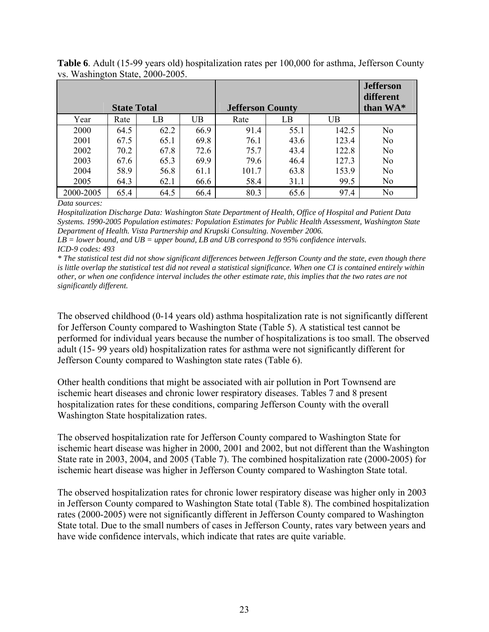|           |                    |      |      |                         |      |       | <b>Jefferson</b><br>different |
|-----------|--------------------|------|------|-------------------------|------|-------|-------------------------------|
|           | <b>State Total</b> |      |      | <b>Jefferson County</b> |      |       | than WA*                      |
| Year      | Rate               | LB   | UB   | Rate                    | LB   | UB    |                               |
| 2000      | 64.5               | 62.2 | 66.9 | 91.4                    | 55.1 | 142.5 | N <sub>o</sub>                |
| 2001      | 67.5               | 65.1 | 69.8 | 76.1                    | 43.6 | 123.4 | N <sub>o</sub>                |
| 2002      | 70.2               | 67.8 | 72.6 | 75.7                    | 43.4 | 122.8 | N <sub>0</sub>                |
| 2003      | 67.6               | 65.3 | 69.9 | 79.6                    | 46.4 | 127.3 | N <sub>0</sub>                |
| 2004      | 58.9               | 56.8 | 61.1 | 101.7                   | 63.8 | 153.9 | N <sub>0</sub>                |
| 2005      | 64.3               | 62.1 | 66.6 | 58.4                    | 31.1 | 99.5  | N <sub>0</sub>                |
| 2000-2005 | 65.4               | 64.5 | 66.4 | 80.3                    | 65.6 | 97.4  | No                            |

**Table 6**. Adult (15-99 years old) hospitalization rates per 100,000 for asthma, Jefferson County vs. Washington State, 2000-2005.

*Data sources:* 

*Hospitalization Discharge Data: Washington State Department of Health, Office of Hospital and Patient Data Systems. 1990-2005 Population estimates: Population Estimates for Public Health Assessment, Washington State Department of Health. Vista Partnership and Krupski Consulting. November 2006.* 

*LB = lower bound, and UB = upper bound, LB and UB correspond to 95% confidence intervals. ICD-9 codes: 493* 

*\* The statistical test did not show significant differences between Jefferson County and the state, even though there is little overlap the statistical test did not reveal a statistical significance. When one CI is contained entirely within other, or when one confidence interval includes the other estimate rate, this implies that the two rates are not significantly different.* 

The observed childhood (0-14 years old) asthma hospitalization rate is not significantly different for Jefferson County compared to Washington State (Table 5). A statistical test cannot be performed for individual years because the number of hospitalizations is too small. The observed adult (15- 99 years old) hospitalization rates for asthma were not significantly different for Jefferson County compared to Washington state rates (Table 6).

Other health conditions that might be associated with air pollution in Port Townsend are ischemic heart diseases and chronic lower respiratory diseases. Tables 7 and 8 present hospitalization rates for these conditions, comparing Jefferson County with the overall Washington State hospitalization rates.

The observed hospitalization rate for Jefferson County compared to Washington State for ischemic heart disease was higher in 2000, 2001 and 2002, but not different than the Washington State rate in 2003, 2004, and 2005 (Table 7). The combined hospitalization rate (2000-2005) for ischemic heart disease was higher in Jefferson County compared to Washington State total.

The observed hospitalization rates for chronic lower respiratory disease was higher only in 2003 in Jefferson County compared to Washington State total (Table 8). The combined hospitalization rates (2000-2005) were not significantly different in Jefferson County compared to Washington State total. Due to the small numbers of cases in Jefferson County, rates vary between years and have wide confidence intervals, which indicate that rates are quite variable.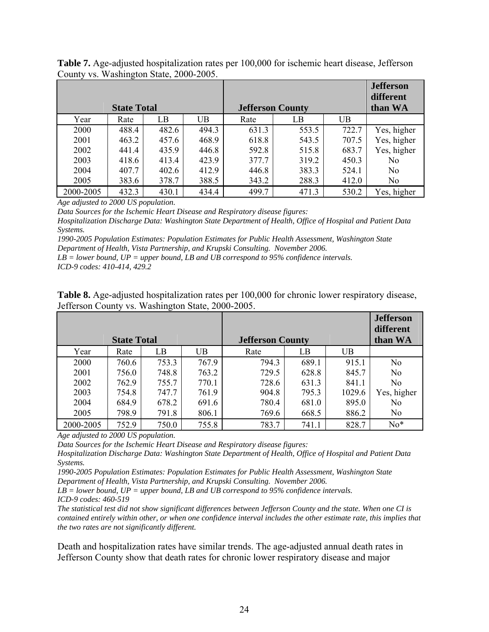|           |                    |       |       |       |                         |       | <b>Jefferson</b><br>different |
|-----------|--------------------|-------|-------|-------|-------------------------|-------|-------------------------------|
|           | <b>State Total</b> |       |       |       | <b>Jefferson County</b> |       | than WA                       |
| Year      | Rate               | LB    | UB    | Rate  | LB                      | UB    |                               |
| 2000      | 488.4              | 482.6 | 494.3 | 631.3 | 553.5                   | 722.7 | Yes, higher                   |
| 2001      | 463.2              | 457.6 | 468.9 | 618.8 | 543.5                   | 707.5 | Yes, higher                   |
| 2002      | 441.4              | 435.9 | 446.8 | 592.8 | 515.8                   | 683.7 | Yes, higher                   |
| 2003      | 418.6              | 413.4 | 423.9 | 377.7 | 319.2                   | 450.3 | N <sub>0</sub>                |
| 2004      | 407.7              | 402.6 | 412.9 | 446.8 | 383.3                   | 524.1 | N <sub>0</sub>                |
| 2005      | 383.6              | 378.7 | 388.5 | 343.2 | 288.3                   | 412.0 | N <sub>0</sub>                |
| 2000-2005 | 432.3              | 430.1 | 434.4 | 499.7 | 471.3                   | 530.2 | Yes, higher                   |

**Table 7.** Age-adjusted hospitalization rates per 100,000 for ischemic heart disease, Jefferson County vs. Washington State, 2000-2005.

*Age adjusted to 2000 US population.* 

*Data Sources for the Ischemic Heart Disease and Respiratory disease figures:* 

*Hospitalization Discharge Data: Washington State Department of Health, Office of Hospital and Patient Data Systems.* 

*1990-2005 Population Estimates: Population Estimates for Public Health Assessment, Washington State Department of Health, Vista Partnership, and Krupski Consulting. November 2006.* 

*LB = lower bound, UP = upper bound, LB and UB correspond to 95% confidence intervals.* 

*ICD-9 codes: 410-414, 429.2* 

| <b>Table 8.</b> Age-adjusted hospitalization rates per 100,000 for chronic lower respiratory disease, |  |
|-------------------------------------------------------------------------------------------------------|--|
| Jefferson County vs. Washington State, 2000-2005.                                                     |  |

|           |                    |       |       |                         |       |        | <b>Jefferson</b><br>different |
|-----------|--------------------|-------|-------|-------------------------|-------|--------|-------------------------------|
|           | <b>State Total</b> |       |       | <b>Jefferson County</b> |       |        | than WA                       |
| Year      | Rate               | LB    | UB    | Rate                    | LB    | UB     |                               |
| 2000      | 760.6              | 753.3 | 767.9 | 794.3                   | 689.1 | 915.1  | No                            |
| 2001      | 756.0              | 748.8 | 763.2 | 729.5                   | 628.8 | 845.7  | N <sub>0</sub>                |
| 2002      | 762.9              | 755.7 | 770.1 | 728.6                   | 631.3 | 841.1  | N <sub>0</sub>                |
| 2003      | 754.8              | 747.7 | 761.9 | 904.8                   | 795.3 | 1029.6 | Yes, higher                   |
| 2004      | 684.9              | 678.2 | 691.6 | 780.4                   | 681.0 | 895.0  | No                            |
| 2005      | 798.9              | 791.8 | 806.1 | 769.6                   | 668.5 | 886.2  | No                            |
| 2000-2005 | 752.9              | 750.0 | 755.8 | 783.7                   | 741.1 | 828.7  | $No*$                         |

*Age adjusted to 2000 US population.* 

*Data Sources for the Ischemic Heart Disease and Respiratory disease figures:* 

*Hospitalization Discharge Data: Washington State Department of Health, Office of Hospital and Patient Data Systems.* 

*1990-2005 Population Estimates: Population Estimates for Public Health Assessment, Washington State Department of Health, Vista Partnership, and Krupski Consulting. November 2006.* 

*LB = lower bound, UP = upper bound, LB and UB correspond to 95% confidence intervals. ICD-9 codes: 460-519* 

*The statistical test did not show significant differences between Jefferson County and the state. When one CI is contained entirely within other, or when one confidence interval includes the other estimate rate, this implies that the two rates are not significantly different.* 

Death and hospitalization rates have similar trends. The age-adjusted annual death rates in Jefferson County show that death rates for chronic lower respiratory disease and major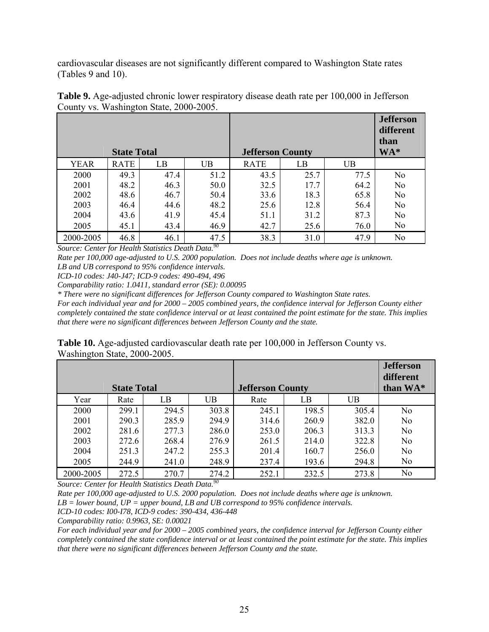cardiovascular diseases are not significantly different compared to Washington State rates (Tables 9 and 10).

| ັ<br>$\overline{\phantom{a}}$<br><b>State Total</b> |             |      |           | <b>Jefferson County</b> |      |      | <b>Jefferson</b><br>different<br>than<br>$WA^*$ |
|-----------------------------------------------------|-------------|------|-----------|-------------------------|------|------|-------------------------------------------------|
| <b>YEAR</b>                                         | <b>RATE</b> | LB   | <b>UB</b> | <b>RATE</b>             | LB   | UB   |                                                 |
| 2000                                                | 49.3        | 47.4 | 51.2      | 43.5                    | 25.7 | 77.5 | N <sub>o</sub>                                  |
| 2001                                                | 48.2        | 46.3 | 50.0      | 32.5                    | 17.7 | 64.2 | N <sub>0</sub>                                  |
| 2002                                                | 48.6        | 46.7 | 50.4      | 33.6                    | 18.3 | 65.8 | N <sub>o</sub>                                  |
| 2003                                                | 46.4        | 44.6 | 48.2      | 25.6                    | 12.8 | 56.4 | N <sub>o</sub>                                  |
| 2004                                                | 43.6        | 41.9 | 45.4      | 51.1                    | 31.2 | 87.3 | N <sub>0</sub>                                  |
| 2005                                                | 45.1        | 43.4 | 46.9      | 42.7                    | 25.6 | 76.0 | N <sub>0</sub>                                  |
| 2000-2005                                           | 46.8        | 46.1 | 47.5      | 38.3                    | 31.0 | 47.9 | N <sub>0</sub>                                  |

**Table 9.** Age-adjusted chronic lower respiratory disease death rate per 100,000 in Jefferson County vs. Washington State, 2000-2005.

*Source: Center for Health Statistics Death Data.90* 

*Rate per 100,000 age-adjusted to U.S. 2000 population. Does not include deaths where age is unknown. LB and UB correspond to 95% confidence intervals.* 

*ICD-10 codes: J40-J47; ICD-9 codes: 490-494, 496* 

*Comparability ratio: 1.0411, standard error (SE): 0.00095* 

*\* There were no significant differences for Jefferson County compared to Washington State rates.* 

*For each individual year and for 2000 – 2005 combined years, the confidence interval for Jefferson County either completely contained the state confidence interval or at least contained the point estimate for the state. This implies that there were no significant differences between Jefferson County and the state.* 

**Table 10.** Age-adjusted cardiovascular death rate per 100,000 in Jefferson County vs. Washington State, 2000-2005.

|                    |       |       |           |                         |       |       | <b>Jefferson</b><br>different |
|--------------------|-------|-------|-----------|-------------------------|-------|-------|-------------------------------|
| <b>State Total</b> |       |       |           | <b>Jefferson County</b> |       |       | than WA*                      |
| Year               | Rate  | LВ    | <b>UB</b> | Rate                    | LB    | UB    |                               |
| 2000               | 299.1 | 294.5 | 303.8     | 245.1                   | 198.5 | 305.4 | No                            |
| 2001               | 290.3 | 285.9 | 294.9     | 314.6                   | 260.9 | 382.0 | No                            |
| 2002               | 281.6 | 277.3 | 286.0     | 253.0                   | 206.3 | 313.3 | N <sub>0</sub>                |
| 2003               | 272.6 | 268.4 | 276.9     | 261.5                   | 214.0 | 322.8 | N <sub>0</sub>                |
| 2004               | 251.3 | 247.2 | 255.3     | 201.4                   | 160.7 | 256.0 | N <sub>0</sub>                |
| 2005               | 244.9 | 241.0 | 248.9     | 237.4                   | 193.6 | 294.8 | No                            |
| 2000-2005          | 272.5 | 270.7 | 274.2     | 252.1                   | 232.5 | 273.8 | No                            |

*Source: Center for Health Statistics Death Data.90* 

*Rate per 100,000 age-adjusted to U.S. 2000 population. Does not include deaths where age is unknown. LB = lower bound, UP = upper bound, LB and UB correspond to 95% confidence intervals.* 

*ICD-10 codes: I00-I78, ICD-9 codes: 390-434, 436-448* 

*Comparability ratio: 0.9963, SE: 0.00021* 

*For each individual year and for 2000 – 2005 combined years, the confidence interval for Jefferson County either completely contained the state confidence interval or at least contained the point estimate for the state. This implies that there were no significant differences between Jefferson County and the state.*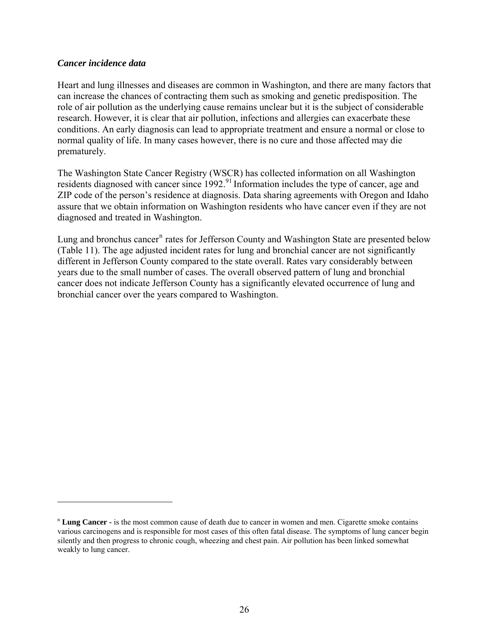#### *Cancer incidence data*

1

Heart and lung illnesses and diseases are common in Washington, and there are many factors that can increase the chances of contracting them such as smoking and genetic predisposition. The role of air pollution as the underlying cause remains unclear but it is the subject of considerable research. However, it is clear that air pollution, infections and allergies can exacerbate these conditions. An early diagnosis can lead to appropriate treatment and ensure a normal or close to normal quality of life. In many cases however, there is no cure and those affected may die prematurely.

The Washington State Cancer Registry (WSCR) has collected information on all Washington residents diagnosed with cancer since 1992.<sup>91</sup> Information includes the type of cancer, age and ZIP code of the person's residence at diagnosis. Data sharing agreements with Oregon and Idaho assure that we obtain information on Washington residents who have cancer even if they are not diagnosed and treated in Washington.

Lu[n](#page-26-0)g and bronchus cancer<sup>n</sup> rates for Jefferson County and Washington State are presented below (Table 11). The age adjusted incident rates for lung and bronchial cancer are not significantly different in Jefferson County compared to the state overall. Rates vary considerably between years due to the small number of cases. The overall observed pattern of lung and bronchial cancer does not indicate Jefferson County has a significantly elevated occurrence of lung and bronchial cancer over the years compared to Washington.

<span id="page-26-0"></span><sup>n</sup> **Lung Cancer -** is the most common cause of death due to cancer in women and men. Cigarette smoke contains various carcinogens and is responsible for most cases of this often fatal disease. The symptoms of lung cancer begin silently and then progress to chronic cough, wheezing and chest pain. Air pollution has been linked somewhat weakly to lung cancer.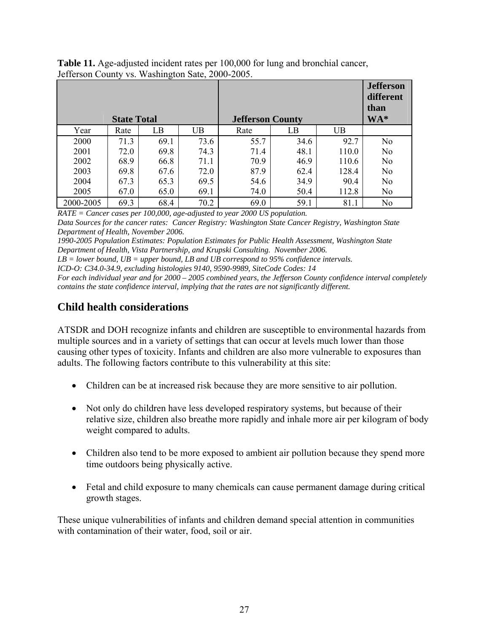| <b>Table 11.</b> Age-adjusted incident rates per 100,000 for lung and bronchial cancer, |
|-----------------------------------------------------------------------------------------|
| Jefferson County vs. Washington Sate, 2000-2005.                                        |

|                    |      |      |                         |      |      |                           | <b>Jefferson</b><br>different<br>than |
|--------------------|------|------|-------------------------|------|------|---------------------------|---------------------------------------|
| <b>State Total</b> |      |      | <b>Jefferson County</b> |      |      | $\mathbf{W} \mathbf{A}^*$ |                                       |
| Year               | Rate | LB   | UB                      | Rate | LB   | UB                        |                                       |
| 2000               | 71.3 | 69.1 | 73.6                    | 55.7 | 34.6 | 92.7                      | N <sub>o</sub>                        |
| 2001               | 72.0 | 69.8 | 74.3                    | 71.4 | 48.1 | 110.0                     | N <sub>0</sub>                        |
| 2002               | 68.9 | 66.8 | 71.1                    | 70.9 | 46.9 | 110.6                     | N <sub>0</sub>                        |
| 2003               | 69.8 | 67.6 | 72.0                    | 87.9 | 62.4 | 128.4                     | N <sub>0</sub>                        |
| 2004               | 67.3 | 65.3 | 69.5                    | 54.6 | 34.9 | 90.4                      | No                                    |
| 2005               | 67.0 | 65.0 | 69.1                    | 74.0 | 50.4 | 112.8                     | No                                    |
| 2000-2005          | 69.3 | 68.4 | 70.2                    | 69.0 | 59.1 | 81.1                      | N <sub>0</sub>                        |

*RATE = Cancer cases per 100,000, age-adjusted to year 2000 US population.* 

*Data Sources for the cancer rates: Cancer Registry: Washington State Cancer Registry, Washington State Department of Health, November 2006.* 

*1990-2005 Population Estimates: Population Estimates for Public Health Assessment, Washington State Department of Health, Vista Partnership, and Krupski Consulting. November 2006.* 

*LB = lower bound, UB = upper bound, LB and UB correspond to 95% confidence intervals.* 

*ICD-O: C34.0-34.9, excluding histologies 9140, 9590-9989, SiteCode Codes: 14* 

*For each individual year and for 2000 – 2005 combined years, the Jefferson County confidence interval completely contains the state confidence interval, implying that the rates are not significantly different.* 

# **Child health considerations**

ATSDR and DOH recognize infants and children are susceptible to environmental hazards from multiple sources and in a variety of settings that can occur at levels much lower than those causing other types of toxicity. Infants and children are also more vulnerable to exposures than adults. The following factors contribute to this vulnerability at this site:

- Children can be at increased risk because they are more sensitive to air pollution.
- Not only do children have less developed respiratory systems, but because of their relative size, children also breathe more rapidly and inhale more air per kilogram of body weight compared to adults.
- Children also tend to be more exposed to ambient air pollution because they spend more time outdoors being physically active.
- Fetal and child exposure to many chemicals can cause permanent damage during critical growth stages.

These unique vulnerabilities of infants and children demand special attention in communities with contamination of their water, food, soil or air.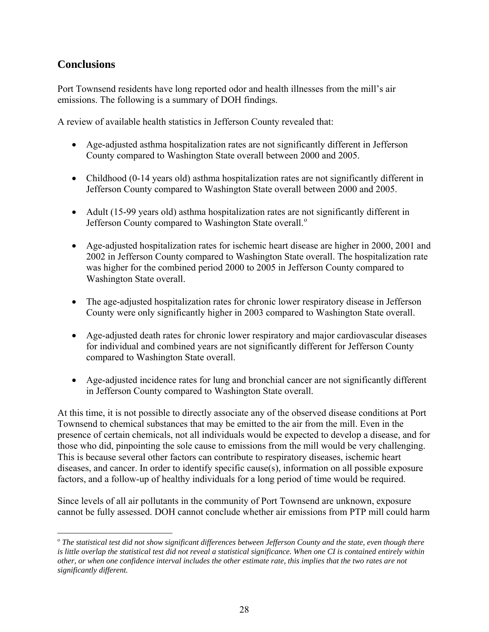# **Conclusions**

 $\overline{a}$ 

Port Townsend residents have long reported odor and health illnesses from the mill's air emissions. The following is a summary of DOH findings.

A review of available health statistics in Jefferson County revealed that:

- Age-adjusted asthma hospitalization rates are not significantly different in Jefferson County compared to Washington State overall between 2000 and 2005.
- Childhood (0-14 years old) asthma hospitalization rates are not significantly different in Jefferson County compared to Washington State overall between 2000 and 2005.
- Adult (15-99 years old) asthma hospitalization rates are not significantly different in Jeffers[o](#page-28-0)n County compared to Washington State overall.<sup>o</sup>
- Age-adjusted hospitalization rates for ischemic heart disease are higher in 2000, 2001 and 2002 in Jefferson County compared to Washington State overall. The hospitalization rate was higher for the combined period 2000 to 2005 in Jefferson County compared to Washington State overall.
- The age-adjusted hospitalization rates for chronic lower respiratory disease in Jefferson County were only significantly higher in 2003 compared to Washington State overall.
- Age-adjusted death rates for chronic lower respiratory and major cardiovascular diseases for individual and combined years are not significantly different for Jefferson County compared to Washington State overall.
- Age-adjusted incidence rates for lung and bronchial cancer are not significantly different in Jefferson County compared to Washington State overall.

At this time, it is not possible to directly associate any of the observed disease conditions at Port Townsend to chemical substances that may be emitted to the air from the mill. Even in the presence of certain chemicals, not all individuals would be expected to develop a disease, and for those who did, pinpointing the sole cause to emissions from the mill would be very challenging. This is because several other factors can contribute to respiratory diseases, ischemic heart diseases, and cancer. In order to identify specific cause(s), information on all possible exposure factors, and a follow-up of healthy individuals for a long period of time would be required.

Since levels of all air pollutants in the community of Port Townsend are unknown, exposure cannot be fully assessed. DOH cannot conclude whether air emissions from PTP mill could harm

<span id="page-28-0"></span><sup>o</sup> *The statistical test did not show significant differences between Jefferson County and the state, even though there is little overlap the statistical test did not reveal a statistical significance. When one CI is contained entirely within other, or when one confidence interval includes the other estimate rate, this implies that the two rates are not significantly different.*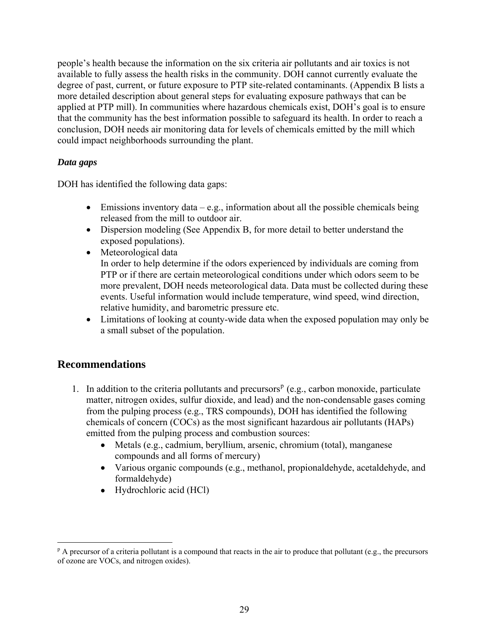people's health because the information on the six criteria air pollutants and air toxics is not available to fully assess the health risks in the community. DOH cannot currently evaluate the degree of past, current, or future exposure to PTP site-related contaminants. (Appendix B lists a more detailed description about general steps for evaluating exposure pathways that can be applied at PTP mill). In communities where hazardous chemicals exist, DOH's goal is to ensure that the community has the best information possible to safeguard its health. In order to reach a conclusion, DOH needs air monitoring data for levels of chemicals emitted by the mill which could impact neighborhoods surrounding the plant.

#### *Data gaps*

DOH has identified the following data gaps:

- $\bullet$  Emissions inventory data e.g., information about all the possible chemicals being released from the mill to outdoor air.
- Dispersion modeling (See Appendix B, for more detail to better understand the exposed populations).
- Meteorological data

In order to help determine if the odors experienced by individuals are coming from PTP or if there are certain meteorological conditions under which odors seem to be more prevalent, DOH needs meteorological data. Data must be collected during these events. Useful information would include temperature, wind speed, wind direction, relative humidity, and barometric pressure etc.

• Limitations of looking at county-wide data when the exposed population may only be a small subset of the population.

# **Recommendations**

1

- 1. In addition to the criteria [p](#page-29-0)ollutants and precursors<sup> $p$ </sup> (e.g., carbon monoxide, particulate matter, nitrogen oxides, sulfur dioxide, and lead) and the non-condensable gases coming from the pulping process (e.g., TRS compounds), DOH has identified the following chemicals of concern (COCs) as the most significant hazardous air pollutants (HAPs) emitted from the pulping process and combustion sources:
	- Metals (e.g., cadmium, beryllium, arsenic, chromium (total), manganese compounds and all forms of mercury)
	- Various organic compounds (e.g., methanol, propionaldehyde, acetaldehyde, and formaldehyde)
	- Hydrochloric acid (HCl)

<span id="page-29-0"></span><sup>&</sup>lt;sup>p</sup> A precursor of a criteria pollutant is a compound that reacts in the air to produce that pollutant (e.g., the precursors of ozone are VOCs, and nitrogen oxides).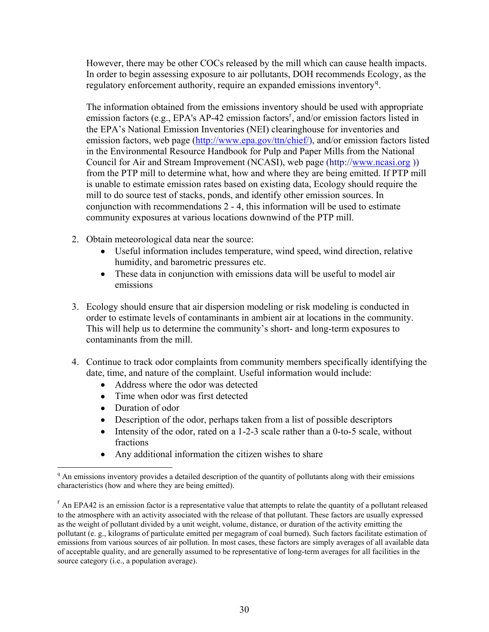However, there may be other COCs released by the mill which can cause health impacts. In order to begin assessing exposure to air pollutants, DOH recommends Ecology, as the regulatory enforcement authority, re[q](#page-30-0)uire an expanded emissions inventory<sup>q</sup>.

The information obtained from the emissions inventory should be used with appropriate emission facto[r](#page-30-1)s (e.g., EPA's AP-42 emission factors<sup>r</sup>, and/or emission factors listed in the EPA's National Emission Inventories (NEI) clearinghouse for inventories and emission factors, web page ([http://www.epa.gov/ttn/chief/\)](http://www.epa.gov/ttn/chief/), and/or emission factors listed in the Environmental Resource Handbook for Pulp and Paper Mills from the National Council for Air and Stream Improvement (NCASI), web page (http:/[/www.ncasi.org](http://www.ncasi.org/) )) from the PTP mill to determine what, how and where they are being emitted. If PTP mill is unable to estimate emission rates based on existing data, Ecology should require the mill to do source test of stacks, ponds, and identify other emission sources. In conjunction with recommendations 2 - 4, this information will be used to estimate community exposures at various locations downwind of the PTP mill.

- 2. Obtain meteorological data near the source:
	- Useful information includes temperature, wind speed, wind direction, relative humidity, and barometric pressures etc.
	- These data in conjunction with emissions data will be useful to model air emissions
- 3. Ecology should ensure that air dispersion modeling or risk modeling is conducted in order to estimate levels of contaminants in ambient air at locations in the community. This will help us to determine the community's short- and long-term exposures to contaminants from the mill.
- 4. Continue to track odor complaints from community members specifically identifying the date, time, and nature of the complaint. Useful information would include:
	- Address where the odor was detected
	- Time when odor was first detected
	- Duration of odor

 $\overline{a}$ 

- Description of the odor, perhaps taken from a list of possible descriptors
- Intensity of the odor, rated on a 1-2-3 scale rather than a 0-to-5 scale, without fractions
- Any additional information the citizen wishes to share

<span id="page-30-0"></span><sup>&</sup>lt;sup>q</sup> An emissions inventory provides a detailed description of the quantity of pollutants along with their emissions characteristics (how and where they are being emitted).

<span id="page-30-1"></span> $\overline{r}$  An EPA42 is an emission factor is a representative value that attempts to relate the quantity of a pollutant released to the atmosphere with an activity associated with the release of that pollutant. These factors are usually expressed as the weight of pollutant divided by a unit weight, volume, distance, or duration of the activity emitting the pollutant (e. g., kilograms of particulate emitted per megagram of coal burned). Such factors facilitate estimation of emissions from various sources of air pollution. In most cases, these factors are simply averages of all available data of acceptable quality, and are generally assumed to be representative of long-term averages for all facilities in the source category (i.e., a population average).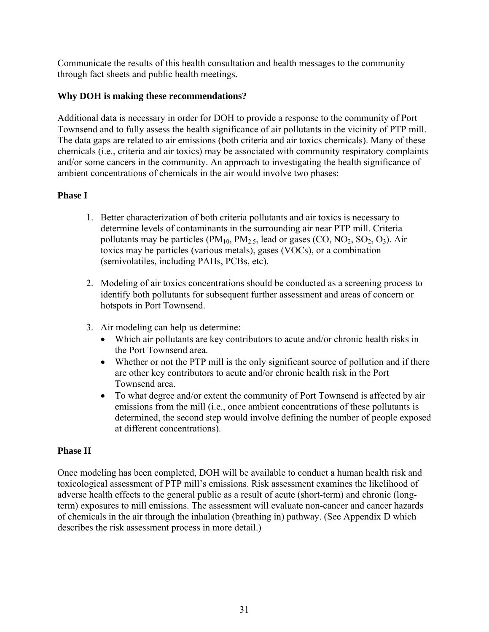Communicate the results of this health consultation and health messages to the community through fact sheets and public health meetings.

#### **Why DOH is making these recommendations?**

Additional data is necessary in order for DOH to provide a response to the community of Port Townsend and to fully assess the health significance of air pollutants in the vicinity of PTP mill. The data gaps are related to air emissions (both criteria and air toxics chemicals). Many of these chemicals (i.e., criteria and air toxics) may be associated with community respiratory complaints and/or some cancers in the community. An approach to investigating the health significance of ambient concentrations of chemicals in the air would involve two phases:

#### **Phase I**

- 1. Better characterization of both criteria pollutants and air toxics is necessary to determine levels of contaminants in the surrounding air near PTP mill. Criteria pollutants may be particles  $(PM_{10}, PM_{2.5}, lead or gases (CO, NO<sub>2</sub>, SO<sub>2</sub>, O<sub>3</sub>). Air$ toxics may be particles (various metals), gases (VOCs), or a combination (semivolatiles, including PAHs, PCBs, etc).
- 2. Modeling of air toxics concentrations should be conducted as a screening process to identify both pollutants for subsequent further assessment and areas of concern or hotspots in Port Townsend.
- 3. Air modeling can help us determine:
	- Which air pollutants are key contributors to acute and/or chronic health risks in the Port Townsend area.
	- Whether or not the PTP mill is the only significant source of pollution and if there are other key contributors to acute and/or chronic health risk in the Port Townsend area.
	- To what degree and/or extent the community of Port Townsend is affected by air emissions from the mill (i.e., once ambient concentrations of these pollutants is determined, the second step would involve defining the number of people exposed at different concentrations).

#### **Phase II**

Once modeling has been completed, DOH will be available to conduct a human health risk and toxicological assessment of PTP mill's emissions. Risk assessment examines the likelihood of adverse health effects to the general public as a result of acute (short-term) and chronic (longterm) exposures to mill emissions. The assessment will evaluate non-cancer and cancer hazards of chemicals in the air through the inhalation (breathing in) pathway. (See Appendix D which describes the risk assessment process in more detail.)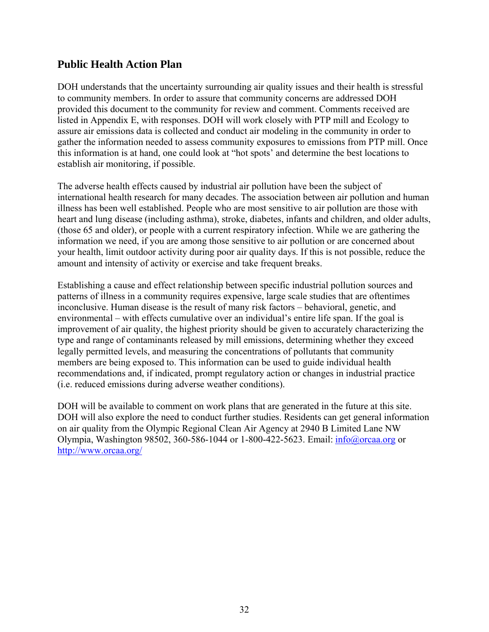# **Public Health Action Plan**

DOH understands that the uncertainty surrounding air quality issues and their health is stressful to community members. In order to assure that community concerns are addressed DOH provided this document to the community for review and comment. Comments received are listed in Appendix E, with responses. DOH will work closely with PTP mill and Ecology to assure air emissions data is collected and conduct air modeling in the community in order to gather the information needed to assess community exposures to emissions from PTP mill. Once this information is at hand, one could look at "hot spots' and determine the best locations to establish air monitoring, if possible.

The adverse health effects caused by industrial air pollution have been the subject of international health research for many decades. The association between air pollution and human illness has been well established. People who are most sensitive to air pollution are those with heart and lung disease (including asthma), stroke, diabetes, infants and children, and older adults, (those 65 and older), or people with a current respiratory infection. While we are gathering the information we need, if you are among those sensitive to air pollution or are concerned about your health, limit outdoor activity during poor air quality days. If this is not possible, reduce the amount and intensity of activity or exercise and take frequent breaks.

Establishing a cause and effect relationship between specific industrial pollution sources and patterns of illness in a community requires expensive, large scale studies that are oftentimes inconclusive. Human disease is the result of many risk factors – behavioral, genetic, and environmental – with effects cumulative over an individual's entire life span. If the goal is improvement of air quality, the highest priority should be given to accurately characterizing the type and range of contaminants released by mill emissions, determining whether they exceed legally permitted levels, and measuring the concentrations of pollutants that community members are being exposed to. This information can be used to guide individual health recommendations and, if indicated, prompt regulatory action or changes in industrial practice (i.e. reduced emissions during adverse weather conditions).

DOH will be available to comment on work plans that are generated in the future at this site. DOH will also explore the need to conduct further studies. Residents can get general information on air quality from the Olympic Regional Clean Air Agency at 2940 B Limited Lane NW Olympia, Washington 98502, 360-586-1044 or 1-800-422-5623. Email: [info@orcaa.org](mailto:info@orcaa.org) or <http://www.orcaa.org/>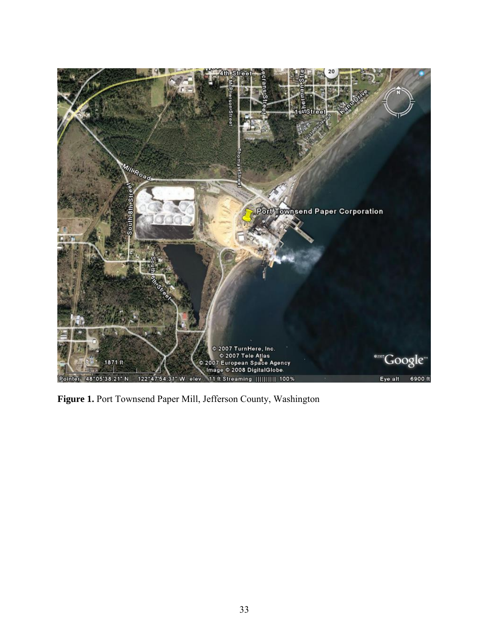

**Figure 1.** Port Townsend Paper Mill, Jefferson County, Washington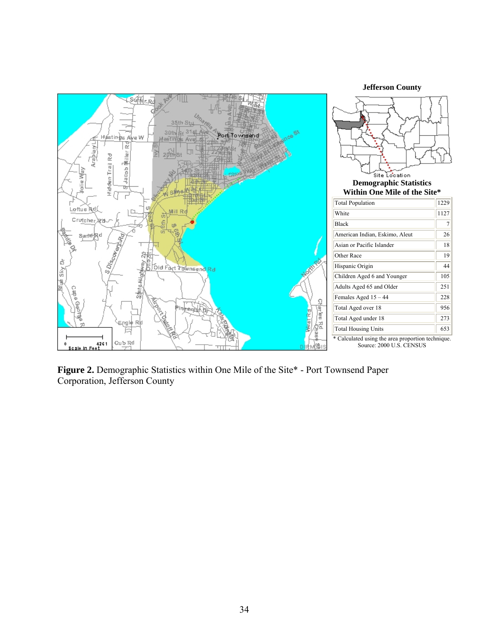

**Figure 2.** Demographic Statistics within One Mile of the Site\* - Port Townsend Paper Corporation, Jefferson County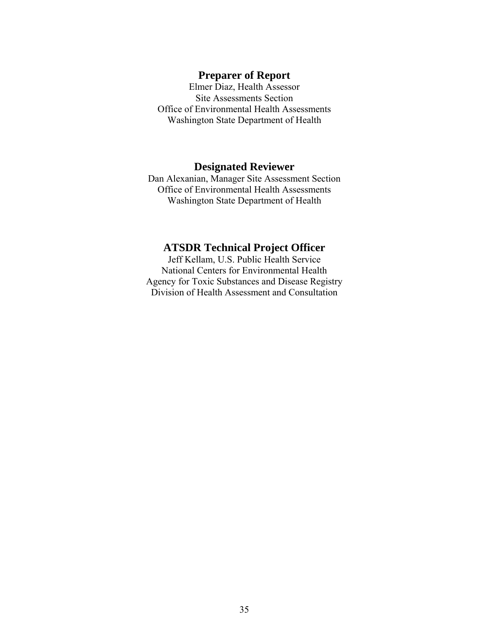#### **Preparer of Report**

Elmer Diaz, Health Assessor Site Assessments Section Office of Environmental Health Assessments Washington State Department of Health

#### **Designated Reviewer**

Dan Alexanian, Manager Site Assessment Section Office of Environmental Health Assessments Washington State Department of Health

#### **ATSDR Technical Project Officer**

Jeff Kellam, U.S. Public Health Service National Centers for Environmental Health Agency for Toxic Substances and Disease Registry Division of Health Assessment and Consultation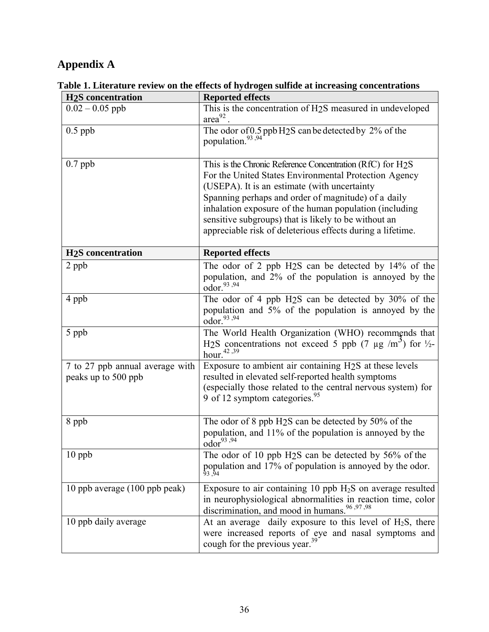# **Appendix A**

| <b>H<sub>2</sub>S</b> concentration                    | <b>Reported effects</b>                                                                                                                                                                                                                                                                                                                                                                                   |
|--------------------------------------------------------|-----------------------------------------------------------------------------------------------------------------------------------------------------------------------------------------------------------------------------------------------------------------------------------------------------------------------------------------------------------------------------------------------------------|
| $0.02 - 0.05$ ppb                                      | This is the concentration of H <sub>2</sub> S measured in undeveloped<br>$area^{92}$ .                                                                                                                                                                                                                                                                                                                    |
| $0.5$ ppb                                              | The odor of $0.5$ ppb H <sub>2</sub> S can be detected by 2% of the population. <sup>93,94</sup>                                                                                                                                                                                                                                                                                                          |
| $0.7$ ppb                                              | This is the Chronic Reference Concentration (RfC) for H2S<br>For the United States Environmental Protection Agency<br>(USEPA). It is an estimate (with uncertainty<br>Spanning perhaps and order of magnitude) of a daily<br>inhalation exposure of the human population (including<br>sensitive subgroups) that is likely to be without an<br>appreciable risk of deleterious effects during a lifetime. |
| <b>H<sub>2</sub>S</b> concentration                    | <b>Reported effects</b>                                                                                                                                                                                                                                                                                                                                                                                   |
| 2 ppb                                                  | The odor of 2 ppb $H_2S$ can be detected by 14% of the<br>population, and 2% of the population is annoyed by the<br>odor. <sup>93,94</sup>                                                                                                                                                                                                                                                                |
| 4 ppb                                                  | The odor of 4 ppb H <sub>2</sub> S can be detected by 30% of the<br>population and 5% of the population is annoyed by the<br>odor. <sup>93,94</sup>                                                                                                                                                                                                                                                       |
| 5 ppb                                                  | The World Health Organization (WHO) recommends that<br>H <sub>2</sub> S concentrations not exceed 5 ppb (7 $\mu$ g /m <sup>2</sup> ) for <sup>1</sup> / <sub>2</sub> -<br>hour. $42,39$                                                                                                                                                                                                                   |
| 7 to 27 ppb annual average with<br>peaks up to 500 ppb | Exposure to ambient air containing H <sub>2</sub> S at these levels<br>resulted in elevated self-reported health symptoms<br>(especially those related to the central nervous system) for<br>9 of 12 symptom categories. <sup>95</sup>                                                                                                                                                                    |
| 8 ppb                                                  | The odor of 8 ppb H <sub>2</sub> S can be detected by 50% of the<br>population, and 11% of the population is annoyed by the<br>odor <sup>93,94</sup>                                                                                                                                                                                                                                                      |
| $10$ ppb                                               | The odor of 10 ppb H <sub>2</sub> S can be detected by 56% of the<br>population and 17% of population is annoyed by the odor.<br>93,94                                                                                                                                                                                                                                                                    |
| 10 ppb average (100 ppb peak)                          | Exposure to air containing 10 ppb $H_2S$ on average resulted<br>in neurophysiological abnormalities in reaction time, color<br>discrimination, and mood in humans. <sup>96,97,98</sup>                                                                                                                                                                                                                    |
| 10 ppb daily average                                   | At an average daily exposure to this level of $H_2S$ , there<br>were increased reports of eye and nasal symptoms and<br>cough for the previous year. <sup>39</sup>                                                                                                                                                                                                                                        |

**Table 1. Literature review on the effects of hydrogen sulfide at increasing concentrations**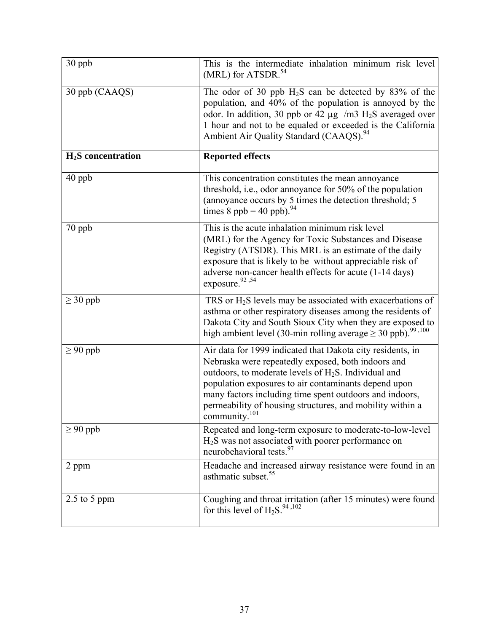| 30 ppb              | This is the intermediate inhalation minimum risk level<br>(MRL) for ATSDR. <sup>54</sup>                                                                                                                                                                                                                                                                                                 |
|---------------------|------------------------------------------------------------------------------------------------------------------------------------------------------------------------------------------------------------------------------------------------------------------------------------------------------------------------------------------------------------------------------------------|
| 30 ppb (CAAQS)      | The odor of 30 ppb $H_2S$ can be detected by 83% of the<br>population, and 40% of the population is annoyed by the<br>odor. In addition, 30 ppb or 42 $\mu$ g /m3 H <sub>2</sub> S averaged over<br>1 hour and not to be equaled or exceeded is the California<br>Ambient Air Quality Standard (CAAQS). <sup>94</sup>                                                                    |
| $H2S$ concentration | <b>Reported effects</b>                                                                                                                                                                                                                                                                                                                                                                  |
| 40 ppb              | This concentration constitutes the mean annoyance<br>threshold, i.e., odor annoyance for 50% of the population<br>(annoyance occurs by 5 times the detection threshold; 5<br>times 8 ppb = 40 ppb). <sup>94</sup>                                                                                                                                                                        |
| 70 ppb              | This is the acute inhalation minimum risk level<br>(MRL) for the Agency for Toxic Substances and Disease<br>Registry (ATSDR). This MRL is an estimate of the daily<br>exposure that is likely to be without appreciable risk of<br>adverse non-cancer health effects for acute (1-14 days)<br>exposure. <sup>92,54</sup>                                                                 |
| $\geq$ 30 ppb       | TRS or $H_2S$ levels may be associated with exacerbations of<br>asthma or other respiratory diseases among the residents of<br>Dakota City and South Sioux City when they are exposed to<br>high ambient level (30-min rolling average $\geq$ 30 ppb). <sup>99,100</sup>                                                                                                                 |
| $\geq 90$ ppb       | Air data for 1999 indicated that Dakota city residents, in<br>Nebraska were repeatedly exposed, both indoors and<br>outdoors, to moderate levels of $H_2S$ . Individual and<br>population exposures to air contaminants depend upon<br>many factors including time spent outdoors and indoors,<br>permeability of housing structures, and mobility within a<br>community. <sup>101</sup> |
| $\geq 90$ ppb       | Repeated and long-term exposure to moderate-to-low-level<br>$H_2S$ was not associated with poorer performance on<br>neurobehavioral tests. <sup>97</sup>                                                                                                                                                                                                                                 |
| 2 ppm               | Headache and increased airway resistance were found in an<br>asthmatic subset. <sup>55</sup>                                                                                                                                                                                                                                                                                             |
| $2.5$ to 5 ppm      | Coughing and throat irritation (after 15 minutes) were found<br>for this level of $H_2S$ . <sup>94,102</sup>                                                                                                                                                                                                                                                                             |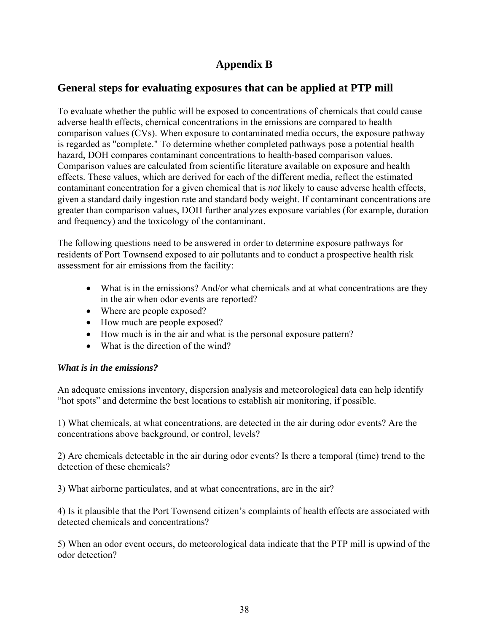## **Appendix B**

## **General steps for evaluating exposures that can be applied at PTP mill**

To evaluate whether the public will be exposed to concentrations of chemicals that could cause adverse health effects, chemical concentrations in the emissions are compared to health comparison values (CVs). When exposure to contaminated media occurs, the exposure pathway is regarded as "complete." To determine whether completed pathways pose a potential health hazard, DOH compares contaminant concentrations to health-based comparison values. Comparison values are calculated from scientific literature available on exposure and health effects. These values, which are derived for each of the different media, reflect the estimated contaminant concentration for a given chemical that is *not* likely to cause adverse health effects, given a standard daily ingestion rate and standard body weight. If contaminant concentrations are greater than comparison values, DOH further analyzes exposure variables (for example, duration and frequency) and the toxicology of the contaminant.

The following questions need to be answered in order to determine exposure pathways for residents of Port Townsend exposed to air pollutants and to conduct a prospective health risk assessment for air emissions from the facility:

- What is in the emissions? And/or what chemicals and at what concentrations are they in the air when odor events are reported?
- Where are people exposed?
- How much are people exposed?
- How much is in the air and what is the personal exposure pattern?
- What is the direction of the wind?

## *What is in the emissions?*

An adequate emissions inventory, dispersion analysis and meteorological data can help identify "hot spots" and determine the best locations to establish air monitoring, if possible.

1) What chemicals, at what concentrations, are detected in the air during odor events? Are the concentrations above background, or control, levels?

2) Are chemicals detectable in the air during odor events? Is there a temporal (time) trend to the detection of these chemicals?

3) What airborne particulates, and at what concentrations, are in the air?

4) Is it plausible that the Port Townsend citizen's complaints of health effects are associated with detected chemicals and concentrations?

5) When an odor event occurs, do meteorological data indicate that the PTP mill is upwind of the odor detection?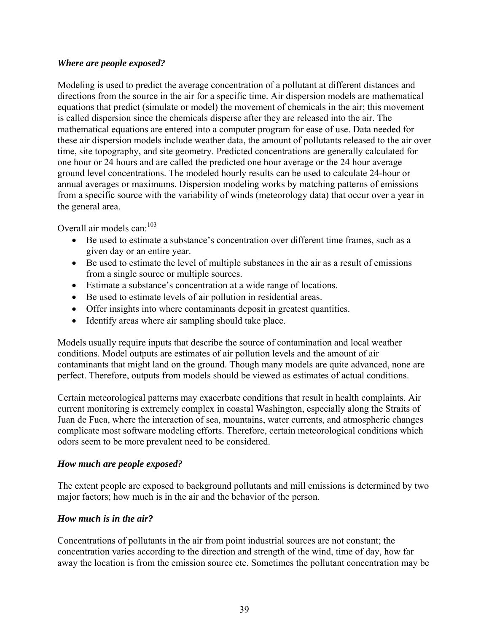#### *Where are people exposed?*

Modeling is used to predict the average concentration of a pollutant at different distances and directions from the source in the air for a specific time. Air dispersion models are mathematical equations that predict (simulate or model) the movement of chemicals in the air; this movement is called dispersion since the chemicals disperse after they are released into the air. The mathematical equations are entered into a computer program for ease of use. Data needed for these air dispersion models include weather data, the amount of pollutants released to the air over time, site topography, and site geometry. Predicted concentrations are generally calculated for one hour or 24 hours and are called the predicted one hour average or the 24 hour average ground level concentrations. The modeled hourly results can be used to calculate 24-hour or annual averages or maximums. Dispersion modeling works by matching patterns of emissions from a specific source with the variability of winds (meteorology data) that occur over a year in the general area.

Overall air models can:<sup>103</sup>

- Be used to estimate a substance's concentration over different time frames, such as a given day or an entire year.
- Be used to estimate the level of multiple substances in the air as a result of emissions from a single source or multiple sources.
- Estimate a substance's concentration at a wide range of locations.
- Be used to estimate levels of air pollution in residential areas.
- Offer insights into where contaminants deposit in greatest quantities.
- Identify areas where air sampling should take place.

Models usually require inputs that describe the source of contamination and local weather conditions. Model outputs are estimates of air pollution levels and the amount of air contaminants that might land on the ground. Though many models are quite advanced, none are perfect. Therefore, outputs from models should be viewed as estimates of actual conditions.

Certain meteorological patterns may exacerbate conditions that result in health complaints. Air current monitoring is extremely complex in coastal Washington, especially along the Straits of Juan de Fuca, where the interaction of sea, mountains, water currents, and atmospheric changes complicate most software modeling efforts. Therefore, certain meteorological conditions which odors seem to be more prevalent need to be considered.

## *How much are people exposed?*

The extent people are exposed to background pollutants and mill emissions is determined by two major factors; how much is in the air and the behavior of the person.

## *How much is in the air?*

Concentrations of pollutants in the air from point industrial sources are not constant; the concentration varies according to the direction and strength of the wind, time of day, how far away the location is from the emission source etc. Sometimes the pollutant concentration may be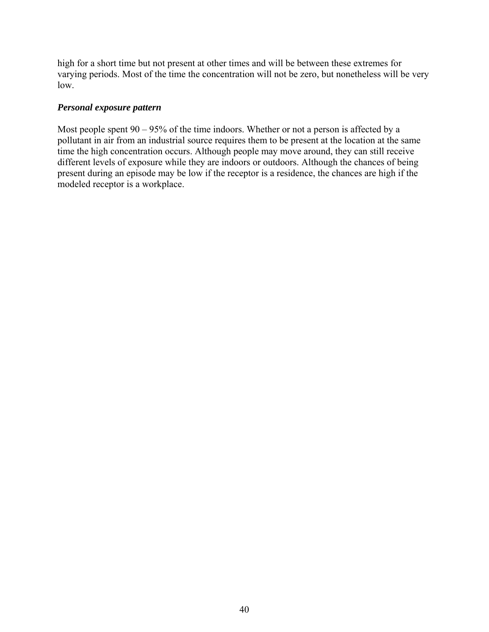high for a short time but not present at other times and will be between these extremes for varying periods. Most of the time the concentration will not be zero, but nonetheless will be very low.

#### *Personal exposure pattern*

Most people spent  $90 - 95\%$  of the time indoors. Whether or not a person is affected by a pollutant in air from an industrial source requires them to be present at the location at the same time the high concentration occurs. Although people may move around, they can still receive different levels of exposure while they are indoors or outdoors. Although the chances of being present during an episode may be low if the receptor is a residence, the chances are high if the modeled receptor is a workplace.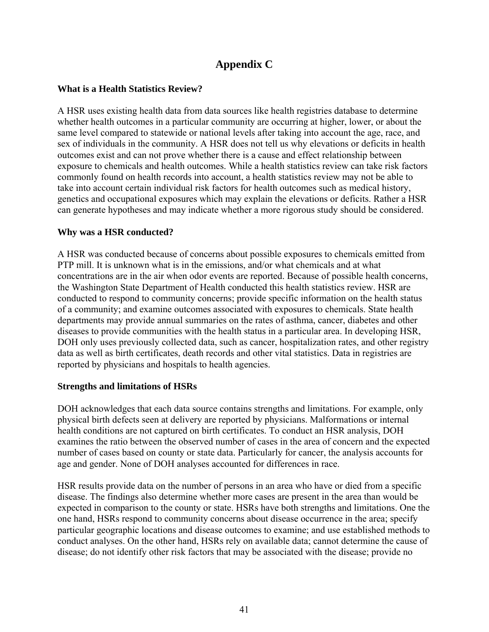## **Appendix C**

### **What is a Health Statistics Review?**

A HSR uses existing health data from data sources like health registries database to determine whether health outcomes in a particular community are occurring at higher, lower, or about the same level compared to statewide or national levels after taking into account the age, race, and sex of individuals in the community. A HSR does not tell us why elevations or deficits in health outcomes exist and can not prove whether there is a cause and effect relationship between exposure to chemicals and health outcomes. While a health statistics review can take risk factors commonly found on health records into account, a health statistics review may not be able to take into account certain individual risk factors for health outcomes such as medical history, genetics and occupational exposures which may explain the elevations or deficits. Rather a HSR can generate hypotheses and may indicate whether a more rigorous study should be considered.

#### **Why was a HSR conducted?**

A HSR was conducted because of concerns about possible exposures to chemicals emitted from PTP mill. It is unknown what is in the emissions, and/or what chemicals and at what concentrations are in the air when odor events are reported. Because of possible health concerns, the Washington State Department of Health conducted this health statistics review. HSR are conducted to respond to community concerns; provide specific information on the health status of a community; and examine outcomes associated with exposures to chemicals. State health departments may provide annual summaries on the rates of asthma, cancer, diabetes and other diseases to provide communities with the health status in a particular area. In developing HSR, DOH only uses previously collected data, such as cancer, hospitalization rates, and other registry data as well as birth certificates, death records and other vital statistics. Data in registries are reported by physicians and hospitals to health agencies.

#### **Strengths and limitations of HSRs**

DOH acknowledges that each data source contains strengths and limitations. For example, only physical birth defects seen at delivery are reported by physicians. Malformations or internal health conditions are not captured on birth certificates. To conduct an HSR analysis, DOH examines the ratio between the observed number of cases in the area of concern and the expected number of cases based on county or state data. Particularly for cancer, the analysis accounts for age and gender. None of DOH analyses accounted for differences in race.

HSR results provide data on the number of persons in an area who have or died from a specific disease. The findings also determine whether more cases are present in the area than would be expected in comparison to the county or state. HSRs have both strengths and limitations. One the one hand, HSRs respond to community concerns about disease occurrence in the area; specify particular geographic locations and disease outcomes to examine; and use established methods to conduct analyses. On the other hand, HSRs rely on available data; cannot determine the cause of disease; do not identify other risk factors that may be associated with the disease; provide no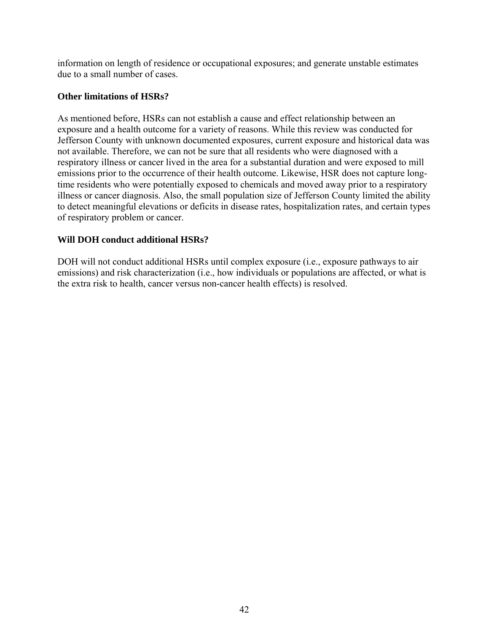information on length of residence or occupational exposures; and generate unstable estimates due to a small number of cases.

### **Other limitations of HSRs?**

As mentioned before, HSRs can not establish a cause and effect relationship between an exposure and a health outcome for a variety of reasons. While this review was conducted for Jefferson County with unknown documented exposures, current exposure and historical data was not available. Therefore, we can not be sure that all residents who were diagnosed with a respiratory illness or cancer lived in the area for a substantial duration and were exposed to mill emissions prior to the occurrence of their health outcome. Likewise, HSR does not capture longtime residents who were potentially exposed to chemicals and moved away prior to a respiratory illness or cancer diagnosis. Also, the small population size of Jefferson County limited the ability to detect meaningful elevations or deficits in disease rates, hospitalization rates, and certain types of respiratory problem or cancer.

#### **Will DOH conduct additional HSRs?**

DOH will not conduct additional HSRs until complex exposure (i.e., exposure pathways to air emissions) and risk characterization (i.e., how individuals or populations are affected, or what is the extra risk to health, cancer versus non-cancer health effects) is resolved.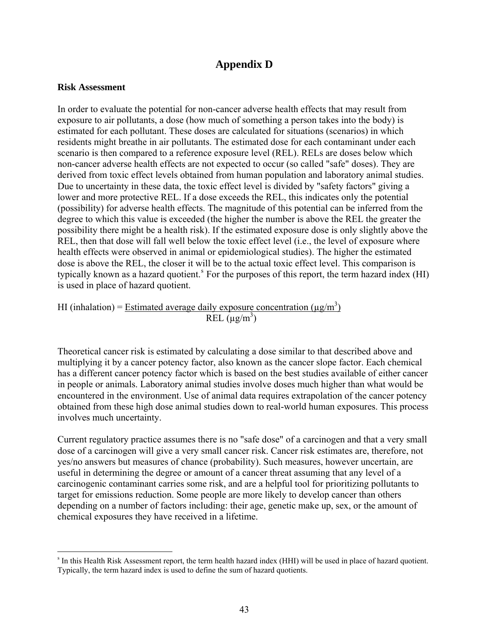## **Appendix D**

#### **Risk Assessment**

 $\overline{a}$ 

In order to evaluate the potential for non-cancer adverse health effects that may result from exposure to air pollutants, a dose (how much of something a person takes into the body) is estimated for each pollutant. These doses are calculated for situations (scenarios) in which residents might breathe in air pollutants. The estimated dose for each contaminant under each scenario is then compared to a reference exposure level (REL). RELs are doses below which non-cancer adverse health effects are not expected to occur (so called "safe" doses). They are derived from toxic effect levels obtained from human population and laboratory animal studies. Due to uncertainty in these data, the toxic effect level is divided by "safety factors" giving a lower and more protective REL. If a dose exceeds the REL, this indicates only the potential (possibility) for adverse health effects. The magnitude of this potential can be inferred from the degree to which this value is exceeded (the higher the number is above the REL the greater the possibility there might be a health risk). If the estimated exposure dose is only slightly above the REL, then that dose will fall well below the toxic effect level (i.e., the level of exposure where health effects were observed in animal or epidemiological studies). The higher the estimated dose is above the REL, the closer it will be to the actual toxic effect level. This comparison is typically known a[s](#page-43-0) a hazard quotient.<sup>8</sup> For the purposes of this report, the term hazard index (HI) is used in place of hazard quotient.

HI (inhalation) = Estimated average daily exposure concentration ( $\mu$ g/m<sup>3</sup>)  $REL (\mu g/m^3)$ 

Theoretical cancer risk is estimated by calculating a dose similar to that described above and multiplying it by a cancer potency factor, also known as the cancer slope factor. Each chemical has a different cancer potency factor which is based on the best studies available of either cancer in people or animals. Laboratory animal studies involve doses much higher than what would be encountered in the environment. Use of animal data requires extrapolation of the cancer potency obtained from these high dose animal studies down to real-world human exposures. This process involves much uncertainty.

Current regulatory practice assumes there is no "safe dose" of a carcinogen and that a very small dose of a carcinogen will give a very small cancer risk. Cancer risk estimates are, therefore, not yes/no answers but measures of chance (probability). Such measures, however uncertain, are useful in determining the degree or amount of a cancer threat assuming that any level of a carcinogenic contaminant carries some risk, and are a helpful tool for prioritizing pollutants to target for emissions reduction. Some people are more likely to develop cancer than others depending on a number of factors including: their age, genetic make up, sex, or the amount of chemical exposures they have received in a lifetime.

<span id="page-43-0"></span>s In this Health Risk Assessment report, the term health hazard index (HHI) will be used in place of hazard quotient. Typically, the term hazard index is used to define the sum of hazard quotients.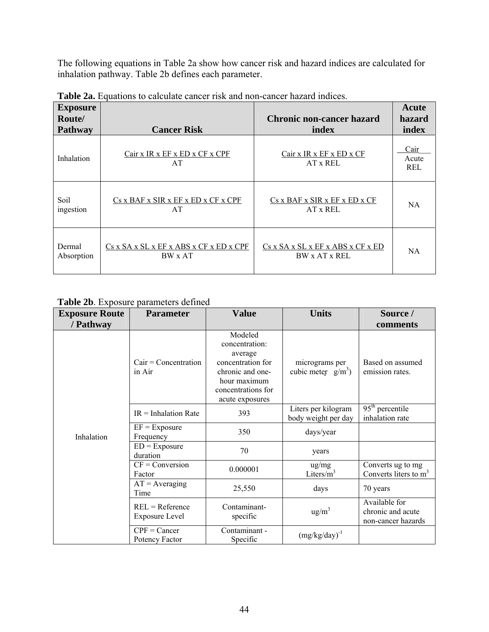The following equations in Table 2a show how cancer risk and hazard indices are calculated for inhalation pathway. Table 2b defines each parameter.

| <b>Exposure</b><br>Route/<br><b>Pathway</b> | <b>Cancer Risk</b>                                      | <b>Chronic non-cancer hazard</b><br>index | Acute<br>hazard<br>index |
|---------------------------------------------|---------------------------------------------------------|-------------------------------------------|--------------------------|
| Inhalation                                  | Cair x IR x EF x ED x CF x CPF<br>AT                    | Cair x IR x EF x ED x CF<br>AT x REL      | Cair<br>Acute<br>REL     |
| Soil                                        | Cs x BAF x SIR x EF x ED x CF x CPF                     | Cs x BAF x SIR x EF x ED x CF             | NA                       |
| ingestion                                   | AT                                                      | AT x REL                                  |                          |
| Dermal                                      | $Cs$ x $SA$ x $SL$ x $EF$ x $ABS$ x $CF$ x $ED$ x $CPF$ | Cs x SA x SL x EF x ABS x CF x ED         | NA.                      |
| Absorption                                  | BW x AT                                                 | BW x AT x REL                             |                          |

**Table 2a.** Equations to calculate cancer risk and non-cancer hazard indices.

#### **Table 2b**. Exposure parameters defined

| <b>Exposure Route</b><br>/ Pathway | <b>Parameter</b>                           | <b>Value</b>                                                                                                                           | <b>Units</b>                               | Source /<br>comments                                     |
|------------------------------------|--------------------------------------------|----------------------------------------------------------------------------------------------------------------------------------------|--------------------------------------------|----------------------------------------------------------|
| Inhalation                         | $Cair =$ Concentration<br>in Air           | Modeled<br>concentration:<br>average<br>concentration for<br>chronic and one-<br>hour maximum<br>concentrations for<br>acute exposures | micrograms per<br>cubic meter $g/m^3$ )    | Based on assumed<br>emission rates.                      |
|                                    | $IR = Inhalation Rate$                     | 393                                                                                                                                    | Liters per kilogram<br>body weight per day | $95th$ percentile<br>inhalation rate                     |
|                                    | $EF = Exposure$<br>Frequency               | 350                                                                                                                                    | days/year                                  |                                                          |
|                                    | $ED = Exposure$<br>duration                | 70                                                                                                                                     | years                                      |                                                          |
|                                    | $CF = Conversion$<br>Factor                | 0.000001                                                                                                                               | ug/mg<br>Liters/ $\overline{m}^3$          | Converts ug to mg<br>Converts liters to $m3$             |
|                                    | $AT = Averageing$<br>Time                  | 25,550                                                                                                                                 | days                                       | 70 years                                                 |
|                                    | $REL = Reference$<br><b>Exposure Level</b> | Contaminant-<br>specific                                                                                                               | $\text{ug/m}^3$                            | Available for<br>chronic and acute<br>non-cancer hazards |
|                                    | $CPF = Cancer$<br>Potency Factor           | Contaminant -<br>Specific                                                                                                              | $(mg/kg/day)^{-1}$                         |                                                          |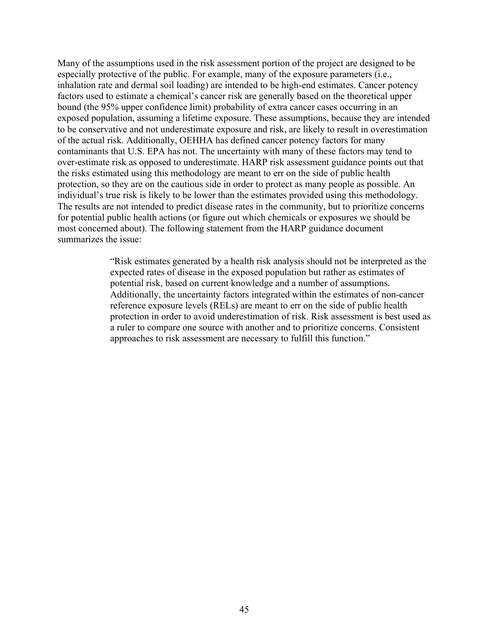Many of the assumptions used in the risk assessment portion of the project are designed to be especially protective of the public. For example, many of the exposure parameters (i.e., inhalation rate and dermal soil loading) are intended to be high-end estimates. Cancer potency factors used to estimate a chemical's cancer risk are generally based on the theoretical upper bound (the 95% upper confidence limit) probability of extra cancer cases occurring in an exposed population, assuming a lifetime exposure. These assumptions, because they are intended to be conservative and not underestimate exposure and risk, are likely to result in overestimation of the actual risk. Additionally, OEHHA has defined cancer potency factors for many contaminants that U.S. EPA has not. The uncertainty with many of these factors may tend to over-estimate risk as opposed to underestimate. HARP risk assessment guidance points out that the risks estimated using this methodology are meant to err on the side of public health protection, so they are on the cautious side in order to protect as many people as possible. An individual's true risk is likely to be lower than the estimates provided using this methodology. The results are not intended to predict disease rates in the community, but to prioritize concerns for potential public health actions (or figure out which chemicals or exposures we should be most concerned about). The following statement from the HARP guidance document summarizes the issue:

> "Risk estimates generated by a health risk analysis should not be interpreted as the expected rates of disease in the exposed population but rather as estimates of potential risk, based on current knowledge and a number of assumptions. Additionally, the uncertainty factors integrated within the estimates of non-cancer reference exposure levels (RELs) are meant to err on the side of public health protection in order to avoid underestimation of risk. Risk assessment is best used as a ruler to compare one source with another and to prioritize concerns. Consistent approaches to risk assessment are necessary to fulfill this function."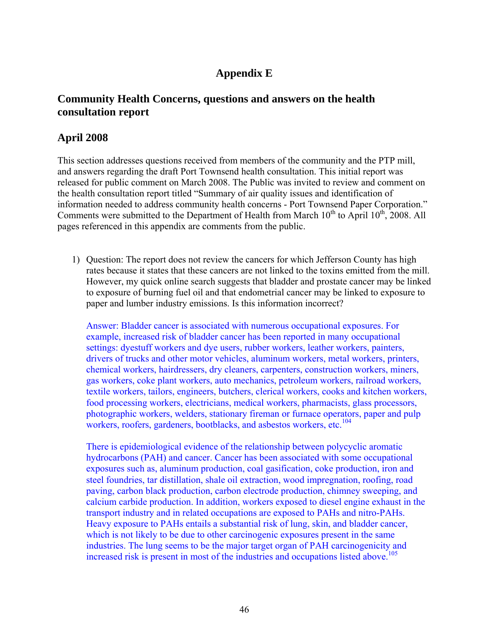## **Appendix E**

## **Community Health Concerns, questions and answers on the health consultation report**

## **April 2008**

This section addresses questions received from members of the community and the PTP mill, and answers regarding the draft Port Townsend health consultation. This initial report was released for public comment on March 2008. The Public was invited to review and comment on the health consultation report titled "Summary of air quality issues and identification of information needed to address community health concerns - Port Townsend Paper Corporation." Comments were submitted to the Department of Health from March  $10^{th}$  to April  $10^{th}$ , 2008. All pages referenced in this appendix are comments from the public.

1) Question: The report does not review the cancers for which Jefferson County has high rates because it states that these cancers are not linked to the toxins emitted from the mill. However, my quick online search suggests that bladder and prostate cancer may be linked to exposure of burning fuel oil and that endometrial cancer may be linked to exposure to paper and lumber industry emissions. Is this information incorrect?

Answer: Bladder cancer is associated with numerous occupational exposures. For example, increased risk of bladder cancer has been reported in many occupational settings: dyestuff workers and dye users, rubber workers, leather workers, painters, drivers of trucks and other motor vehicles, aluminum workers, metal workers, printers, chemical workers, hairdressers, dry cleaners, carpenters, construction workers, miners, gas workers, coke plant workers, auto mechanics, petroleum workers, railroad workers, textile workers, tailors, engineers, butchers, clerical workers, cooks and kitchen workers, food processing workers, electricians, medical workers, pharmacists, glass processors, photographic workers, welders, stationary fireman or furnace operators, paper and pulp workers, roofers, gardeners, bootblacks, and asbestos workers, etc.<sup>104</sup>

There is epidemiological evidence of the relationship between polycyclic aromatic hydrocarbons (PAH) and cancer. Cancer has been associated with some occupational exposures such as, aluminum production, coal gasification, coke production, iron and steel foundries, tar distillation, shale oil extraction, wood impregnation, roofing, road paving, carbon black production, carbon electrode production, chimney sweeping, and calcium carbide production. In addition, workers exposed to diesel engine exhaust in the transport industry and in related occupations are exposed to PAHs and nitro-PAHs. Heavy exposure to PAHs entails a substantial risk of lung, skin, and bladder cancer, which is not likely to be due to other carcinogenic exposures present in the same industries. The lung seems to be the major target organ of PAH carcinogenicity and increased risk is present in most of the industries and occupations listed above.<sup>105</sup>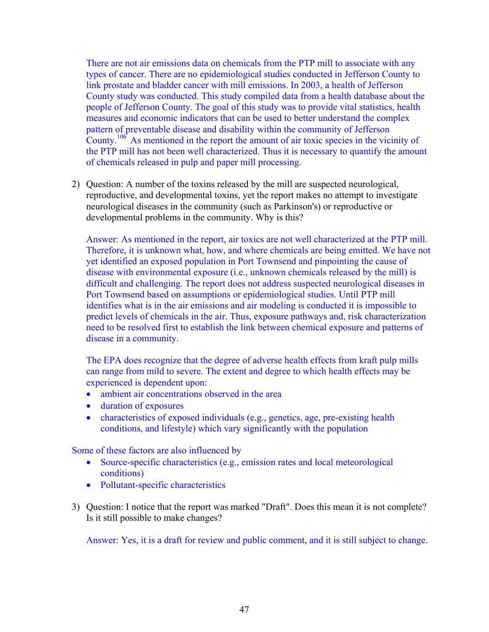There are not air emissions data on chemicals from the PTP mill to associate with any types of cancer. There are no epidemiological studies conducted in Jefferson County to link prostate and bladder cancer with mill emissions. In 2003, a health of Jefferson County study was conducted. This study compiled data from a health database about the people of Jefferson County. The goal of this study was to provide vital statistics, health measures and economic indicators that can be used to better understand the complex pattern of preventable disease and disability within the community of Jefferson County.<sup>106</sup> As mentioned in the report the amount of air toxic species in the vicinity of the PTP mill has not been well characterized. Thus it is necessary to quantify the amount of chemicals released in pulp and paper mill processing.

2) Question: A number of the toxins released by the mill are suspected neurological, reproductive, and developmental toxins, yet the report makes no attempt to investigate neurological diseases in the community (such as Parkinson's) or reproductive or developmental problems in the community. Why is this?

Answer: As mentioned in the report, air toxics are not well characterized at the PTP mill. Therefore, it is unknown what, how, and where chemicals are being emitted. We have not yet identified an exposed population in Port Townsend and pinpointing the cause of disease with environmental exposure (i.e., unknown chemicals released by the mill) is difficult and challenging. The report does not address suspected neurological diseases in Port Townsend based on assumptions or epidemiological studies. Until PTP mill identifies what is in the air emissions and air modeling is conducted it is impossible to predict levels of chemicals in the air. Thus, exposure pathways and, risk characterization need to be resolved first to establish the link between chemical exposure and patterns of disease in a community.

The EPA does recognize that the degree of adverse health effects from kraft pulp mills can range from mild to severe. The extent and degree to which health effects may be experienced is dependent upon:

- ambient air concentrations observed in the area
- duration of exposures
- characteristics of exposed individuals (e.g., genetics, age, pre-existing health conditions, and lifestyle) which vary significantly with the population

Some of these factors are also influenced by

- Source-specific characteristics (e.g., emission rates and local meteorological conditions)
- Pollutant-specific characteristics
- 3) Question: I notice that the report was marked "Draft". Does this mean it is not complete? Is it still possible to make changes?

Answer: Yes, it is a draft for review and public comment, and it is still subject to change.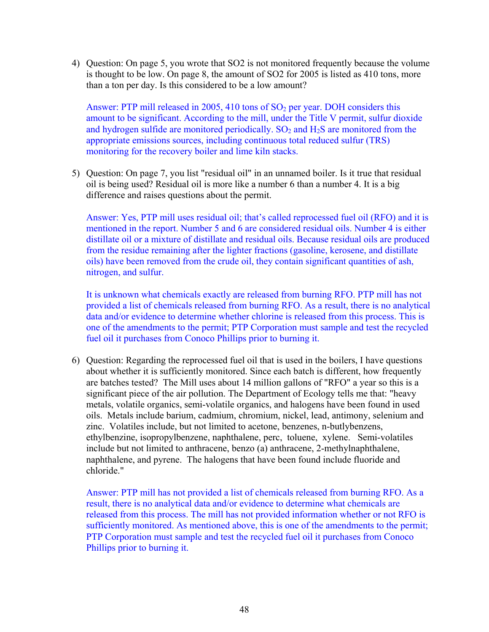4) Question: On page 5, you wrote that SO2 is not monitored frequently because the volume is thought to be low. On page 8, the amount of SO2 for 2005 is listed as 410 tons, more than a ton per day. Is this considered to be a low amount?

Answer: PTP mill released in 2005, 410 tons of  $SO<sub>2</sub>$  per year. DOH considers this amount to be significant. According to the mill, under the Title V permit, sulfur dioxide and hydrogen sulfide are monitored periodically.  $SO_2$  and  $H_2S$  are monitored from the appropriate emissions sources, including continuous total reduced sulfur (TRS) monitoring for the recovery boiler and lime kiln stacks.

5) Question: On page 7, you list "residual oil" in an unnamed boiler. Is it true that residual oil is being used? Residual oil is more like a number 6 than a number 4. It is a big difference and raises questions about the permit.

Answer: Yes, PTP mill uses residual oil; that's called reprocessed fuel oil (RFO) and it is mentioned in the report. Number 5 and 6 are considered residual oils. Number 4 is either distillate oil or a mixture of distillate and residual oils. Because residual oils are produced from the residue remaining after the lighter fractions (gasoline, kerosene, and distillate oils) have been removed from the crude oil, they contain significant quantities of ash, nitrogen, and sulfur.

It is unknown what chemicals exactly are released from burning RFO. PTP mill has not provided a list of chemicals released from burning RFO. As a result, there is no analytical data and/or evidence to determine whether chlorine is released from this process. This is one of the amendments to the permit; PTP Corporation must sample and test the recycled fuel oil it purchases from Conoco Phillips prior to burning it.

6) Question: Regarding the reprocessed fuel oil that is used in the boilers, I have questions about whether it is sufficiently monitored. Since each batch is different, how frequently are batches tested? The Mill uses about 14 million gallons of "RFO" a year so this is a significant piece of the air pollution. The Department of Ecology tells me that: "heavy metals, volatile organics, semi-volatile organics, and halogens have been found in used oils. Metals include barium, cadmium, chromium, nickel, lead, antimony, selenium and zinc. Volatiles include, but not limited to acetone, benzenes, n-butlybenzens, ethylbenzine, isopropylbenzene, naphthalene, perc, toluene, xylene. Semi-volatiles include but not limited to anthracene, benzo (a) anthracene, 2-methylnaphthalene, naphthalene, and pyrene. The halogens that have been found include fluoride and chloride."

Answer: PTP mill has not provided a list of chemicals released from burning RFO. As a result, there is no analytical data and/or evidence to determine what chemicals are released from this process. The mill has not provided information whether or not RFO is sufficiently monitored. As mentioned above, this is one of the amendments to the permit; PTP Corporation must sample and test the recycled fuel oil it purchases from Conoco Phillips prior to burning it.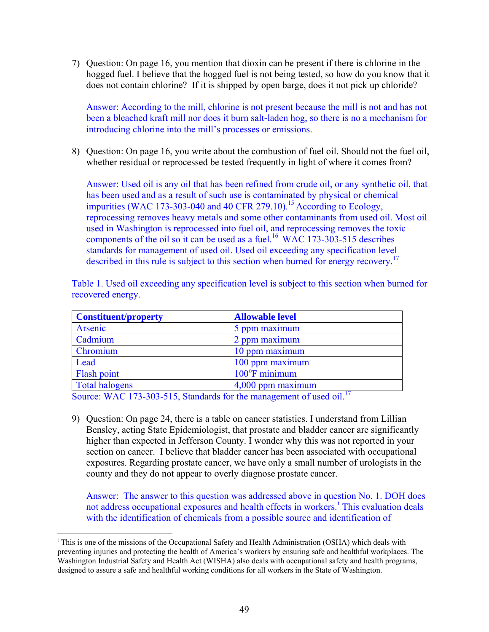7) Question: On page 16, you mention that dioxin can be present if there is chlorine in the hogged fuel. I believe that the hogged fuel is not being tested, so how do you know that it does not contain chlorine? If it is shipped by open barge, does it not pick up chloride?

Answer: According to the mill, chlorine is not present because the mill is not and has not been a bleached kraft mill nor does it burn salt-laden hog, so there is no a mechanism for introducing chlorine into the mill's processes or emissions.

8) Question: On page 16, you write about the combustion of fuel oil. Should not the fuel oil, whether residual or reprocessed be tested frequently in light of where it comes from?

Answer: Used oil is any oil that has been refined from crude oil, or any synthetic oil, that has been used and as a result of such use is contaminated by physical or chemical impurities (WAC 173-303-040 and 40 CFR 279.10).<sup>15</sup> According to Ecology, reprocessing removes heavy metals and some other contaminants from used oil. Most oil used in Washington is reprocessed into fuel oil, and reprocessing removes the toxic components of the oil so it can be used as a fuel.<sup>16</sup> WAC 173-303-515 describes standards for management of used oil. Used oil exceeding any specification level described in this rule is subject to this section when burned for energy recovery.<sup>17</sup>

Table 1. Used oil exceeding any specification level is subject to this section when burned for recovered energy.

| <b>Constituent/property</b> | <b>Allowable level</b>  |
|-----------------------------|-------------------------|
| Arsenic                     | 5 ppm maximum           |
| Cadmium                     | 2 ppm maximum           |
| Chromium                    | 10 ppm maximum          |
| Lead                        | 100 ppm maximum         |
| Flash point                 | $100^{\circ}$ F minimum |
| <b>Total halogens</b>       | 4,000 ppm maximum       |

Source: WAC 173-303-515, Standards for the management of used oil.<sup>17</sup>

 $\overline{a}$ 

9) Question: On page 24, there is a table on cancer statistics. I understand from Lillian Bensley, acting State Epidemiologist, that prostate and bladder cancer are significantly higher than expected in Jefferson County. I wonder why this was not reported in your section on cancer. I believe that bladder cancer has been associated with occupational exposures. Regarding prostate cancer, we have only a small number of urologists in the county and they do not appear to overly diagnose prostate cancer.

Answer: The answer to this question was addressed above in question No. 1. DOH does no[t](#page-49-0) address occupational exposures and health effects in workers.<sup>t</sup> This evaluation deals with the identification of chemicals from a possible source and identification of

<span id="page-49-0"></span><sup>&</sup>lt;sup>t</sup> This is one of the missions of the Occupational Safety and Health Administration (OSHA) which deals with preventing injuries and protecting the health of America's workers by ensuring safe and healthful workplaces. The Washington Industrial Safety and Health Act (WISHA) also deals with occupational safety and health programs, designed to assure a safe and healthful working conditions for all workers in the State of Washington.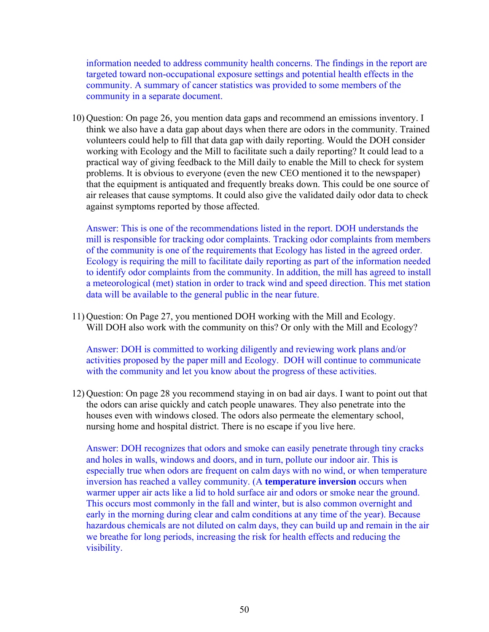information needed to address community health concerns. The findings in the report are targeted toward non-occupational exposure settings and potential health effects in the community. A summary of cancer statistics was provided to some members of the community in a separate document.

10) Question: On page 26, you mention data gaps and recommend an emissions inventory. I think we also have a data gap about days when there are odors in the community. Trained volunteers could help to fill that data gap with daily reporting. Would the DOH consider working with Ecology and the Mill to facilitate such a daily reporting? It could lead to a practical way of giving feedback to the Mill daily to enable the Mill to check for system problems. It is obvious to everyone (even the new CEO mentioned it to the newspaper) that the equipment is antiquated and frequently breaks down. This could be one source of air releases that cause symptoms. It could also give the validated daily odor data to check against symptoms reported by those affected.

Answer: This is one of the recommendations listed in the report. DOH understands the mill is responsible for tracking odor complaints. Tracking odor complaints from members of the community is one of the requirements that Ecology has listed in the agreed order. Ecology is requiring the mill to facilitate daily reporting as part of the information needed to identify odor complaints from the community. In addition, the mill has agreed to install a meteorological (met) station in order to track wind and speed direction. This met station data will be available to the general public in the near future.

11) Question: On Page 27, you mentioned DOH working with the Mill and Ecology. Will DOH also work with the community on this? Or only with the Mill and Ecology?

Answer: DOH is committed to working diligently and reviewing work plans and/or activities proposed by the paper mill and Ecology. DOH will continue to communicate with the community and let you know about the progress of these activities.

12) Question: On page 28 you recommend staying in on bad air days. I want to point out that the odors can arise quickly and catch people unawares. They also penetrate into the houses even with windows closed. The odors also permeate the elementary school, nursing home and hospital district. There is no escape if you live here.

Answer: DOH recognizes that odors and smoke can easily penetrate through tiny cracks and holes in walls, windows and doors, and in turn, pollute our indoor air. This is especially true when odors are frequent on calm days with no wind, or when temperature inversion has reached a valley community. (A **temperature inversion** occurs when warmer upper air acts like a lid to hold surface air and odors or smoke near the ground. This occurs most commonly in the fall and winter, but is also common overnight and early in the morning during clear and calm conditions at any time of the year). Because hazardous chemicals are not diluted on calm days, they can build up and remain in the air we breathe for long periods, increasing the risk for health effects and reducing the visibility.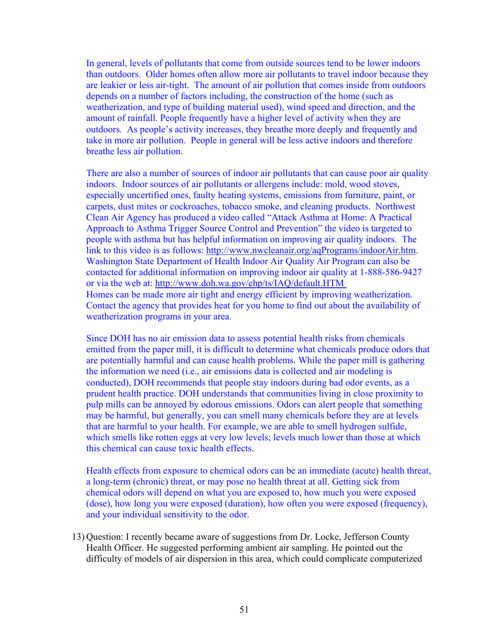In general, levels of pollutants that come from outside sources tend to be lower indoors than outdoors. Older homes often allow more air pollutants to travel indoor because they are leakier or less air-tight. The amount of air pollution that comes inside from outdoors depends on a number of factors including, the construction of the home (such as weatherization, and type of building material used), wind speed and direction, and the amount of rainfall. People frequently have a higher level of activity when they are outdoors. As people's activity increases, they breathe more deeply and frequently and take in more air pollution. People in general will be less active indoors and therefore breathe less air pollution.

There are also a number of sources of indoor air pollutants that can cause poor air quality indoors. Indoor sources of air pollutants or allergens include: mold, wood stoves, especially uncertified ones, faulty heating systems, emissions from furniture, paint, or carpets, dust mites or cockroaches, tobacco smoke, and cleaning products. Northwest Clean Air Agency has produced a video called "Attack Asthma at Home: A Practical Approach to Asthma Trigger Source Control and Prevention" the video is targeted to people with asthma but has helpful information on improving air quality indoors. The link to this video is as follows: [http://www.nwcleanair.org/aqPrograms/indoorAir.htm.](http://www.nwcleanair.org/aqPrograms/indoorAir.htm) Washington State Department of Health Indoor Air Quality Air Program can also be contacted for additional information on improving indoor air quality at 1-888-586-9427 or via the web at:<http://www.doh.wa.gov/ehp/ts/IAQ/default.HTM> Homes can be made more air tight and energy efficient by improving weatherization. Contact the agency that provides heat for you home to find out about the availability of weatherization programs in your area.

Since DOH has no air emission data to assess potential health risks from chemicals emitted from the paper mill, it is difficult to determine what chemicals produce odors that are potentially harmful and can cause health problems. While the paper mill is gathering the information we need (i.e., air emissions data is collected and air modeling is conducted), DOH recommends that people stay indoors during bad odor events, as a prudent health practice. DOH understands that communities living in close proximity to pulp mills can be annoyed by odorous emissions. Odors can alert people that something may be harmful, but generally, you can smell many chemicals before they are at levels that are harmful to your health. For example, we are able to smell hydrogen sulfide, which smells like rotten eggs at very low levels; levels much lower than those at which this chemical can cause toxic health effects.

Health effects from exposure to chemical odors can be an immediate (acute) health threat, a long-term (chronic) threat, or may pose no health threat at all. Getting sick from chemical odors will depend on what you are exposed to, how much you were exposed (dose), how long you were exposed (duration), how often you were exposed (frequency), and your individual sensitivity to the odor.

13) Question: I recently became aware of suggestions from Dr. Locke, Jefferson County Health Officer. He suggested performing ambient air sampling. He pointed out the difficulty of models of air dispersion in this area, which could complicate computerized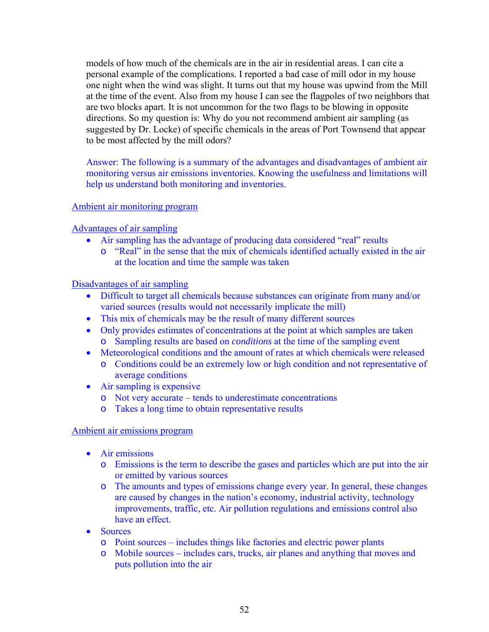models of how much of the chemicals are in the air in residential areas. I can cite a personal example of the complications. I reported a bad case of mill odor in my house one night when the wind was slight. It turns out that my house was upwind from the Mill at the time of the event. Also from my house I can see the flagpoles of two neighbors that are two blocks apart. It is not uncommon for the two flags to be blowing in opposite directions. So my question is: Why do you not recommend ambient air sampling (as suggested by Dr. Locke) of specific chemicals in the areas of Port Townsend that appear to be most affected by the mill odors?

Answer: The following is a summary of the advantages and disadvantages of ambient air monitoring versus air emissions inventories. Knowing the usefulness and limitations will help us understand both monitoring and inventories.

## Ambient air monitoring program

Advantages of air sampling

- Air sampling has the advantage of producing data considered "real" results
	- o "Real" in the sense that the mix of chemicals identified actually existed in the air at the location and time the sample was taken

#### Disadvantages of air sampling

- Difficult to target all chemicals because substances can originate from many and/or varied sources (results would not necessarily implicate the mill)
- This mix of chemicals may be the result of many different sources
- Only provides estimates of concentrations at the point at which samples are taken o Sampling results are based on *conditions* at the time of the sampling event
- Meteorological conditions and the amount of rates at which chemicals were released o Conditions could be an extremely low or high condition and not representative of average conditions
- Air sampling is expensive
	- o Not very accurate tends to underestimate concentrations
	- o Takes a long time to obtain representative results

#### Ambient air emissions program

- Air emissions
	- o Emissions is the term to describe the gases and particles which are put into the air or emitted by various sources
	- o The amounts and types of emissions change every year. In general, these changes are caused by changes in the nation's economy, industrial activity, technology improvements, traffic, etc. Air pollution regulations and emissions control also have an effect.
- Sources
	- o Point sources includes things like factories and electric power plants
	- o Mobile sources includes cars, trucks, air planes and anything that moves and puts pollution into the air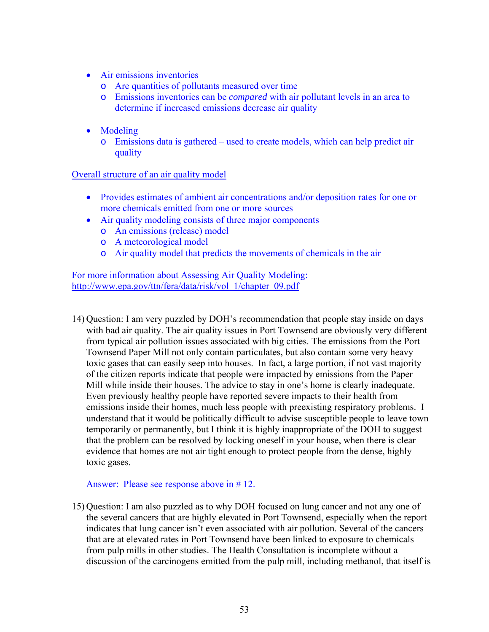- Air emissions inventories
	- o Are quantities of pollutants measured over time
	- o Emissions inventories can be *compared* with air pollutant levels in an area to determine if increased emissions decrease air quality
- Modeling
	- o Emissions data is gathered used to create models, which can help predict air quality

Overall structure of an air quality model

- Provides estimates of ambient air concentrations and/or deposition rates for one or more chemicals emitted from one or more sources
- Air quality modeling consists of three major components
	- o An emissions (release) model
	- o A meteorological model
	- o Air quality model that predicts the movements of chemicals in the air

For more information about Assessing Air Quality Modeling: [http://www.epa.gov/ttn/fera/data/risk/vol\\_1/chapter\\_09.pdf](http://www.epa.gov/ttn/fera/data/risk/vol_1/chapter_09.pdf)

14) Question: I am very puzzled by DOH's recommendation that people stay inside on days with bad air quality. The air quality issues in Port Townsend are obviously very different from typical air pollution issues associated with big cities. The emissions from the Port Townsend Paper Mill not only contain particulates, but also contain some very heavy toxic gases that can easily seep into houses. In fact, a large portion, if not vast majority of the citizen reports indicate that people were impacted by emissions from the Paper Mill while inside their houses. The advice to stay in one's home is clearly inadequate. Even previously healthy people have reported severe impacts to their health from emissions inside their homes, much less people with preexisting respiratory problems. I understand that it would be politically difficult to advise susceptible people to leave town temporarily or permanently, but I think it is highly inappropriate of the DOH to suggest that the problem can be resolved by locking oneself in your house, when there is clear evidence that homes are not air tight enough to protect people from the dense, highly toxic gases.

#### Answer: Please see response above in # 12.

15) Question: I am also puzzled as to why DOH focused on lung cancer and not any one of the several cancers that are highly elevated in Port Townsend, especially when the report indicates that lung cancer isn't even associated with air pollution. Several of the cancers that are at elevated rates in Port Townsend have been linked to exposure to chemicals from pulp mills in other studies. The Health Consultation is incomplete without a discussion of the carcinogens emitted from the pulp mill, including methanol, that itself is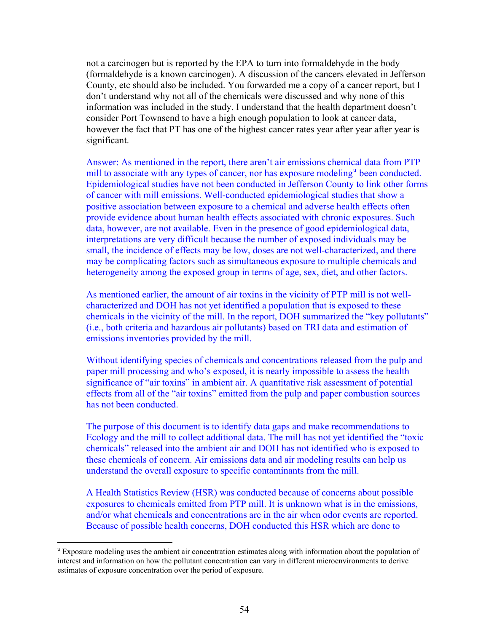not a carcinogen but is reported by the EPA to turn into formaldehyde in the body (formaldehyde is a known carcinogen). A discussion of the cancers elevated in Jefferson County, etc should also be included. You forwarded me a copy of a cancer report, but I don't understand why not all of the chemicals were discussed and why none of this information was included in the study. I understand that the health department doesn't consider Port Townsend to have a high enough population to look at cancer data, however the fact that PT has one of the highest cancer rates year after year after year is significant.

Answer: As mentioned in the report, there aren't air emissions chemical data from PTP mill to associate with any types of cancer, nor has expos[u](#page-54-0)re modeling<sup>u</sup> been conducted. Epidemiological studies have not been conducted in Jefferson County to link other forms of cancer with mill emissions. Well-conducted epidemiological studies that show a positive association between exposure to a chemical and adverse health effects often provide evidence about human health effects associated with chronic exposures. Such data, however, are not available. Even in the presence of good epidemiological data, interpretations are very difficult because the number of exposed individuals may be small, the incidence of effects may be low, doses are not well-characterized, and there may be complicating factors such as simultaneous exposure to multiple chemicals and heterogeneity among the exposed group in terms of age, sex, diet, and other factors.

As mentioned earlier, the amount of air toxins in the vicinity of PTP mill is not wellcharacterized and DOH has not yet identified a population that is exposed to these chemicals in the vicinity of the mill. In the report, DOH summarized the "key pollutants" (i.e., both criteria and hazardous air pollutants) based on TRI data and estimation of emissions inventories provided by the mill.

Without identifying species of chemicals and concentrations released from the pulp and paper mill processing and who's exposed, it is nearly impossible to assess the health significance of "air toxins" in ambient air. A quantitative risk assessment of potential effects from all of the "air toxins" emitted from the pulp and paper combustion sources has not been conducted.

The purpose of this document is to identify data gaps and make recommendations to Ecology and the mill to collect additional data. The mill has not yet identified the "toxic chemicals" released into the ambient air and DOH has not identified who is exposed to these chemicals of concern. Air emissions data and air modeling results can help us understand the overall exposure to specific contaminants from the mill.

A Health Statistics Review (HSR) was conducted because of concerns about possible exposures to chemicals emitted from PTP mill. It is unknown what is in the emissions, and/or what chemicals and concentrations are in the air when odor events are reported. Because of possible health concerns, DOH conducted this HSR which are done to

1

<span id="page-54-0"></span><sup>&</sup>lt;sup>u</sup> Exposure modeling uses the ambient air concentration estimates along with information about the population of interest and information on how the pollutant concentration can vary in different microenvironments to derive estimates of exposure concentration over the period of exposure.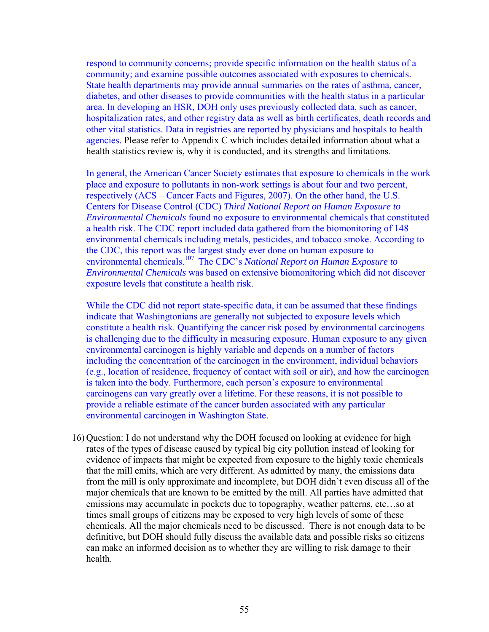respond to community concerns; provide specific information on the health status of a community; and examine possible outcomes associated with exposures to chemicals. State health departments may provide annual summaries on the rates of asthma, cancer, diabetes, and other diseases to provide communities with the health status in a particular area. In developing an HSR, DOH only uses previously collected data, such as cancer, hospitalization rates, and other registry data as well as birth certificates, death records and other vital statistics. Data in registries are reported by physicians and hospitals to health agencies. Please refer to Appendix C which includes detailed information about what a health statistics review is, why it is conducted, and its strengths and limitations.

In general, the American Cancer Society estimates that exposure to chemicals in the work place and exposure to pollutants in non-work settings is about four and two percent, respectively (ACS – Cancer Facts and Figures, 2007). On the other hand, the U.S. Centers for Disease Control (CDC) *Third National Report on Human Exposure to Environmental Chemicals* found no exposure to environmental chemicals that constituted a health risk. The CDC report included data gathered from the biomonitoring of 148 environmental chemicals including metals, pesticides, and tobacco smoke. According to the CDC, this report was the largest study ever done on human exposure to environmental chemicals.107 The CDC's *National Report on Human Exposure to Environmental Chemicals* was based on extensive biomonitoring which did not discover exposure levels that constitute a health risk.

While the CDC did not report state-specific data, it can be assumed that these findings indicate that Washingtonians are generally not subjected to exposure levels which constitute a health risk. Quantifying the cancer risk posed by environmental carcinogens is challenging due to the difficulty in measuring exposure. Human exposure to any given environmental carcinogen is highly variable and depends on a number of factors including the concentration of the carcinogen in the environment, individual behaviors (e.g., location of residence, frequency of contact with soil or air), and how the carcinogen is taken into the body. Furthermore, each person's exposure to environmental carcinogens can vary greatly over a lifetime. For these reasons, it is not possible to provide a reliable estimate of the cancer burden associated with any particular environmental carcinogen in Washington State.

16) Question: I do not understand why the DOH focused on looking at evidence for high rates of the types of disease caused by typical big city pollution instead of looking for evidence of impacts that might be expected from exposure to the highly toxic chemicals that the mill emits, which are very different. As admitted by many, the emissions data from the mill is only approximate and incomplete, but DOH didn't even discuss all of the major chemicals that are known to be emitted by the mill. All parties have admitted that emissions may accumulate in pockets due to topography, weather patterns, etc…so at times small groups of citizens may be exposed to very high levels of some of these chemicals. All the major chemicals need to be discussed. There is not enough data to be definitive, but DOH should fully discuss the available data and possible risks so citizens can make an informed decision as to whether they are willing to risk damage to their health.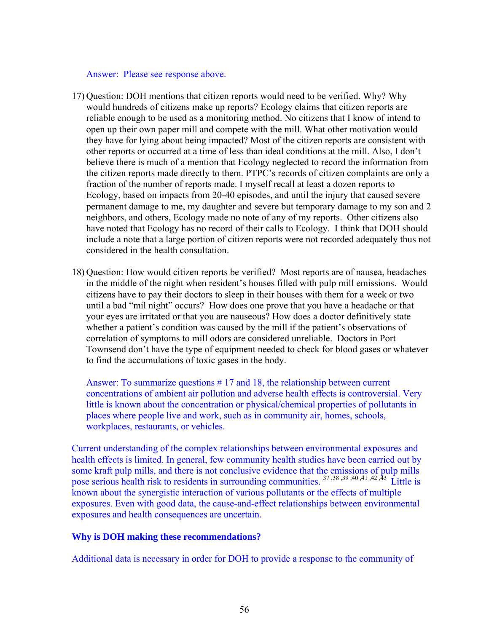Answer: Please see response above.

- 17) Question: DOH mentions that citizen reports would need to be verified. Why? Why would hundreds of citizens make up reports? Ecology claims that citizen reports are reliable enough to be used as a monitoring method. No citizens that I know of intend to open up their own paper mill and compete with the mill. What other motivation would they have for lying about being impacted? Most of the citizen reports are consistent with other reports or occurred at a time of less than ideal conditions at the mill. Also, I don't believe there is much of a mention that Ecology neglected to record the information from the citizen reports made directly to them. PTPC's records of citizen complaints are only a fraction of the number of reports made. I myself recall at least a dozen reports to Ecology, based on impacts from 20-40 episodes, and until the injury that caused severe permanent damage to me, my daughter and severe but temporary damage to my son and 2 neighbors, and others, Ecology made no note of any of my reports. Other citizens also have noted that Ecology has no record of their calls to Ecology. I think that DOH should include a note that a large portion of citizen reports were not recorded adequately thus not considered in the health consultation.
- 18) Question: How would citizen reports be verified? Most reports are of nausea, headaches in the middle of the night when resident's houses filled with pulp mill emissions. Would citizens have to pay their doctors to sleep in their houses with them for a week or two until a bad "mil night" occurs? How does one prove that you have a headache or that your eyes are irritated or that you are nauseous? How does a doctor definitively state whether a patient's condition was caused by the mill if the patient's observations of correlation of symptoms to mill odors are considered unreliable. Doctors in Port Townsend don't have the type of equipment needed to check for blood gases or whatever to find the accumulations of toxic gases in the body.

Answer: To summarize questions # 17 and 18, the relationship between current concentrations of ambient air pollution and adverse health effects is controversial. Very little is known about the concentration or physical/chemical properties of pollutants in places where people live and work, such as in community air, homes, schools, workplaces, restaurants, or vehicles.

Current understanding of the complex relationships between environmental exposures and health effects is limited. In general, few community health studies have been carried out by some kraft pulp mills, and there is not conclusive evidence that the emissions of pulp mills pose serious health risk to residents in surrounding communities.<sup>37,38,39,40,41,42,43</sup> Little is known about the synergistic interaction of various pollutants or the effects of multiple exposures. Even with good data, the cause-and-effect relationships between environmental exposures and health consequences are uncertain.

#### **Why is DOH making these recommendations?**

Additional data is necessary in order for DOH to provide a response to the community of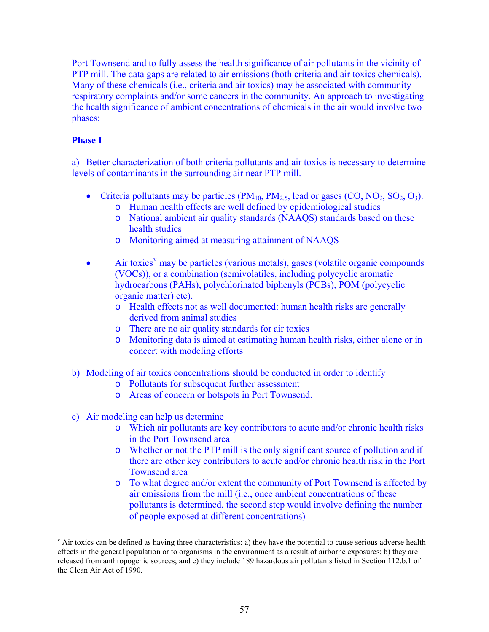Port Townsend and to fully assess the health significance of air pollutants in the vicinity of PTP mill. The data gaps are related to air emissions (both criteria and air toxics chemicals). Many of these chemicals (i.e., criteria and air toxics) may be associated with community respiratory complaints and/or some cancers in the community. An approach to investigating the health significance of ambient concentrations of chemicals in the air would involve two phases:

## **Phase I**

<u>.</u>

a) Better characterization of both criteria pollutants and air toxics is necessary to determine levels of contaminants in the surrounding air near PTP mill.

- Criteria pollutants may be particles  $(PM_{10}, PM_{2.5}, lead or gases (CO, NO<sub>2</sub>, SO<sub>2</sub>, O<sub>3</sub>).$ 
	- o Human health effects are well defined by epidemiological studies
	- o National ambient air quality standards (NAAQS) standards based on these health studies
	- o Monitoring aimed at measuring attainment of NAAQS
- $\bullet$  Air toxics<sup>[v](#page-57-0)</sup> may be particles (various metals), gases (volatile organic compounds (VOCs)), or a combination (semivolatiles, including polycyclic aromatic hydrocarbons (PAHs), polychlorinated biphenyls (PCBs), POM (polycyclic organic matter) etc).
	- o Health effects not as well documented: human health risks are generally derived from animal studies
	- o There are no air quality standards for air toxics
	- o Monitoring data is aimed at estimating human health risks, either alone or in concert with modeling efforts
- b) Modeling of air toxics concentrations should be conducted in order to identify
	- o Pollutants for subsequent further assessment
	- o Areas of concern or hotspots in Port Townsend.
- c) Air modeling can help us determine
	- o Which air pollutants are key contributors to acute and/or chronic health risks in the Port Townsend area
	- o Whether or not the PTP mill is the only significant source of pollution and if there are other key contributors to acute and/or chronic health risk in the Port Townsend area
	- o To what degree and/or extent the community of Port Townsend is affected by air emissions from the mill (i.e., once ambient concentrations of these pollutants is determined, the second step would involve defining the number of people exposed at different concentrations)

<span id="page-57-0"></span> $\alpha$  Air toxics can be defined as having three characteristics: a) they have the potential to cause serious adverse health effects in the general population or to organisms in the environment as a result of airborne exposures; b) they are released from anthropogenic sources; and c) they include 189 hazardous air pollutants listed in Section 112.b.1 of the Clean Air Act of 1990.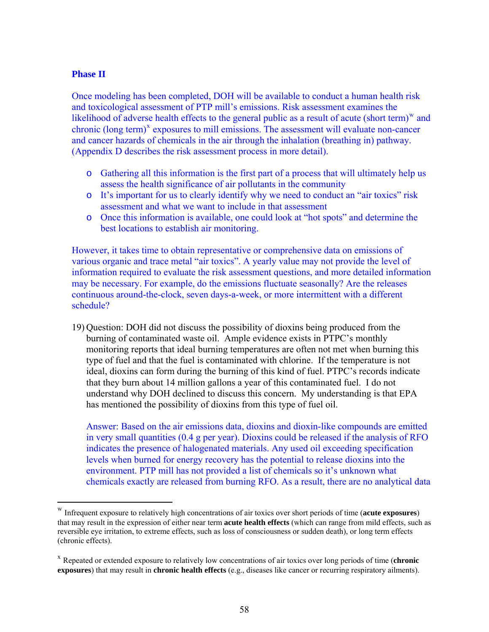#### **Phase II**

 $\overline{a}$ 

Once modeling has been completed, DOH will be available to conduct a human health risk and toxicological assessment of PTP mill's emissions. Risk assessment examines the likelihood of adverse health effects to the general public as a result of acute (short term)<sup>[w](#page-58-0)</sup> and  $chronic (long term)<sup>x</sup> exposures to mill emissions. The assessment will evaluate non-cancer$  $chronic (long term)<sup>x</sup> exposures to mill emissions. The assessment will evaluate non-cancer$  $chronic (long term)<sup>x</sup> exposures to mill emissions. The assessment will evaluate non-cancer$ and cancer hazards of chemicals in the air through the inhalation (breathing in) pathway. (Appendix D describes the risk assessment process in more detail).

- o Gathering all this information is the first part of a process that will ultimately help us assess the health significance of air pollutants in the community
- o It's important for us to clearly identify why we need to conduct an "air toxics" risk assessment and what we want to include in that assessment
- o Once this information is available, one could look at "hot spots" and determine the best locations to establish air monitoring.

However, it takes time to obtain representative or comprehensive data on emissions of various organic and trace metal "air toxics". A yearly value may not provide the level of information required to evaluate the risk assessment questions, and more detailed information may be necessary. For example, do the emissions fluctuate seasonally? Are the releases continuous around-the-clock, seven days-a-week, or more intermittent with a different schedule?

19) Question: DOH did not discuss the possibility of dioxins being produced from the burning of contaminated waste oil. Ample evidence exists in PTPC's monthly monitoring reports that ideal burning temperatures are often not met when burning this type of fuel and that the fuel is contaminated with chlorine. If the temperature is not ideal, dioxins can form during the burning of this kind of fuel. PTPC's records indicate that they burn about 14 million gallons a year of this contaminated fuel. I do not understand why DOH declined to discuss this concern. My understanding is that EPA has mentioned the possibility of dioxins from this type of fuel oil.

Answer: Based on the air emissions data, dioxins and dioxin-like compounds are emitted in very small quantities (0.4 g per year). Dioxins could be released if the analysis of RFO indicates the presence of halogenated materials. Any used oil exceeding specification levels when burned for energy recovery has the potential to release dioxins into the environment. PTP mill has not provided a list of chemicals so it's unknown what chemicals exactly are released from burning RFO. As a result, there are no analytical data

<span id="page-58-0"></span><sup>w</sup> Infrequent exposure to relatively high concentrations of air toxics over short periods of time (**acute exposures**) that may result in the expression of either near term **acute health effects** (which can range from mild effects, such as reversible eye irritation, to extreme effects, such as loss of consciousness or sudden death), or long term effects (chronic effects).

<span id="page-58-1"></span><sup>x</sup> Repeated or extended exposure to relatively low concentrations of air toxics over long periods of time (**chronic exposures**) that may result in **chronic health effects** (e.g., diseases like cancer or recurring respiratory ailments).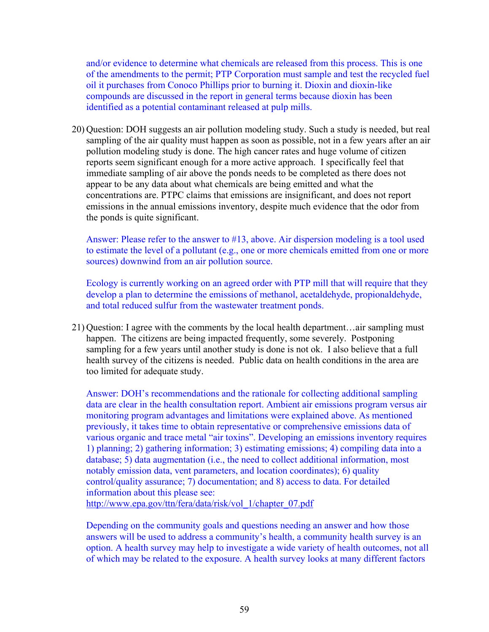and/or evidence to determine what chemicals are released from this process. This is one of the amendments to the permit; PTP Corporation must sample and test the recycled fuel oil it purchases from Conoco Phillips prior to burning it. Dioxin and dioxin-like compounds are discussed in the report in general terms because dioxin has been identified as a potential contaminant released at pulp mills.

20) Question: DOH suggests an air pollution modeling study. Such a study is needed, but real sampling of the air quality must happen as soon as possible, not in a few years after an air pollution modeling study is done. The high cancer rates and huge volume of citizen reports seem significant enough for a more active approach. I specifically feel that immediate sampling of air above the ponds needs to be completed as there does not appear to be any data about what chemicals are being emitted and what the concentrations are. PTPC claims that emissions are insignificant, and does not report emissions in the annual emissions inventory, despite much evidence that the odor from the ponds is quite significant.

Answer: Please refer to the answer to #13, above. Air dispersion modeling is a tool used to estimate the level of a pollutant (e.g., one or more chemicals emitted from one or more sources) downwind from an air pollution source.

Ecology is currently working on an agreed order with PTP mill that will require that they develop a plan to determine the emissions of methanol, acetaldehyde, propionaldehyde, and total reduced sulfur from the wastewater treatment ponds.

21) Question: I agree with the comments by the local health department…air sampling must happen. The citizens are being impacted frequently, some severely. Postponing sampling for a few years until another study is done is not ok. I also believe that a full health survey of the citizens is needed. Public data on health conditions in the area are too limited for adequate study.

Answer: DOH's recommendations and the rationale for collecting additional sampling data are clear in the health consultation report. Ambient air emissions program versus air monitoring program advantages and limitations were explained above. As mentioned previously, it takes time to obtain representative or comprehensive emissions data of various organic and trace metal "air toxins". Developing an emissions inventory requires 1) planning; 2) gathering information; 3) estimating emissions; 4) compiling data into a database; 5) data augmentation (i.e., the need to collect additional information, most notably emission data, vent parameters, and location coordinates); 6) quality control/quality assurance; 7) documentation; and 8) access to data. For detailed information about this please see:

[http://www.epa.gov/ttn/fera/data/risk/vol\\_1/chapter\\_07.pdf](http://www.epa.gov/ttn/fera/data/risk/vol_1/chapter_07.pdf)

Depending on the community goals and questions needing an answer and how those answers will be used to address a community's health, a community health survey is an option. A health survey may help to investigate a wide variety of health outcomes, not all of which may be related to the exposure. A health survey looks at many different factors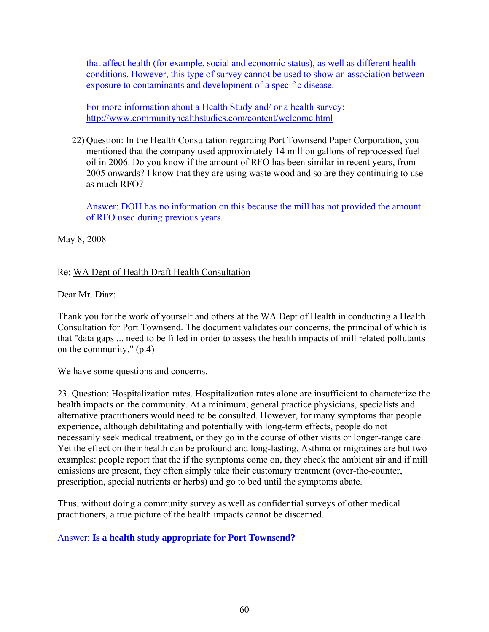that affect health (for example, social and economic status), as well as different health conditions. However, this type of survey cannot be used to show an association between exposure to contaminants and development of a specific disease.

For more information about a Health Study and/ or a health survey: <http://www.communityhealthstudies.com/content/welcome.html>

22) Question: In the Health Consultation regarding Port Townsend Paper Corporation, you mentioned that the company used approximately 14 million gallons of reprocessed fuel oil in 2006. Do you know if the amount of RFO has been similar in recent years, from 2005 onwards? I know that they are using waste wood and so are they continuing to use as much RFO?

Answer: DOH has no information on this because the mill has not provided the amount of RFO used during previous years.

May 8, 2008

## Re: WA Dept of Health Draft Health Consultation

Dear Mr. Diaz:

Thank you for the work of yourself and others at the WA Dept of Health in conducting a Health Consultation for Port Townsend. The document validates our concerns, the principal of which is that "data gaps ... need to be filled in order to assess the health impacts of mill related pollutants on the community." (p.4)

We have some questions and concerns.

23. Question: Hospitalization rates. Hospitalization rates alone are insufficient to characterize the health impacts on the community. At a minimum, general practice physicians, specialists and alternative practitioners would need to be consulted. However, for many symptoms that people experience, although debilitating and potentially with long-term effects, people do not necessarily seek medical treatment, or they go in the course of other visits or longer-range care. Yet the effect on their health can be profound and long-lasting. Asthma or migraines are but two examples: people report that the if the symptoms come on, they check the ambient air and if mill emissions are present, they often simply take their customary treatment (over-the-counter, prescription, special nutrients or herbs) and go to bed until the symptoms abate.

Thus, without doing a community survey as well as confidential surveys of other medical practitioners, a true picture of the health impacts cannot be discerned.

Answer: **Is a health study appropriate for Port Townsend?**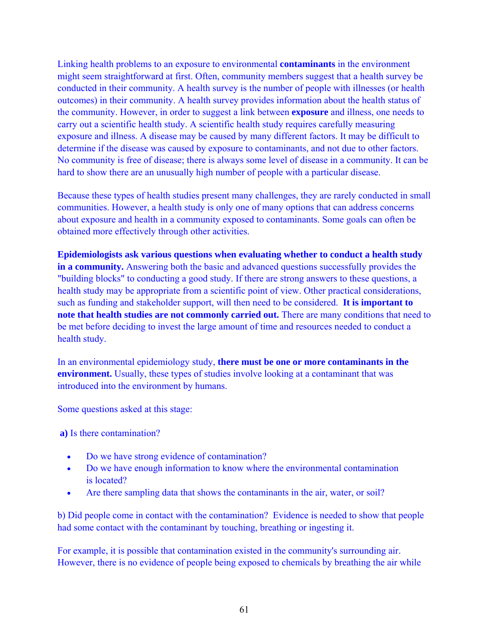Linking health problems to an exposure to environmental **contaminants** in the environment might seem straightforward at first. Often, community members suggest that a health survey be conducted in their community. A health survey is the number of people with illnesses (or health outcomes) in their community. A health survey provides information about the health status of the community. However, in order to suggest a link between **exposure** and illness, one needs to carry out a scientific health study. A scientific health study requires carefully measuring exposure and illness. A disease may be caused by many different factors. It may be difficult to determine if the disease was caused by exposure to contaminants, and not due to other factors. No community is free of disease; there is always some level of disease in a community. It can be hard to show there are an unusually high number of people with a particular disease.

Because these types of health studies present many challenges, they are rarely conducted in small communities. However, a health study is only one of many options that can address concerns about exposure and health in a community exposed to contaminants. Some goals can often be obtained more effectively through other activities.

**Epidemiologists ask various questions when evaluating whether to conduct a health study in a community.** Answering both the basic and advanced questions successfully provides the "building blocks" to conducting a good study. If there are strong answers to these questions, a health study may be appropriate from a scientific point of view. Other practical considerations, such as funding and stakeholder support, will then need to be considered. **It is important to note that health studies are not commonly carried out.** There are many conditions that need to be met before deciding to invest the large amount of time and resources needed to conduct a health study.

In an environmental epidemiology study, **there must be one or more contaminants in the environment.** Usually, these types of studies involve looking at a contaminant that was introduced into the environment by humans.

Some questions asked at this stage:

 **a)** Is there contamination?

- Do we have strong evidence of contamination?
- Do we have enough information to know where the environmental contamination is located?
- Are there sampling data that shows the contaminants in the air, water, or soil?

b) Did people come in contact with the contamination? Evidence is needed to show that people had some contact with the contaminant by touching, breathing or ingesting it.

For example, it is possible that contamination existed in the community's surrounding air. However, there is no evidence of people being exposed to chemicals by breathing the air while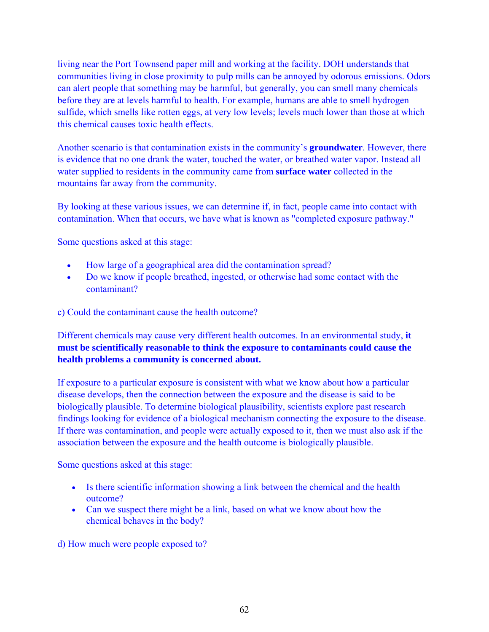living near the Port Townsend paper mill and working at the facility. DOH understands that communities living in close proximity to pulp mills can be annoyed by odorous emissions. Odors can alert people that something may be harmful, but generally, you can smell many chemicals before they are at levels harmful to health. For example, humans are able to smell hydrogen sulfide, which smells like rotten eggs, at very low levels; levels much lower than those at which this chemical causes toxic health effects.

Another scenario is that contamination exists in the community's **groundwater**. However, there is evidence that no one drank the water, touched the water, or breathed water vapor. Instead all water supplied to residents in the community came from **surface water** collected in the mountains far away from the community.

By looking at these various issues, we can determine if, in fact, people came into contact with contamination. When that occurs, we have what is known as "completed exposure pathway."

Some questions asked at this stage:

- How large of a geographical area did the contamination spread?
- Do we know if people breathed, ingested, or otherwise had some contact with the contaminant?

c) Could the contaminant cause the health outcome?

Different chemicals may cause very different health outcomes. In an environmental study, **it must be scientifically reasonable to think the exposure to contaminants could cause the health problems a community is concerned about.**

If exposure to a particular exposure is consistent with what we know about how a particular disease develops, then the connection between the exposure and the disease is said to be biologically plausible. To determine biological plausibility, scientists explore past research findings looking for evidence of a biological mechanism connecting the exposure to the disease. If there was contamination, and people were actually exposed to it, then we must also ask if the association between the exposure and the health outcome is biologically plausible.

Some questions asked at this stage:

- Is there scientific information showing a link between the chemical and the health outcome?
- Can we suspect there might be a link, based on what we know about how the chemical behaves in the body?

d) How much were people exposed to?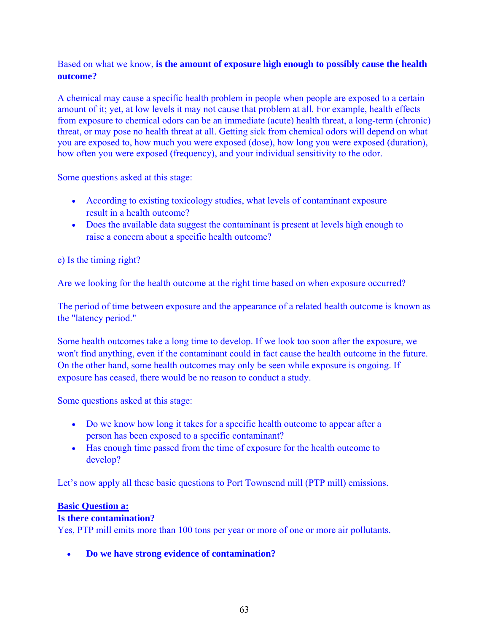## Based on what we know, **is the amount of exposure high enough to possibly cause the health outcome?**

A chemical may cause a specific health problem in people when people are exposed to a certain amount of it; yet, at low levels it may not cause that problem at all. For example, health effects from exposure to chemical odors can be an immediate (acute) health threat, a long-term (chronic) threat, or may pose no health threat at all. Getting sick from chemical odors will depend on what you are exposed to, how much you were exposed (dose), how long you were exposed (duration), how often you were exposed (frequency), and your individual sensitivity to the odor.

Some questions asked at this stage:

- According to existing toxicology studies, what levels of contaminant exposure result in a health outcome?
- Does the available data suggest the contaminant is present at levels high enough to raise a concern about a specific health outcome?

e) Is the timing right?

Are we looking for the health outcome at the right time based on when exposure occurred?

The period of time between exposure and the appearance of a related health outcome is known as the "latency period."

Some health outcomes take a long time to develop. If we look too soon after the exposure, we won't find anything, even if the contaminant could in fact cause the health outcome in the future. On the other hand, some health outcomes may only be seen while exposure is ongoing. If exposure has ceased, there would be no reason to conduct a study.

Some questions asked at this stage:

- Do we know how long it takes for a specific health outcome to appear after a person has been exposed to a specific contaminant?
- Has enough time passed from the time of exposure for the health outcome to develop?

Let's now apply all these basic questions to Port Townsend mill (PTP mill) emissions.

## **[Basic Question a:](http://www.communityhealthstudies.com/content/appropriate1.html)**

## **Is there contamination?**

Yes, PTP mill emits more than 100 tons per year or more of one or more air pollutants.

• **Do we have strong evidence of contamination?**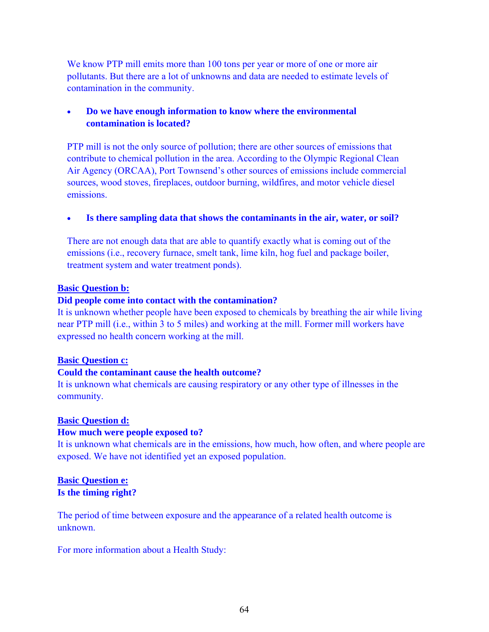We know PTP mill emits more than 100 tons per year or more of one or more air pollutants. But there are a lot of unknowns and data are needed to estimate levels of contamination in the community.

## • **Do we have enough information to know where the environmental contamination is located?**

PTP mill is not the only source of pollution; there are other sources of emissions that contribute to chemical pollution in the area. According to the Olympic Regional Clean Air Agency (ORCAA), Port Townsend's other sources of emissions include commercial sources, wood stoves, fireplaces, outdoor burning, wildfires, and motor vehicle diesel emissions.

#### Is there sampling data that shows the contaminants in the air, water, or soil?

There are not enough data that are able to quantify exactly what is coming out of the emissions (i.e., recovery furnace, smelt tank, lime kiln, hog fuel and package boiler, treatment system and water treatment ponds).

#### **[Basic Question b:](http://www.communityhealthstudies.com/content/appropriate12.html)**

#### **Did people come into contact with the contamination?**

It is unknown whether people have been exposed to chemicals by breathing the air while living near PTP mill (i.e., within 3 to 5 miles) and working at the mill. Former mill workers have expressed no health concern working at the mill.

#### **[Basic Question c:](http://www.communityhealthstudies.com/content/appropriate13.html)**

## **Could the contaminant cause the health outcome?**

It is unknown what chemicals are causing respiratory or any other type of illnesses in the community.

#### **[Basic Question d:](http://www.communityhealthstudies.com/content/appropriate14.html)**

## **How much were people exposed to?**

It is unknown what chemicals are in the emissions, how much, how often, and where people are exposed. We have not identified yet an exposed population.

#### **[Basic Question e:](http://www.communityhealthstudies.com/content/appropriate15.html) Is the timing right?**

The period of time between exposure and the appearance of a related health outcome is unknown.

For more information about a Health Study: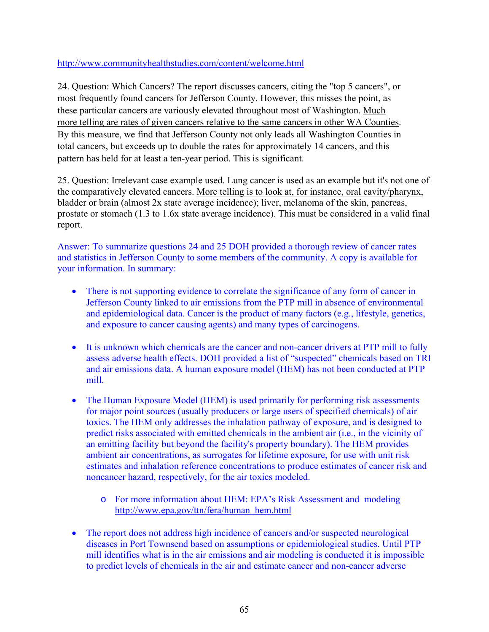<http://www.communityhealthstudies.com/content/welcome.html>

24. Question: Which Cancers? The report discusses cancers, citing the "top 5 cancers", or most frequently found cancers for Jefferson County. However, this misses the point, as these particular cancers are variously elevated throughout most of Washington. Much more telling are rates of given cancers relative to the same cancers in other WA Counties. By this measure, we find that Jefferson County not only leads all Washington Counties in total cancers, but exceeds up to double the rates for approximately 14 cancers, and this pattern has held for at least a ten-year period. This is significant.

25. Question: Irrelevant case example used. Lung cancer is used as an example but it's not one of the comparatively elevated cancers. More telling is to look at, for instance, oral cavity/pharynx, bladder or brain (almost 2x state average incidence); liver, melanoma of the skin, pancreas, prostate or stomach (1.3 to 1.6x state average incidence). This must be considered in a valid final report.

Answer: To summarize questions 24 and 25 DOH provided a thorough review of cancer rates and statistics in Jefferson County to some members of the community. A copy is available for your information. In summary:

- There is not supporting evidence to correlate the significance of any form of cancer in Jefferson County linked to air emissions from the PTP mill in absence of environmental and epidemiological data. Cancer is the product of many factors (e.g., lifestyle, genetics, and exposure to cancer causing agents) and many types of carcinogens.
- It is unknown which chemicals are the cancer and non-cancer drivers at PTP mill to fully assess adverse health effects. DOH provided a list of "suspected" chemicals based on TRI and air emissions data. A human exposure model (HEM) has not been conducted at PTP mill.
- The Human Exposure Model (HEM) is used primarily for performing risk assessments for major point sources (usually producers or large users of specified chemicals) of air toxics. The HEM only addresses the inhalation pathway of exposure, and is designed to predict risks associated with emitted chemicals in the ambient air (i.e., in the vicinity of an emitting facility but beyond the facility's property boundary). The HEM provides ambient air concentrations, as surrogates for lifetime exposure, for use with unit risk estimates and inhalation reference concentrations to produce estimates of cancer risk and noncancer hazard, respectively, for the air toxics modeled.
	- o For more information about HEM: EPA's Risk Assessment and modeling [http://www.epa.gov/ttn/fera/human\\_hem.html](http://www.epa.gov/ttn/fera/human_hem.html)
- The report does not address high incidence of cancers and/or suspected neurological diseases in Port Townsend based on assumptions or epidemiological studies. Until PTP mill identifies what is in the air emissions and air modeling is conducted it is impossible to predict levels of chemicals in the air and estimate cancer and non-cancer adverse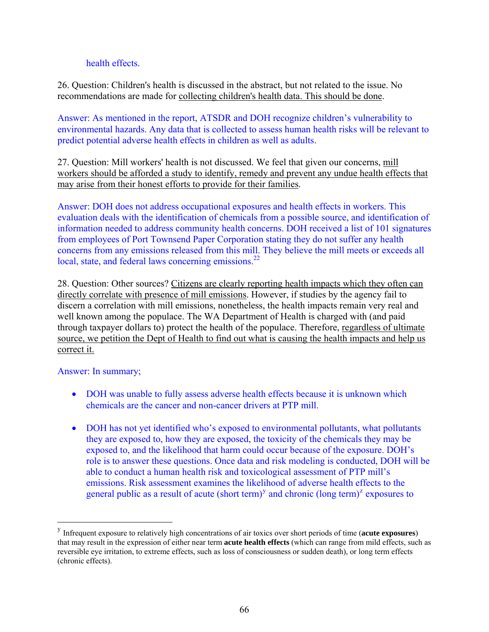health effects.

26. Question: Children's health is discussed in the abstract, but not related to the issue. No recommendations are made for collecting children's health data. This should be done.

Answer: As mentioned in the report, ATSDR and DOH recognize children's vulnerability to environmental hazards. Any data that is collected to assess human health risks will be relevant to predict potential adverse health effects in children as well as adults.

27. Question: Mill workers' health is not discussed. We feel that given our concerns, mill workers should be afforded a study to identify, remedy and prevent any undue health effects that may arise from their honest efforts to provide for their families.

Answer: DOH does not address occupational exposures and health effects in workers. This evaluation deals with the identification of chemicals from a possible source, and identification of information needed to address community health concerns. DOH received a list of 101 signatures from employees of Port Townsend Paper Corporation stating they do not suffer any health concerns from any emissions released from this mill. They believe the mill meets or exceeds all local, state, and federal laws concerning emissions.<sup>22</sup>

28. Question: Other sources? Citizens are clearly reporting health impacts which they often can directly correlate with presence of mill emissions. However, if studies by the agency fail to discern a correlation with mill emissions, nonetheless, the health impacts remain very real and well known among the populace. The WA Department of Health is charged with (and paid through taxpayer dollars to) protect the health of the populace. Therefore, regardless of ultimate source, we petition the Dept of Health to find out what is causing the health impacts and help us correct it.

Answer: In summary;

 $\overline{a}$ 

- DOH was unable to fully assess adverse health effects because it is unknown which chemicals are the cancer and non-cancer drivers at PTP mill.
- DOH has not yet identified who's exposed to environmental pollutants, what pollutants they are exposed to, how they are exposed, the toxicity of the chemicals they may be exposed to, and the likelihood that harm could occur because of the exposure. DOH's role is to answer these questions. Once data and risk modeling is conducted, DOH will be able to conduct a human health risk and toxicological assessment of PTP mill's emissions. Risk assessment examines the likelihood of adverse health effects to the general public as a result of acute  $(\text{short term})^y$  $(\text{short term})^y$  and chronic  $(\text{long term})^z$  $(\text{long term})^z$  exposures to

<span id="page-66-1"></span><span id="page-66-0"></span><sup>y</sup> Infrequent exposure to relatively high concentrations of air toxics over short periods of time (**acute exposures**) that may result in the expression of either near term **acute health effects** (which can range from mild effects, such as reversible eye irritation, to extreme effects, such as loss of consciousness or sudden death), or long term effects (chronic effects).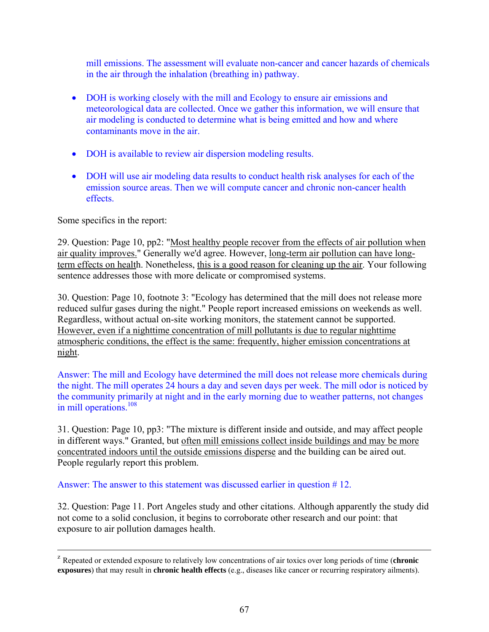mill emissions. The assessment will evaluate non-cancer and cancer hazards of chemical s in the air through the inhalation (breathing in) pathway .

- DOH is working closely with the mill and Ecology to ensure air emissions and meteorological data are collected. Once we gather this information, we will ensure that air modeling is conducted to determine what is being emitted and how and where contaminants move in the air.
- DOH is available to review air dispersion modeling results.
- DOH will use air modeling data results to conduct health risk analyses for each of the emission source areas. Then we will compute cancer and chronic non-cancer health effects.

Some specifics in the report:

29. Question: Page 10, pp2: "Most healthy people recover from the effects of air pollution when air quality improves." Generally we'd agree. However, long-term air pollution can have longterm effects on health. Nonetheless, this is a good reason for cleaning up the air. Your following sentence addresses those with more delicate or compromised systems.

30. Question: Page 10, footnote 3: "Ecology has determined that the mill does not release more reduced sulfur gases during the night." People report increased emissions on weekends as well. Regardless, without actual on-site working monitors, the statement cannot be supported. However, even if a nighttime concentration of mill pollutants is due to regular nighttime atmospheric conditions, the effect is the same: frequently, higher emission concentrations at night.

Answer: The mill and Ecology have determined the mill does not release more chemicals during the night. The mill operates 24 hours a day and seven days per week. The mill odor is noticed by the community primarily at night and in the early morning due to weather patterns, not changes in mill operations.<sup>108</sup>

31. Question: Page 10, pp3: "The mixture is different inside and outside, and may affect people in different ways." Granted, but often mill emissions collect inside buildings and may be more concentrated indoors until the outside emissions disperse and the building can be aired out. People regularly report this problem.

Answer: The answer to this statement was discussed earlier in question #12.

32. Question: Page 11. Port Angeles study and other citations. Although apparently the study did not come to a solid conclusion, it begins to corroborate other research and our point: that exposure to air pollution damages health.

z Repeated or extended exposure to relatively low concentrations of air toxics over long periods of time (**chronic exposures**) that may result in **chronic health effects** (e.g., diseases like cancer or recurring respiratory ailments).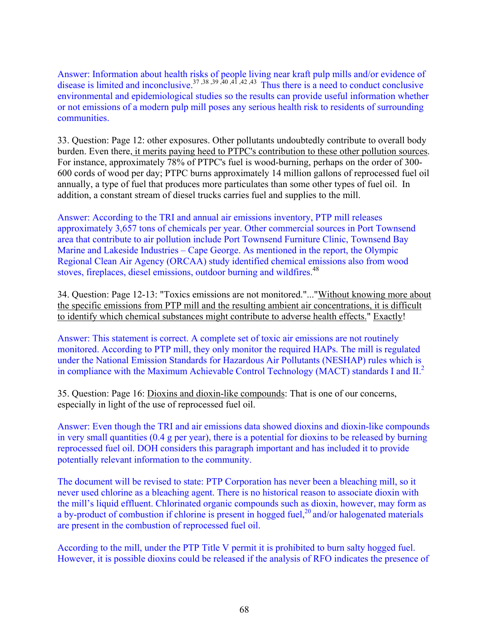Answer: Information about health risks of people living near kraft pulp mills and/or evidence of disease is limited and inconclusive.<sup>37,38,39,40,41,42,43</sup> Thus there is a need to conduct conclusive environmental and epidemiological studies so the results can provide useful information whether or not emissions of a modern pulp mill poses any serious health risk to residents of surrounding communities.

33. Question: Page 12: other exposures. Other pollutants undoubtedly contribute to overall body burden. Even there, it merits paying heed to PTPC's contribution to these other pollution sources. For instance, approximately 78% of PTPC's fuel is wood-burning, perhaps on the order of 300- 600 cords of wood per day; PTPC burns approximately 14 million gallons of reprocessed fuel oil annually, a type of fuel that produces more particulates than some other types of fuel oil. In addition, a constant stream of diesel trucks carries fuel and supplies to the mill.

Answer: According to the TRI and annual air emissions inventory, PTP mill releases approximately 3,657 tons of chemicals per year. Other commercial sources in Port Townsend area that contribute to air pollution include Port Townsend Furniture Clinic, Townsend Bay Marine and Lakeside Industries – Cape George. As mentioned in the report, the Olympic Regional Clean Air Agency (ORCAA) study identified chemical emissions also from wood stoves, fireplaces, diesel emissions, outdoor burning and wildfires.<sup>48</sup>

34. Question: Page 12-13: "Toxics emissions are not monitored."..."Without knowing more about the specific emissions from PTP mill and the resulting ambient air concentrations, it is difficult to identify which chemical substances might contribute to adverse health effects." Exactly!

Answer: This statement is correct. A complete set of toxic air emissions are not routinely monitored. According to PTP mill, they only monitor the required HAPs. The mill is regulated under the National Emission Standards for Hazardous Air Pollutants (NESHAP) rules which is in compliance with the Maximum Achievable Control Technology (MACT) standards I and  $II<sup>2</sup>$ .

35. Question: Page 16: Dioxins and dioxin-like compounds: That is one of our concerns, especially in light of the use of reprocessed fuel oil.

Answer: Even though the TRI and air emissions data showed dioxins and dioxin-like compounds in very small quantities (0.4 g per year), there is a potential for dioxins to be released by burning reprocessed fuel oil. DOH considers this paragraph important and has included it to provide potentially relevant information to the community.

The document will be revised to state: PTP Corporation has never been a bleaching mill, so it never used chlorine as a bleaching agent. There is no historical reason to associate dioxin with the mill's liquid effluent. Chlorinated organic compounds such as dioxin, however, may form as a by-product of combustion if chlorine is present in hogged fuel, $^{20}$  and/or halogenated materials are present in the combustion of reprocessed fuel oil.

According to the mill, under the PTP Title V permit it is prohibited to burn salty hogged fuel. However, it is possible dioxins could be released if the analysis of RFO indicates the presence of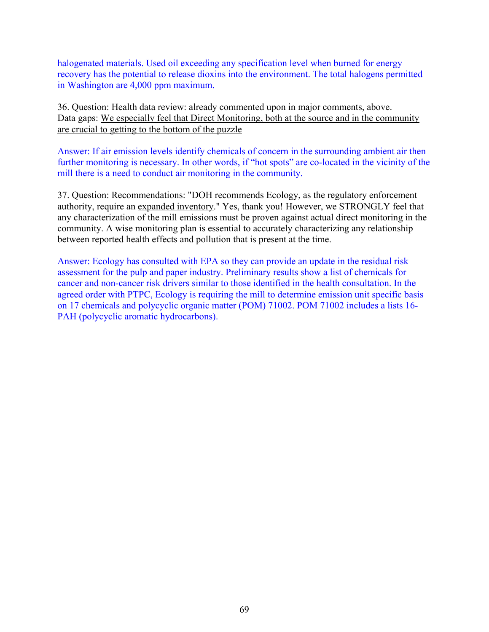halogenated materials. Used oil exceeding any specification level when burned for energy recovery has the potential to release dioxins into the environment. The total halogens permitted in Washington are 4,000 ppm maximum.

36. Question: Health data review: already commented upon in major comments, above. Data gaps: We especially feel that Direct Monitoring, both at the source and in the community are crucial to getting to the bottom of the puzzle

Answer: If air emission levels identify chemicals of concern in the surrounding ambient air then further monitoring is necessary. In other words, if "hot spots" are co-located in the vicinity of the mill there is a need to conduct air monitoring in the community.

37. Question: Recommendations: "DOH recommends Ecology, as the regulatory enforcement authority, require an expanded inventory." Yes, thank you! However, we STRONGLY feel that any characterization of the mill emissions must be proven against actual direct monitoring in the community. A wise monitoring plan is essential to accurately characterizing any relationship between reported health effects and pollution that is present at the time.

Answer: Ecology has consulted with EPA so they can provide an update in the residual risk assessment for the pulp and paper industry. Preliminary results show a list of chemicals for cancer and non-cancer risk drivers similar to those identified in the health consultation. In the agreed order with PTPC, Ecology is requiring the mill to determine emission unit specific basis on 17 chemicals and polycyclic organic matter (POM) 71002. POM 71002 includes a lists 16- PAH (polycyclic aromatic hydrocarbons).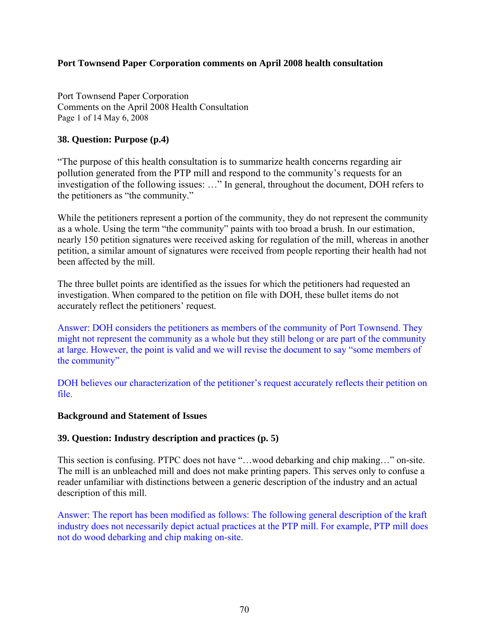#### **Port Townsend Paper Corporation comments on April 2008 health consultation**

Port Townsend Paper Corporation Comments on the April 2008 Health Consultation Page 1 of 14 May 6, 2008

### **38. Question: Purpose (p.4)**

"The purpose of this health consultation is to summarize health concerns regarding air pollution generated from the PTP mill and respond to the community's requests for an investigation of the following issues: …" In general, throughout the document, DOH refers to the petitioners as "the community."

While the petitioners represent a portion of the community, they do not represent the community as a whole. Using the term "the community" paints with too broad a brush. In our estimation, nearly 150 petition signatures were received asking for regulation of the mill, whereas in another petition, a similar amount of signatures were received from people reporting their health had not been affected by the mill.

The three bullet points are identified as the issues for which the petitioners had requested an investigation. When compared to the petition on file with DOH, these bullet items do not accurately reflect the petitioners' request.

Answer: DOH considers the petitioners as members of the community of Port Townsend. They might not represent the community as a whole but they still belong or are part of the community at large. However, the point is valid and we will revise the document to say "some members of the community"

DOH believes our characterization of the petitioner's request accurately reflects their petition on file.

#### **Background and Statement of Issues**

## **39. Question: Industry description and practices (p. 5)**

This section is confusing. PTPC does not have "…wood debarking and chip making…" on-site. The mill is an unbleached mill and does not make printing papers. This serves only to confuse a reader unfamiliar with distinctions between a generic description of the industry and an actual description of this mill.

Answer: The report has been modified as follows: The following general description of the kraft industry does not necessarily depict actual practices at the PTP mill. For example, PTP mill does not do wood debarking and chip making on-site.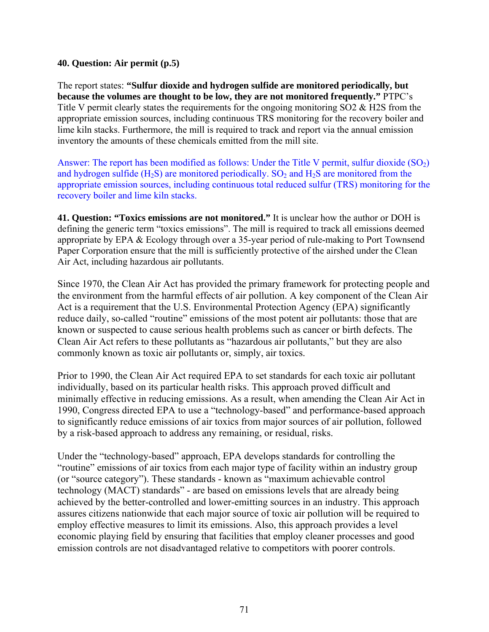#### **40. Question: Air permit (p.5)**

The report states: **"Sulfur dioxide and hydrogen sulfide are monitored periodically, but because the volumes are thought to be low, they are not monitored frequently."** PTPC's Title V permit clearly states the requirements for the ongoing monitoring SO2 & H2S from the appropriate emission sources, including continuous TRS monitoring for the recovery boiler and lime kiln stacks. Furthermore, the mill is required to track and report via the annual emission inventory the amounts of these chemicals emitted from the mill site.

Answer: The report has been modified as follows: Under the Title V permit, sulfur dioxide  $(SO<sub>2</sub>)$ and hydrogen sulfide  $(H_2S)$  are monitored periodically.  $SO_2$  and  $H_2S$  are monitored from the appropriate emission sources, including continuous total reduced sulfur (TRS) monitoring for the recovery boiler and lime kiln stacks.

**41. Question: "Toxics emissions are not monitored."** It is unclear how the author or DOH is defining the generic term "toxics emissions". The mill is required to track all emissions deemed appropriate by EPA & Ecology through over a 35-year period of rule-making to Port Townsend Paper Corporation ensure that the mill is sufficiently protective of the airshed under the Clean Air Act, including hazardous air pollutants.

Since 1970, the Clean Air Act has provided the primary framework for protecting people and the environment from the harmful effects of air pollution. A key component of the Clean Air Act is a requirement that the U.S. Environmental Protection Agency (EPA) significantly reduce daily, so-called "routine" emissions of the most potent air pollutants: those that are known or suspected to cause serious health problems such as cancer or birth defects. The Clean Air Act refers to these pollutants as "hazardous air pollutants," but they are also commonly known as toxic air pollutants or, simply, air toxics.

Prior to 1990, the Clean Air Act required EPA to set standards for each toxic air pollutant individually, based on its particular health risks. This approach proved difficult and minimally effective in reducing emissions. As a result, when amending the Clean Air Act in 1990, Congress directed EPA to use a "technology-based" and performance-based approach to significantly reduce emissions of air toxics from major sources of air pollution, followed by a risk-based approach to address any remaining, or residual, risks.

Under the "technology-based" approach, EPA develops standards for controlling the "routine" emissions of air toxics from each major type of facility within an industry group (or "source category"). These standards - known as "maximum achievable control technology (MACT) standards" - are based on emissions levels that are already being achieved by the better-controlled and lower-emitting sources in an industry. This approach assures citizens nationwide that each major source of toxic air pollution will be required to employ effective measures to limit its emissions. Also, this approach provides a level economic playing field by ensuring that facilities that employ cleaner processes and good emission controls are not disadvantaged relative to competitors with poorer controls.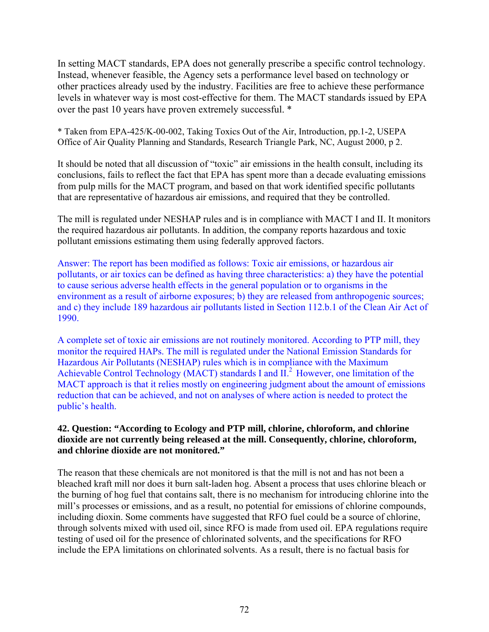In setting MACT standards, EPA does not generally prescribe a specific control technology. Instead, whenever feasible, the Agency sets a performance level based on technology or other practices already used by the industry. Facilities are free to achieve these performance levels in whatever way is most cost-effective for them. The MACT standards issued by EPA over the past 10 years have proven extremely successful. \*

\* Taken from EPA-425/K-00-002, Taking Toxics Out of the Air, Introduction, pp.1-2, USEPA Office of Air Quality Planning and Standards, Research Triangle Park, NC, August 2000, p 2.

It should be noted that all discussion of "toxic" air emissions in the health consult, including its conclusions, fails to reflect the fact that EPA has spent more than a decade evaluating emissions from pulp mills for the MACT program, and based on that work identified specific pollutants that are representative of hazardous air emissions, and required that they be controlled.

The mill is regulated under NESHAP rules and is in compliance with MACT I and II. It monitors the required hazardous air pollutants. In addition, the company reports hazardous and toxic pollutant emissions estimating them using federally approved factors.

Answer: The report has been modified as follows: Toxic air emissions, or hazardous air pollutants, or air toxics can be defined as having three characteristics: a) they have the potential to cause serious adverse health effects in the general population or to organisms in the environment as a result of airborne exposures; b) they are released from anthropogenic sources; and c) they include 189 hazardous air pollutants listed in Section 112.b.1 of the Clean Air Act of 1990.

A complete set of toxic air emissions are not routinely monitored. According to PTP mill, they monitor the required HAPs. The mill is regulated under the National Emission Standards for Hazardous Air Pollutants (NESHAP) rules which is in compliance with the Maximum Achievable Control Technology (MACT) standards I and  $II<sup>2</sup>$  However, one limitation of the MACT approach is that it relies mostly on engineering judgment about the amount of emissions reduction that can be achieved, and not on analyses of where action is needed to protect the public's health.

## **42. Question: "According to Ecology and PTP mill, chlorine, chloroform, and chlorine dioxide are not currently being released at the mill. Consequently, chlorine, chloroform, and chlorine dioxide are not monitored."**

The reason that these chemicals are not monitored is that the mill is not and has not been a bleached kraft mill nor does it burn salt-laden hog. Absent a process that uses chlorine bleach or the burning of hog fuel that contains salt, there is no mechanism for introducing chlorine into the mill's processes or emissions, and as a result, no potential for emissions of chlorine compounds, including dioxin. Some comments have suggested that RFO fuel could be a source of chlorine, through solvents mixed with used oil, since RFO is made from used oil. EPA regulations require testing of used oil for the presence of chlorinated solvents, and the specifications for RFO include the EPA limitations on chlorinated solvents. As a result, there is no factual basis for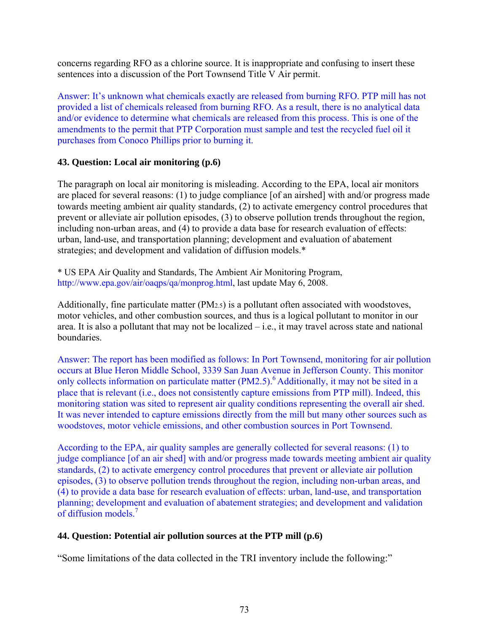concerns regarding RFO as a chlorine source. It is inappropriate and confusing to insert these sentences into a discussion of the Port Townsend Title V Air permit.

Answer: It's unknown what chemicals exactly are released from burning RFO. PTP mill has not provided a list of chemicals released from burning RFO. As a result, there is no analytical data and/or evidence to determine what chemicals are released from this process. This is one of the amendments to the permit that PTP Corporation must sample and test the recycled fuel oil it purchases from Conoco Phillips prior to burning it.

# **43. Question: Local air monitoring (p.6)**

The paragraph on local air monitoring is misleading. According to the EPA, local air monitors are placed for several reasons: (1) to judge compliance [of an airshed] with and/or progress made towards meeting ambient air quality standards, (2) to activate emergency control procedures that prevent or alleviate air pollution episodes, (3) to observe pollution trends throughout the region, including non-urban areas, and (4) to provide a data base for research evaluation of effects: urban, land-use, and transportation planning; development and evaluation of abatement strategies; and development and validation of diffusion models.\*

\* US EPA Air Quality and Standards, The Ambient Air Monitoring Program, http://www.epa.gov/air/oaqps/qa/monprog.html, last update May 6, 2008.

Additionally, fine particulate matter (PM2.5) is a pollutant often associated with woodstoves, motor vehicles, and other combustion sources, and thus is a logical pollutant to monitor in our area. It is also a pollutant that may not be localized – i.e., it may travel across state and national boundaries.

Answer: The report has been modified as follows: In Port Townsend, monitoring for air pollution occurs at Blue Heron Middle School, 3339 San Juan Avenue in Jefferson County. This monitor only collects information on particulate matter (PM2.5).<sup>6</sup> Additionally, it may not be sited in a place that is relevant (i.e., does not consistently capture emissions from PTP mill). Indeed, this monitoring station was sited to represent air quality conditions representing the overall air shed. It was never intended to capture emissions directly from the mill but many other sources such as woodstoves, motor vehicle emissions, and other combustion sources in Port Townsend.

According to the EPA, air quality samples are generally collected for several reasons: (1) to judge compliance [of an air shed] with and/or progress made towards meeting ambient air quality standards, (2) to activate emergency control procedures that prevent or alleviate air pollution episodes, (3) to observe pollution trends throughout the region, including non-urban areas, and (4) to provide a data base for research evaluation of effects: urban, land-use, and transportation planning; development and evaluation of abatement strategies; and development and validation of diffusion models.7

# **44. Question: Potential air pollution sources at the PTP mill (p.6)**

"Some limitations of the data collected in the TRI inventory include the following:"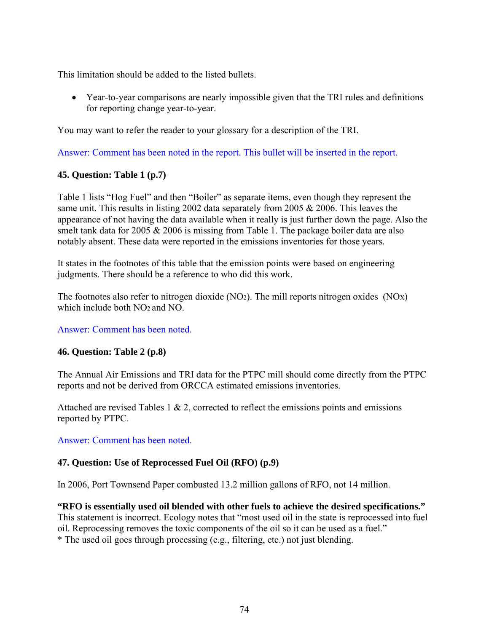This limitation should be added to the listed bullets.

• Year-to-year comparisons are nearly impossible given that the TRI rules and definitions for reporting change year-to-year.

You may want to refer the reader to your glossary for a description of the TRI.

Answer: Comment has been noted in the report. This bullet will be inserted in the report.

## **45. Question: Table 1 (p.7)**

Table 1 lists "Hog Fuel" and then "Boiler" as separate items, even though they represent the same unit. This results in listing 2002 data separately from 2005 & 2006. This leaves the appearance of not having the data available when it really is just further down the page. Also the smelt tank data for 2005 & 2006 is missing from Table 1. The package boiler data are also notably absent. These data were reported in the emissions inventories for those years.

It states in the footnotes of this table that the emission points were based on engineering judgments. There should be a reference to who did this work.

The footnotes also refer to nitrogen dioxide (NO2). The mill reports nitrogen oxides (NOX) which include both NO<sub>2</sub> and NO.

Answer: Comment has been noted.

#### **46. Question: Table 2 (p.8)**

The Annual Air Emissions and TRI data for the PTPC mill should come directly from the PTPC reports and not be derived from ORCCA estimated emissions inventories.

Attached are revised Tables 1  $\&$  2, corrected to reflect the emissions points and emissions reported by PTPC.

Answer: Comment has been noted.

#### **47. Question: Use of Reprocessed Fuel Oil (RFO) (p.9)**

In 2006, Port Townsend Paper combusted 13.2 million gallons of RFO, not 14 million.

**"RFO is essentially used oil blended with other fuels to achieve the desired specifications."** This statement is incorrect. Ecology notes that "most used oil in the state is reprocessed into fuel oil. Reprocessing removes the toxic components of the oil so it can be used as a fuel."

\* The used oil goes through processing (e.g., filtering, etc.) not just blending.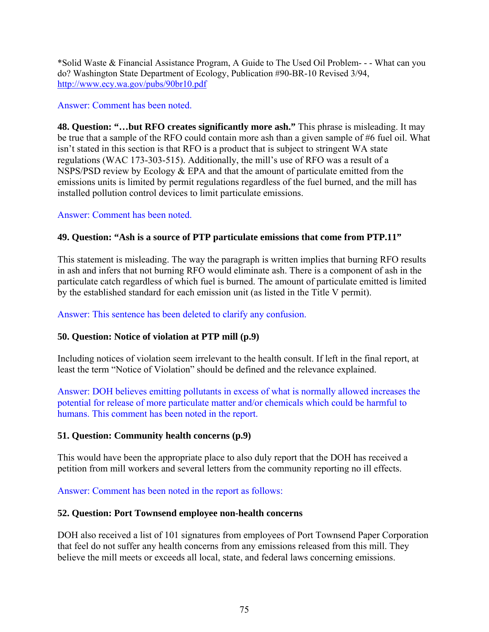\*Solid Waste & Financial Assistance Program, A Guide to The Used Oil Problem- - - What can you do? Washington State Department of Ecology, Publication #90-BR-10 Revised 3/94, <http://www.ecy.wa.gov/pubs/90br10.pdf>

## Answer: Comment has been noted.

**48. Question: "…but RFO creates significantly more ash."** This phrase is misleading. It may be true that a sample of the RFO could contain more ash than a given sample of #6 fuel oil. What isn't stated in this section is that RFO is a product that is subject to stringent WA state regulations (WAC 173-303-515). Additionally, the mill's use of RFO was a result of a NSPS/PSD review by Ecology & EPA and that the amount of particulate emitted from the emissions units is limited by permit regulations regardless of the fuel burned, and the mill has installed pollution control devices to limit particulate emissions.

## Answer: Comment has been noted.

# **49. Question: "Ash is a source of PTP particulate emissions that come from PTP.11"**

This statement is misleading. The way the paragraph is written implies that burning RFO results in ash and infers that not burning RFO would eliminate ash. There is a component of ash in the particulate catch regardless of which fuel is burned. The amount of particulate emitted is limited by the established standard for each emission unit (as listed in the Title V permit).

## Answer: This sentence has been deleted to clarify any confusion.

# **50. Question: Notice of violation at PTP mill (p.9)**

Including notices of violation seem irrelevant to the health consult. If left in the final report, at least the term "Notice of Violation" should be defined and the relevance explained.

Answer: DOH believes emitting pollutants in excess of what is normally allowed increases the potential for release of more particulate matter and/or chemicals which could be harmful to humans. This comment has been noted in the report.

#### **51. Question: Community health concerns (p.9)**

This would have been the appropriate place to also duly report that the DOH has received a petition from mill workers and several letters from the community reporting no ill effects.

Answer: Comment has been noted in the report as follows:

# **52. Question: Port Townsend employee non-health concerns**

DOH also received a list of 101 signatures from employees of Port Townsend Paper Corporation that feel do not suffer any health concerns from any emissions released from this mill. They believe the mill meets or exceeds all local, state, and federal laws concerning emissions.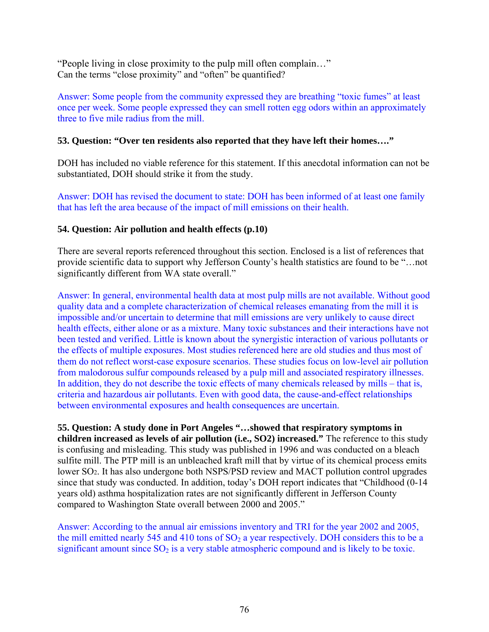"People living in close proximity to the pulp mill often complain…" Can the terms "close proximity" and "often" be quantified?

Answer: Some people from the community expressed they are breathing "toxic fumes" at least once per week. Some people expressed they can smell rotten egg odors within an approximately three to five mile radius from the mill.

## **53. Question: "Over ten residents also reported that they have left their homes…."**

DOH has included no viable reference for this statement. If this anecdotal information can not be substantiated, DOH should strike it from the study.

Answer: DOH has revised the document to state: DOH has been informed of at least one family that has left the area because of the impact of mill emissions on their health.

## **54. Question: Air pollution and health effects (p.10)**

There are several reports referenced throughout this section. Enclosed is a list of references that provide scientific data to support why Jefferson County's health statistics are found to be "…not significantly different from WA state overall."

Answer: In general, environmental health data at most pulp mills are not available. Without good quality data and a complete characterization of chemical releases emanating from the mill it is impossible and/or uncertain to determine that mill emissions are very unlikely to cause direct health effects, either alone or as a mixture. Many toxic substances and their interactions have not been tested and verified. Little is known about the synergistic interaction of various pollutants or the effects of multiple exposures. Most studies referenced here are old studies and thus most of them do not reflect worst-case exposure scenarios. These studies focus on low-level air pollution from malodorous sulfur compounds released by a pulp mill and associated respiratory illnesses. In addition, they do not describe the toxic effects of many chemicals released by mills – that is, criteria and hazardous air pollutants. Even with good data, the cause-and-effect relationships between environmental exposures and health consequences are uncertain.

**55. Question: A study done in Port Angeles "…showed that respiratory symptoms in children increased as levels of air pollution (i.e., SO2) increased."** The reference to this study is confusing and misleading. This study was published in 1996 and was conducted on a bleach sulfite mill. The PTP mill is an unbleached kraft mill that by virtue of its chemical process emits lower SO2. It has also undergone both NSPS/PSD review and MACT pollution control upgrades since that study was conducted. In addition, today's DOH report indicates that "Childhood (0-14 years old) asthma hospitalization rates are not significantly different in Jefferson County compared to Washington State overall between 2000 and 2005."

Answer: According to the annual air emissions inventory and TRI for the year 2002 and 2005, the mill emitted nearly 545 and 410 tons of  $SO<sub>2</sub>$  a year respectively. DOH considers this to be a significant amount since  $SO_2$  is a very stable atmospheric compound and is likely to be toxic.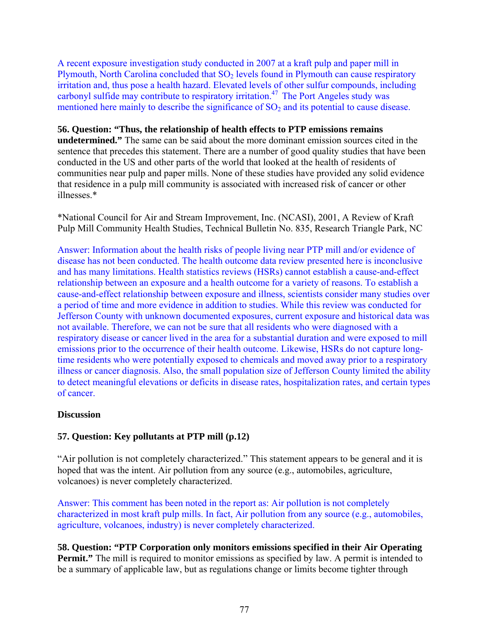A recent exposure investigation study conducted in 2007 at a kraft pulp and paper mill in Plymouth, North Carolina concluded that  $SO<sub>2</sub>$  levels found in Plymouth can cause respiratory irritation and, thus pose a health hazard. Elevated levels of other sulfur compounds, including carbonyl sulfide may contribute to respiratory irritation.<sup>47</sup> The Port Angeles study was mentioned here mainly to describe the significance of  $SO<sub>2</sub>$  and its potential to cause disease.

#### **56. Question: "Thus, the relationship of health effects to PTP emissions remains**

**undetermined."** The same can be said about the more dominant emission sources cited in the sentence that precedes this statement. There are a number of good quality studies that have been conducted in the US and other parts of the world that looked at the health of residents of communities near pulp and paper mills. None of these studies have provided any solid evidence that residence in a pulp mill community is associated with increased risk of cancer or other illnesses.\*

\*National Council for Air and Stream Improvement, Inc. (NCASI), 2001, A Review of Kraft Pulp Mill Community Health Studies, Technical Bulletin No. 835, Research Triangle Park, NC

Answer: Information about the health risks of people living near PTP mill and/or evidence of disease has not been conducted. The health outcome data review presented here is inconclusive and has many limitations. Health statistics reviews (HSRs) cannot establish a cause-and-effect relationship between an exposure and a health outcome for a variety of reasons. To establish a cause-and-effect relationship between exposure and illness, scientists consider many studies over a period of time and more evidence in addition to studies. While this review was conducted for Jefferson County with unknown documented exposures, current exposure and historical data was not available. Therefore, we can not be sure that all residents who were diagnosed with a respiratory disease or cancer lived in the area for a substantial duration and were exposed to mill emissions prior to the occurrence of their health outcome. Likewise, HSRs do not capture longtime residents who were potentially exposed to chemicals and moved away prior to a respiratory illness or cancer diagnosis. Also, the small population size of Jefferson County limited the ability to detect meaningful elevations or deficits in disease rates, hospitalization rates, and certain types of cancer.

#### **Discussion**

# **57. Question: Key pollutants at PTP mill (p.12)**

"Air pollution is not completely characterized." This statement appears to be general and it is hoped that was the intent. Air pollution from any source (e.g., automobiles, agriculture, volcanoes) is never completely characterized.

Answer: This comment has been noted in the report as: Air pollution is not completely characterized in most kraft pulp mills. In fact, Air pollution from any source (e.g., automobiles, agriculture, volcanoes, industry) is never completely characterized.

**58. Question: "PTP Corporation only monitors emissions specified in their Air Operating Permit.**" The mill is required to monitor emissions as specified by law. A permit is intended to be a summary of applicable law, but as regulations change or limits become tighter through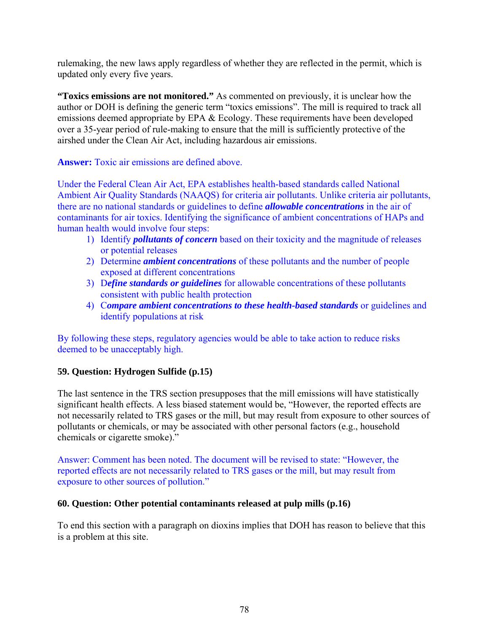rulemaking, the new laws apply regardless of whether they are reflected in the permit, which is updated only every five years.

**"Toxics emissions are not monitored."** As commented on previously, it is unclear how the author or DOH is defining the generic term "toxics emissions". The mill is required to track all emissions deemed appropriate by EPA & Ecology. These requirements have been developed over a 35-year period of rule-making to ensure that the mill is sufficiently protective of the airshed under the Clean Air Act, including hazardous air emissions.

**Answer:** Toxic air emissions are defined above.

Under the Federal Clean Air Act, EPA establishes health-based standards called National Ambient Air Quality Standards (NAAQS) for criteria air pollutants. Unlike criteria air pollutants, there are no national standards or guidelines to define *allowable concentrations* in the air of contaminants for air toxics. Identifying the significance of ambient concentrations of HAPs and human health would involve four steps:

- 1) Identify *pollutants of concern* based on their toxicity and the magnitude of releases or potential releases
- 2) Determine *ambient concentrations* of these pollutants and the number of people exposed at different concentrations
- 3) D*efine standards or guidelines* for allowable concentrations of these pollutants consistent with public health protection
- 4) C*ompare ambient concentrations to these health-based standards* or guidelines and identify populations at risk

By following these steps, regulatory agencies would be able to take action to reduce risks deemed to be unacceptably high.

# **59. Question: Hydrogen Sulfide (p.15)**

The last sentence in the TRS section presupposes that the mill emissions will have statistically significant health effects. A less biased statement would be, "However, the reported effects are not necessarily related to TRS gases or the mill, but may result from exposure to other sources of pollutants or chemicals, or may be associated with other personal factors (e.g., household chemicals or cigarette smoke)."

Answer: Comment has been noted. The document will be revised to state: "However, the reported effects are not necessarily related to TRS gases or the mill, but may result from exposure to other sources of pollution."

#### **60. Question: Other potential contaminants released at pulp mills (p.16)**

To end this section with a paragraph on dioxins implies that DOH has reason to believe that this is a problem at this site.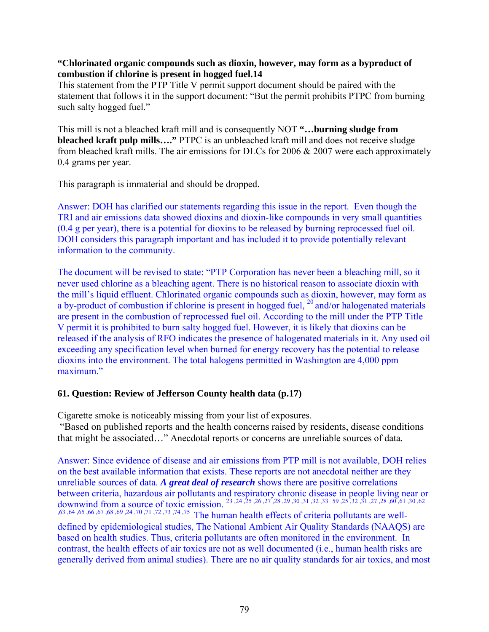#### **"Chlorinated organic compounds such as dioxin, however, may form as a byproduct of combustion if chlorine is present in hogged fuel.14**

This statement from the PTP Title V permit support document should be paired with the statement that follows it in the support document: "But the permit prohibits PTPC from burning such salty hogged fuel."

This mill is not a bleached kraft mill and is consequently NOT **"…burning sludge from bleached kraft pulp mills…."** PTPC is an unbleached kraft mill and does not receive sludge from bleached kraft mills. The air emissions for DLCs for  $2006 \& 2007$  were each approximately 0.4 grams per year.

This paragraph is immaterial and should be dropped.

Answer: DOH has clarified our statements regarding this issue in the report. Even though the TRI and air emissions data showed dioxins and dioxin-like compounds in very small quantities (0.4 g per year), there is a potential for dioxins to be released by burning reprocessed fuel oil. DOH considers this paragraph important and has included it to provide potentially relevant information to the community.

The document will be revised to state: "PTP Corporation has never been a bleaching mill, so it never used chlorine as a bleaching agent. There is no historical reason to associate dioxin with the mill's liquid effluent. Chlorinated organic compounds such as dioxin, however, may form as a by-product of combustion if chlorine is present in hogged fuel, <sup>20</sup> and/or halogenated materials are present in the combustion of reprocessed fuel oil. According to the mill under the PTP Title V permit it is prohibited to burn salty hogged fuel. However, it is likely that dioxins can be released if the analysis of RFO indicates the presence of halogenated materials in it. Any used oil exceeding any specification level when burned for energy recovery has the potential to release dioxins into the environment. The total halogens permitted in Washington are 4,000 ppm maximum."

# **61. Question: Review of Jefferson County health data (p.17)**

Cigarette smoke is noticeably missing from your list of exposures.

 "Based on published reports and the health concerns raised by residents, disease conditions that might be associated…" Anecdotal reports or concerns are unreliable sources of data.

Answer: Since evidence of disease and air emissions from PTP mill is not available, DOH relies on the best available information that exists. These reports are not anecdotal neither are they unreliable sources of data. *A great deal of research* shows there are positive correlations between criteria, hazardous air pollutants and respiratory chronic disease in people living near or downwind from a source of toxic emission. 23 ,24 ,25 ,26 ,27 ,28 ,29 ,30 ,31 ,32 ,33 59 ,25 ,32 ,31 ,27 ,28 ,60 ,61 ,30 ,62 ,63 ,64 ,65 ,66 ,67 ,68 ,69 ,24 ,70 ,71 ,72 ,73 ,74 ,75 The human health effects of criteria pollutants are welldefined by epidemiological studies, The National Ambient Air Quality Standards (NAAQS) are based on health studies. Thus, criteria pollutants are often monitored in the environment. In contrast, the health effects of air toxics are not as well documented (i.e., human health risks are generally derived from animal studies). There are no air quality standards for air toxics, and most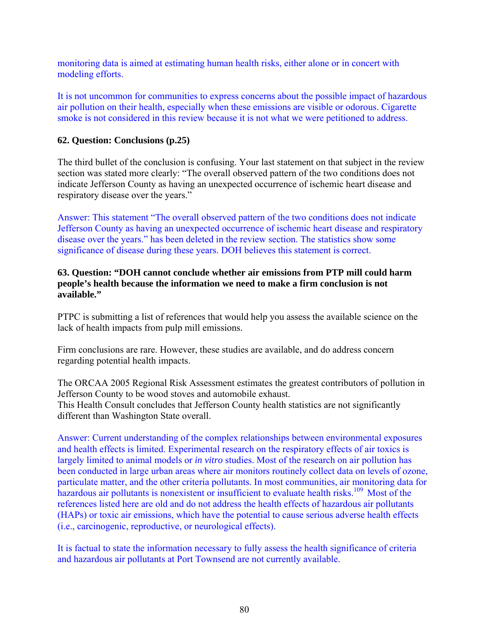monitoring data is aimed at estimating human health risks, either alone or in concert with modeling efforts.

It is not uncommon for communities to express concerns about the possible impact of hazardous air pollution on their health, especially when these emissions are visible or odorous. Cigarette smoke is not considered in this review because it is not what we were petitioned to address.

#### **62. Question: Conclusions (p.25)**

The third bullet of the conclusion is confusing. Your last statement on that subject in the review section was stated more clearly: "The overall observed pattern of the two conditions does not indicate Jefferson County as having an unexpected occurrence of ischemic heart disease and respiratory disease over the years."

Answer: This statement "The overall observed pattern of the two conditions does not indicate Jefferson County as having an unexpected occurrence of ischemic heart disease and respiratory disease over the years." has been deleted in the review section. The statistics show some significance of disease during these years. DOH believes this statement is correct.

#### **63. Question: "DOH cannot conclude whether air emissions from PTP mill could harm people's health because the information we need to make a firm conclusion is not available."**

PTPC is submitting a list of references that would help you assess the available science on the lack of health impacts from pulp mill emissions.

Firm conclusions are rare. However, these studies are available, and do address concern regarding potential health impacts.

The ORCAA 2005 Regional Risk Assessment estimates the greatest contributors of pollution in Jefferson County to be wood stoves and automobile exhaust. This Health Consult concludes that Jefferson County health statistics are not significantly different than Washington State overall.

Answer: Current understanding of the complex relationships between environmental exposures and health effects is limited. Experimental research on the respiratory effects of air toxics is largely limited to animal models or *in vitro* studies. Most of the research on air pollution has been conducted in large urban areas where air monitors routinely collect data on levels of ozone, particulate matter, and the other criteria pollutants. In most communities, air monitoring data for hazardous air pollutants is nonexistent or insufficient to evaluate health risks.<sup>109</sup> Most of the references listed here are old and do not address the health effects of hazardous air pollutants (HAPs) or toxic air emissions, which have the potential to cause serious adverse health effects (i.e., carcinogenic, reproductive, or neurological effects).

It is factual to state the information necessary to fully assess the health significance of criteria and hazardous air pollutants at Port Townsend are not currently available.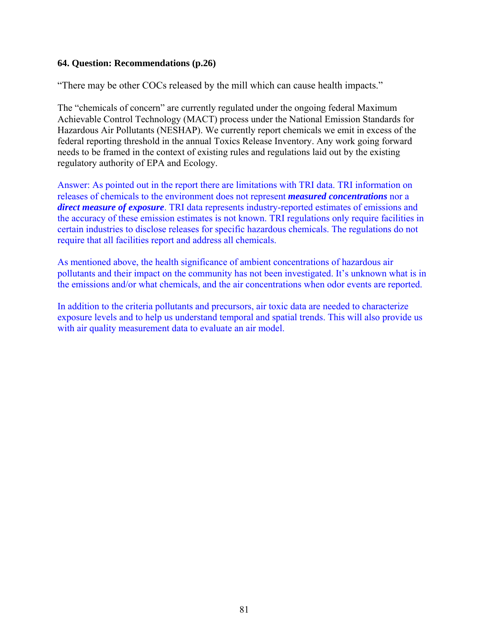#### **64. Question: Recommendations (p.26)**

"There may be other COCs released by the mill which can cause health impacts."

The "chemicals of concern" are currently regulated under the ongoing federal Maximum Achievable Control Technology (MACT) process under the National Emission Standards for Hazardous Air Pollutants (NESHAP). We currently report chemicals we emit in excess of the federal reporting threshold in the annual Toxics Release Inventory. Any work going forward needs to be framed in the context of existing rules and regulations laid out by the existing regulatory authority of EPA and Ecology.

Answer: As pointed out in the report there are limitations with TRI data. TRI information on releases of chemicals to the environment does not represent *measured concentrations* nor a *direct measure of exposure*. TRI data represents industry-reported estimates of emissions and the accuracy of these emission estimates is not known. TRI regulations only require facilities in certain industries to disclose releases for specific hazardous chemicals. The regulations do not require that all facilities report and address all chemicals.

As mentioned above, the health significance of ambient concentrations of hazardous air pollutants and their impact on the community has not been investigated. It's unknown what is in the emissions and/or what chemicals, and the air concentrations when odor events are reported.

In addition to the criteria pollutants and precursors, air toxic data are needed to characterize exposure levels and to help us understand temporal and spatial trends. This will also provide us with air quality measurement data to evaluate an air model.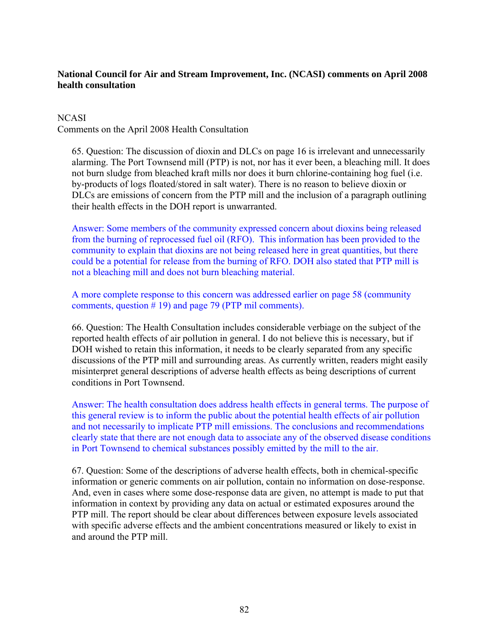# **National Council for Air and Stream Improvement, Inc. (NCASI) comments on April 2008 health consultation**

## **NCASI**

Comments on the April 2008 Health Consultation

65. Question: The discussion of dioxin and DLCs on page 16 is irrelevant and unnecessarily alarming. The Port Townsend mill (PTP) is not, nor has it ever been, a bleaching mill. It does not burn sludge from bleached kraft mills nor does it burn chlorine-containing hog fuel (i.e. by-products of logs floated/stored in salt water). There is no reason to believe dioxin or DLCs are emissions of concern from the PTP mill and the inclusion of a paragraph outlining their health effects in the DOH report is unwarranted.

Answer: Some members of the community expressed concern about dioxins being released from the burning of reprocessed fuel oil (RFO). This information has been provided to the community to explain that dioxins are not being released here in great quantities, but there could be a potential for release from the burning of RFO. DOH also stated that PTP mill is not a bleaching mill and does not burn bleaching material.

A more complete response to this concern was addressed earlier on page 58 (community comments, question # 19) and page 79 (PTP mil comments).

66. Question: The Health Consultation includes considerable verbiage on the subject of the reported health effects of air pollution in general. I do not believe this is necessary, but if DOH wished to retain this information, it needs to be clearly separated from any specific discussions of the PTP mill and surrounding areas. As currently written, readers might easily misinterpret general descriptions of adverse health effects as being descriptions of current conditions in Port Townsend.

Answer: The health consultation does address health effects in general terms. The purpose of this general review is to inform the public about the potential health effects of air pollution and not necessarily to implicate PTP mill emissions. The conclusions and recommendations clearly state that there are not enough data to associate any of the observed disease conditions in Port Townsend to chemical substances possibly emitted by the mill to the air.

67. Question: Some of the descriptions of adverse health effects, both in chemical-specific information or generic comments on air pollution, contain no information on dose-response. And, even in cases where some dose-response data are given, no attempt is made to put that information in context by providing any data on actual or estimated exposures around the PTP mill. The report should be clear about differences between exposure levels associated with specific adverse effects and the ambient concentrations measured or likely to exist in and around the PTP mill.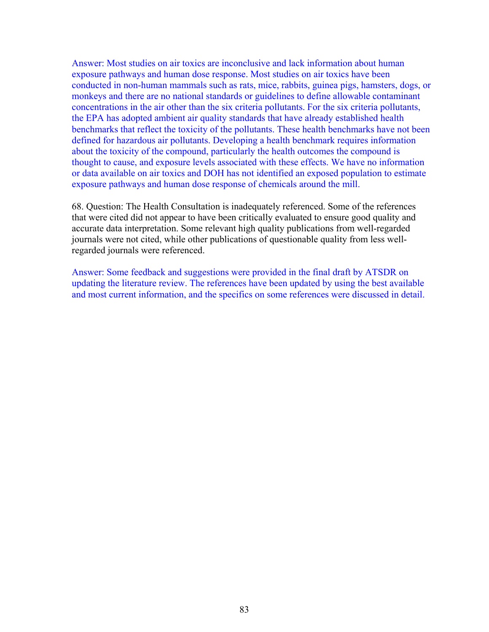Answer: Most studies on air toxics are inconclusive and lack information about human exposure pathways and human dose response. Most studies on air toxics have been conducted in non-human mammals such as rats, mice, rabbits, guinea pigs, hamsters, dogs, or monkeys and there are no national standards or guidelines to define allowable contaminant concentrations in the air other than the six criteria pollutants. For the six criteria pollutants, the EPA has adopted ambient air quality standards that have already established health benchmarks that reflect the toxicity of the pollutants. These health benchmarks have not been defined for hazardous air pollutants. Developing a health benchmark requires information about the toxicity of the compound, particularly the health outcomes the compound is thought to cause, and exposure levels associated with these effects. We have no information or data available on air toxics and DOH has not identified an exposed population to estimate exposure pathways and human dose response of chemicals around the mill.

68. Question: The Health Consultation is inadequately referenced. Some of the references that were cited did not appear to have been critically evaluated to ensure good quality and accurate data interpretation. Some relevant high quality publications from well-regarded journals were not cited, while other publications of questionable quality from less wellregarded journals were referenced.

Answer: Some feedback and suggestions were provided in the final draft by ATSDR on updating the literature review. The references have been updated by using the best available and most current information, and the specifics on some references were discussed in detail.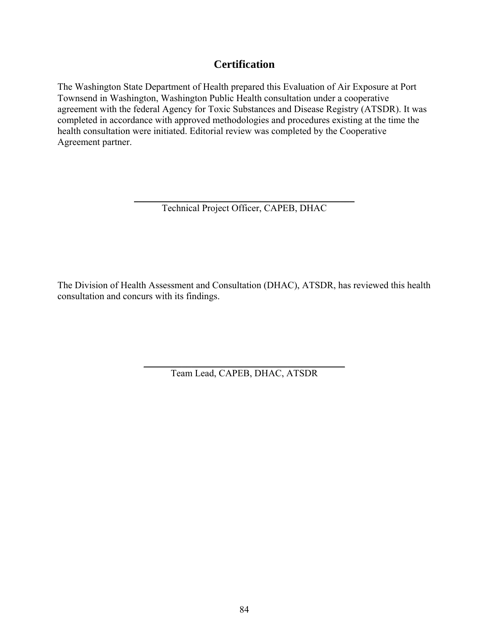# **Certification**

The Washington State Department of Health prepared this Evaluation of Air Exposure at Port Townsend in Washington, Washington Public Health consultation under a cooperative agreement with the federal Agency for Toxic Substances and Disease Registry (ATSDR). It was completed in accordance with approved methodologies and procedures existing at the time the health consultation were initiated. Editorial review was completed by the Cooperative Agreement partner.

> \_\_\_\_\_\_\_\_\_\_\_\_\_\_\_\_\_\_\_\_\_\_\_\_\_\_\_\_\_\_\_\_\_\_\_\_\_\_\_\_\_\_\_\_\_\_ Technical Project Officer, CAPEB, DHAC

The Division of Health Assessment and Consultation (DHAC), ATSDR, has reviewed this health consultation and concurs with its findings.

> \_\_\_\_\_\_\_\_\_\_\_\_\_\_\_\_\_\_\_\_\_\_\_\_\_\_\_\_\_\_\_\_\_\_\_\_\_\_\_\_\_\_ Team Lead, CAPEB, DHAC, ATSDR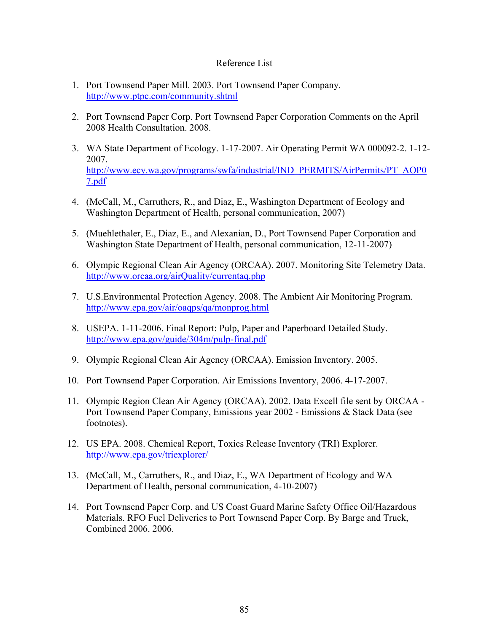#### Reference List

- 1. Port Townsend Paper Mill. 2003. Port Townsend Paper Company. <http://www.ptpc.com/community.shtml>
- 2. Port Townsend Paper Corp. Port Townsend Paper Corporation Comments on the April 2008 Health Consultation. 2008.
- 3. WA State Department of Ecology. 1-17-2007. Air Operating Permit WA 000092-2. 1-12- 2007. [http://www.ecy.wa.gov/programs/swfa/industrial/IND\\_PERMITS/AirPermits/PT\\_AOP0](http://www.ecy.wa.gov/programs/swfa/industrial/IND_PERMITS/AirPermits/PT_AOP07.pdf) [7.pdf](http://www.ecy.wa.gov/programs/swfa/industrial/IND_PERMITS/AirPermits/PT_AOP07.pdf)
- 4. (McCall, M., Carruthers, R., and Diaz, E., Washington Department of Ecology and Washington Department of Health, personal communication, 2007)
- 5. (Muehlethaler, E., Diaz, E., and Alexanian, D., Port Townsend Paper Corporation and Washington State Department of Health, personal communication, 12-11-2007)
- 6. Olympic Regional Clean Air Agency (ORCAA). 2007. Monitoring Site Telemetry Data. <http://www.orcaa.org/airQuality/currentaq.php>
- 7. U.S.Environmental Protection Agency. 2008. The Ambient Air Monitoring Program. <http://www.epa.gov/air/oaqps/qa/monprog.html>
- 8. USEPA. 1-11-2006. Final Report: Pulp, Paper and Paperboard Detailed Study. <http://www.epa.gov/guide/304m/pulp-final.pdf>
- 9. Olympic Regional Clean Air Agency (ORCAA). Emission Inventory. 2005.
- 10. Port Townsend Paper Corporation. Air Emissions Inventory, 2006. 4-17-2007.
- 11. Olympic Region Clean Air Agency (ORCAA). 2002. Data Excell file sent by ORCAA Port Townsend Paper Company, Emissions year 2002 - Emissions & Stack Data (see footnotes).
- 12. US EPA. 2008. Chemical Report, Toxics Release Inventory (TRI) Explorer. <http://www.epa.gov/triexplorer/>
- 13. (McCall, M., Carruthers, R., and Diaz, E., WA Department of Ecology and WA Department of Health, personal communication, 4-10-2007)
- 14. Port Townsend Paper Corp. and US Coast Guard Marine Safety Office Oil/Hazardous Materials. RFO Fuel Deliveries to Port Townsend Paper Corp. By Barge and Truck, Combined 2006. 2006.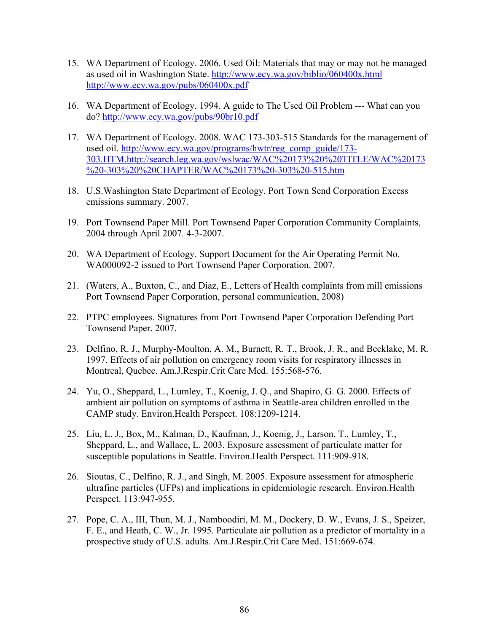- 15. WA Department of Ecology. 2006. Used Oil: Materials that may or may not be managed as used oil in Washington State.<http://www.ecy.wa.gov/biblio/060400x.html> <http://www.ecy.wa.gov/pubs/060400x.pdf>
- 16. WA Department of Ecology. 1994. A guide to The Used Oil Problem --- What can you do?<http://www.ecy.wa.gov/pubs/90br10.pdf>
- 17. WA Department of Ecology. 2008. WAC 173-303-515 Standards for the management of used oil. [http://www.ecy.wa.gov/programs/hwtr/reg\\_comp\\_guide/173-](http://www.ecy.wa.gov/programs/hwtr/reg_comp_guide/173-303.HTM.http://search.leg.wa.gov/wslwac/WAC%20173%20%20TITLE/WAC%20173%20-303%20%20CHAPTER/WAC%20173%20-303%20-515.htm) [303.HTM.http://search.leg.wa.gov/wslwac/WAC%20173%20%20TITLE/WAC%20173](http://www.ecy.wa.gov/programs/hwtr/reg_comp_guide/173-303.HTM.http://search.leg.wa.gov/wslwac/WAC%20173%20%20TITLE/WAC%20173%20-303%20%20CHAPTER/WAC%20173%20-303%20-515.htm) [%20-303%20%20CHAPTER/WAC%20173%20-303%20-515.htm](http://www.ecy.wa.gov/programs/hwtr/reg_comp_guide/173-303.HTM.http://search.leg.wa.gov/wslwac/WAC%20173%20%20TITLE/WAC%20173%20-303%20%20CHAPTER/WAC%20173%20-303%20-515.htm)
- 18. U.S.Washington State Department of Ecology. Port Town Send Corporation Excess emissions summary. 2007.
- 19. Port Townsend Paper Mill. Port Townsend Paper Corporation Community Complaints, 2004 through April 2007. 4-3-2007.
- 20. WA Department of Ecology. Support Document for the Air Operating Permit No. WA000092-2 issued to Port Townsend Paper Corporation. 2007.
- 21. (Waters, A., Buxton, C., and Diaz, E., Letters of Health complaints from mill emissions Port Townsend Paper Corporation, personal communication, 2008)
- 22. PTPC employees. Signatures from Port Townsend Paper Corporation Defending Port Townsend Paper. 2007.
- 23. Delfino, R. J., Murphy-Moulton, A. M., Burnett, R. T., Brook, J. R., and Becklake, M. R. 1997. Effects of air pollution on emergency room visits for respiratory illnesses in Montreal, Quebec. Am.J.Respir.Crit Care Med. 155:568-576.
- 24. Yu, O., Sheppard, L., Lumley, T., Koenig, J. Q., and Shapiro, G. G. 2000. Effects of ambient air pollution on symptoms of asthma in Seattle-area children enrolled in the CAMP study. Environ.Health Perspect. 108:1209-1214.
- 25. Liu, L. J., Box, M., Kalman, D., Kaufman, J., Koenig, J., Larson, T., Lumley, T., Sheppard, L., and Wallace, L. 2003. Exposure assessment of particulate matter for susceptible populations in Seattle. Environ.Health Perspect. 111:909-918.
- 26. Sioutas, C., Delfino, R. J., and Singh, M. 2005. Exposure assessment for atmospheric ultrafine particles (UFPs) and implications in epidemiologic research. Environ.Health Perspect. 113:947-955.
- 27. Pope, C. A., III, Thun, M. J., Namboodiri, M. M., Dockery, D. W., Evans, J. S., Speizer, F. E., and Heath, C. W., Jr. 1995. Particulate air pollution as a predictor of mortality in a prospective study of U.S. adults. Am.J.Respir.Crit Care Med. 151:669-674.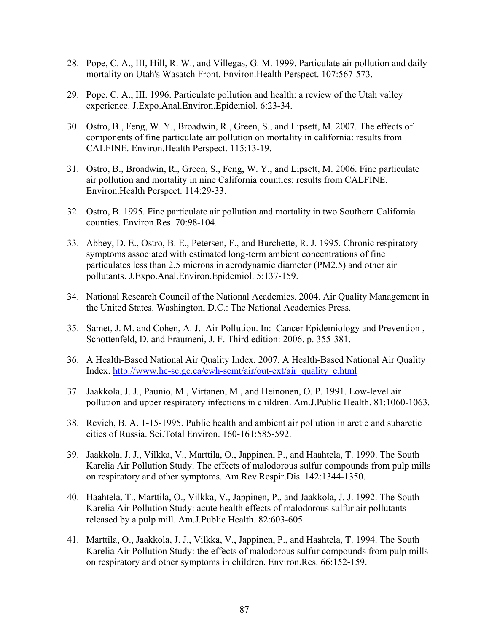- 28. Pope, C. A., III, Hill, R. W., and Villegas, G. M. 1999. Particulate air pollution and daily mortality on Utah's Wasatch Front. Environ.Health Perspect. 107:567-573.
- 29. Pope, C. A., III. 1996. Particulate pollution and health: a review of the Utah valley experience. J.Expo.Anal.Environ.Epidemiol. 6:23-34.
- 30. Ostro, B., Feng, W. Y., Broadwin, R., Green, S., and Lipsett, M. 2007. The effects of components of fine particulate air pollution on mortality in california: results from CALFINE. Environ.Health Perspect. 115:13-19.
- 31. Ostro, B., Broadwin, R., Green, S., Feng, W. Y., and Lipsett, M. 2006. Fine particulate air pollution and mortality in nine California counties: results from CALFINE. Environ.Health Perspect. 114:29-33.
- 32. Ostro, B. 1995. Fine particulate air pollution and mortality in two Southern California counties. Environ.Res. 70:98-104.
- 33. Abbey, D. E., Ostro, B. E., Petersen, F., and Burchette, R. J. 1995. Chronic respiratory symptoms associated with estimated long-term ambient concentrations of fine particulates less than 2.5 microns in aerodynamic diameter (PM2.5) and other air pollutants. J.Expo.Anal.Environ.Epidemiol. 5:137-159.
- 34. National Research Council of the National Academies. 2004. Air Quality Management in the United States. Washington, D.C.: The National Academies Press.
- 35. Samet, J. M. and Cohen, A. J. Air Pollution. In: Cancer Epidemiology and Prevention , Schottenfeld, D. and Fraumeni, J. F. Third edition: 2006. p. 355-381.
- 36. A Health-Based National Air Quality Index. 2007. A Health-Based National Air Quality Index. [http://www.hc-sc.gc.ca/ewh-semt/air/out-ext/air\\_quality\\_e.html](http://www.hc-sc.gc.ca/ewh-semt/air/out-ext/air_quality_e.html)
- 37. Jaakkola, J. J., Paunio, M., Virtanen, M., and Heinonen, O. P. 1991. Low-level air pollution and upper respiratory infections in children. Am.J.Public Health. 81:1060-1063.
- 38. Revich, B. A. 1-15-1995. Public health and ambient air pollution in arctic and subarctic cities of Russia. Sci.Total Environ. 160-161:585-592.
- 39. Jaakkola, J. J., Vilkka, V., Marttila, O., Jappinen, P., and Haahtela, T. 1990. The South Karelia Air Pollution Study. The effects of malodorous sulfur compounds from pulp mills on respiratory and other symptoms. Am.Rev.Respir.Dis. 142:1344-1350.
- 40. Haahtela, T., Marttila, O., Vilkka, V., Jappinen, P., and Jaakkola, J. J. 1992. The South Karelia Air Pollution Study: acute health effects of malodorous sulfur air pollutants released by a pulp mill. Am.J.Public Health. 82:603-605.
- 41. Marttila, O., Jaakkola, J. J., Vilkka, V., Jappinen, P., and Haahtela, T. 1994. The South Karelia Air Pollution Study: the effects of malodorous sulfur compounds from pulp mills on respiratory and other symptoms in children. Environ.Res. 66:152-159.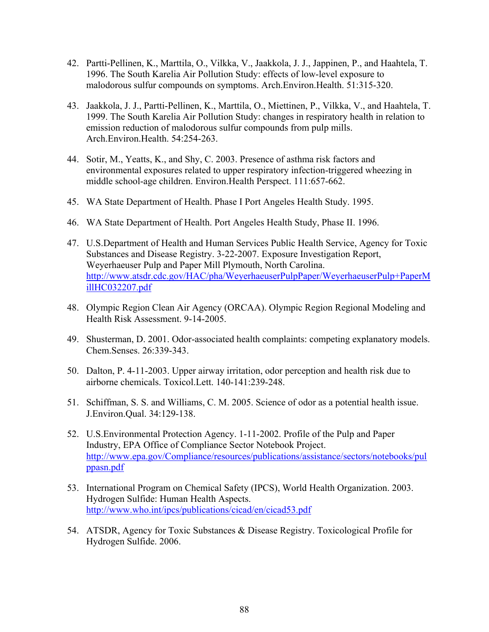- 42. Partti-Pellinen, K., Marttila, O., Vilkka, V., Jaakkola, J. J., Jappinen, P., and Haahtela, T. 1996. The South Karelia Air Pollution Study: effects of low-level exposure to malodorous sulfur compounds on symptoms. Arch.Environ.Health. 51:315-320.
- 43. Jaakkola, J. J., Partti-Pellinen, K., Marttila, O., Miettinen, P., Vilkka, V., and Haahtela, T. 1999. The South Karelia Air Pollution Study: changes in respiratory health in relation to emission reduction of malodorous sulfur compounds from pulp mills. Arch.Environ.Health. 54:254-263.
- 44. Sotir, M., Yeatts, K., and Shy, C. 2003. Presence of asthma risk factors and environmental exposures related to upper respiratory infection-triggered wheezing in middle school-age children. Environ.Health Perspect. 111:657-662.
- 45. WA State Department of Health. Phase I Port Angeles Health Study. 1995.
- 46. WA State Department of Health. Port Angeles Health Study, Phase II. 1996.
- 47. U.S.Department of Health and Human Services Public Health Service, Agency for Toxic Substances and Disease Registry. 3-22-2007. Exposure Investigation Report, Weyerhaeuser Pulp and Paper Mill Plymouth, North Carolina. [http://www.atsdr.cdc.gov/HAC/pha/WeyerhaeuserPulpPaper/WeyerhaeuserPulp+PaperM](http://www.atsdr.cdc.gov/HAC/pha/WeyerhaeuserPulpPaper/WeyerhaeuserPulp+PaperMillHC032207.pdf) [illHC032207.pdf](http://www.atsdr.cdc.gov/HAC/pha/WeyerhaeuserPulpPaper/WeyerhaeuserPulp+PaperMillHC032207.pdf)
- 48. Olympic Region Clean Air Agency (ORCAA). Olympic Region Regional Modeling and Health Risk Assessment. 9-14-2005.
- 49. Shusterman, D. 2001. Odor-associated health complaints: competing explanatory models. Chem.Senses. 26:339-343.
- 50. Dalton, P. 4-11-2003. Upper airway irritation, odor perception and health risk due to airborne chemicals. Toxicol.Lett. 140-141:239-248.
- 51. Schiffman, S. S. and Williams, C. M. 2005. Science of odor as a potential health issue. J.Environ.Qual. 34:129-138.
- 52. U.S.Environmental Protection Agency. 1-11-2002. Profile of the Pulp and Paper Industry, EPA Office of Compliance Sector Notebook Project. [http://www.epa.gov/Compliance/resources/publications/assistance/sectors/notebooks/pul](http://www.epa.gov/Compliance/resources/publications/assistance/sectors/notebooks/pulppasn.pdf) [ppasn.pdf](http://www.epa.gov/Compliance/resources/publications/assistance/sectors/notebooks/pulppasn.pdf)
- 53. International Program on Chemical Safety (IPCS), World Health Organization. 2003. Hydrogen Sulfide: Human Health Aspects. http://www.who.int/ipcs/publications/cicad/en/cicad53.pdf
- 54. ATSDR, Agency for Toxic Substances & Disease Registry. Toxicological Profile for Hydrogen Sulfide. 2006.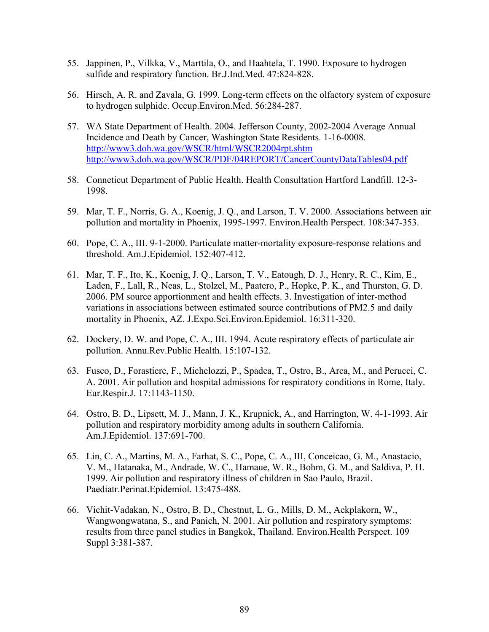- 55. Jappinen, P., Vilkka, V., Marttila, O., and Haahtela, T. 1990. Exposure to hydrogen sulfide and respiratory function. Br.J.Ind.Med. 47:824-828.
- 56. Hirsch, A. R. and Zavala, G. 1999. Long-term effects on the olfactory system of exposure to hydrogen sulphide. Occup.Environ.Med. 56:284-287.
- 57. WA State Department of Health. 2004. Jefferson County, 2002-2004 Average Annual Incidence and Death by Cancer, Washington State Residents. 1-16-0008. <http://www3.doh.wa.gov/WSCR/html/WSCR2004rpt.shtm> <http://www3.doh.wa.gov/WSCR/PDF/04REPORT/CancerCountyDataTables04.pdf>
- 58. Conneticut Department of Public Health. Health Consultation Hartford Landfill. 12-3- 1998.
- 59. Mar, T. F., Norris, G. A., Koenig, J. Q., and Larson, T. V. 2000. Associations between air pollution and mortality in Phoenix, 1995-1997. Environ.Health Perspect. 108:347-353.
- 60. Pope, C. A., III. 9-1-2000. Particulate matter-mortality exposure-response relations and threshold. Am.J.Epidemiol. 152:407-412.
- 61. Mar, T. F., Ito, K., Koenig, J. Q., Larson, T. V., Eatough, D. J., Henry, R. C., Kim, E., Laden, F., Lall, R., Neas, L., Stolzel, M., Paatero, P., Hopke, P. K., and Thurston, G. D. 2006. PM source apportionment and health effects. 3. Investigation of inter-method variations in associations between estimated source contributions of PM2.5 and daily mortality in Phoenix, AZ. J.Expo.Sci.Environ.Epidemiol. 16:311-320.
- 62. Dockery, D. W. and Pope, C. A., III. 1994. Acute respiratory effects of particulate air pollution. Annu.Rev.Public Health. 15:107-132.
- 63. Fusco, D., Forastiere, F., Michelozzi, P., Spadea, T., Ostro, B., Arca, M., and Perucci, C. A. 2001. Air pollution and hospital admissions for respiratory conditions in Rome, Italy. Eur.Respir.J. 17:1143-1150.
- 64. Ostro, B. D., Lipsett, M. J., Mann, J. K., Krupnick, A., and Harrington, W. 4-1-1993. Air pollution and respiratory morbidity among adults in southern California. Am.J.Epidemiol. 137:691-700.
- 65. Lin, C. A., Martins, M. A., Farhat, S. C., Pope, C. A., III, Conceicao, G. M., Anastacio, V. M., Hatanaka, M., Andrade, W. C., Hamaue, W. R., Bohm, G. M., and Saldiva, P. H. 1999. Air pollution and respiratory illness of children in Sao Paulo, Brazil. Paediatr.Perinat.Epidemiol. 13:475-488.
- 66. Vichit-Vadakan, N., Ostro, B. D., Chestnut, L. G., Mills, D. M., Aekplakorn, W., Wangwongwatana, S., and Panich, N. 2001. Air pollution and respiratory symptoms: results from three panel studies in Bangkok, Thailand. Environ.Health Perspect. 109 Suppl 3:381-387.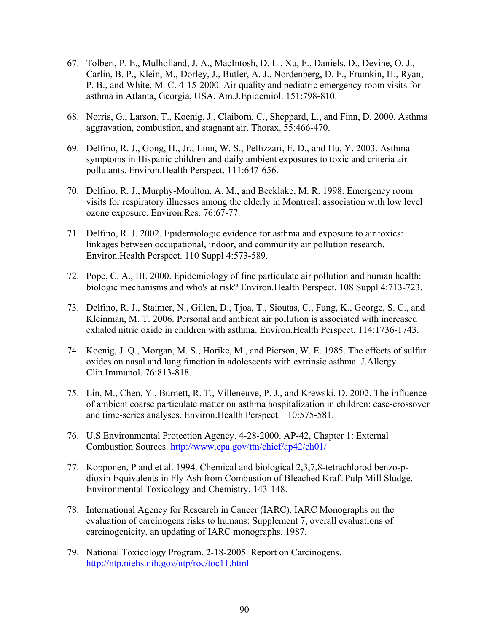- 67. Tolbert, P. E., Mulholland, J. A., MacIntosh, D. L., Xu, F., Daniels, D., Devine, O. J., Carlin, B. P., Klein, M., Dorley, J., Butler, A. J., Nordenberg, D. F., Frumkin, H., Ryan, P. B., and White, M. C. 4-15-2000. Air quality and pediatric emergency room visits for asthma in Atlanta, Georgia, USA. Am.J.Epidemiol. 151:798-810.
- 68. Norris, G., Larson, T., Koenig, J., Claiborn, C., Sheppard, L., and Finn, D. 2000. Asthma aggravation, combustion, and stagnant air. Thorax. 55:466-470.
- 69. Delfino, R. J., Gong, H., Jr., Linn, W. S., Pellizzari, E. D., and Hu, Y. 2003. Asthma symptoms in Hispanic children and daily ambient exposures to toxic and criteria air pollutants. Environ.Health Perspect. 111:647-656.
- 70. Delfino, R. J., Murphy-Moulton, A. M., and Becklake, M. R. 1998. Emergency room visits for respiratory illnesses among the elderly in Montreal: association with low level ozone exposure. Environ.Res. 76:67-77.
- 71. Delfino, R. J. 2002. Epidemiologic evidence for asthma and exposure to air toxics: linkages between occupational, indoor, and community air pollution research. Environ.Health Perspect. 110 Suppl 4:573-589.
- 72. Pope, C. A., III. 2000. Epidemiology of fine particulate air pollution and human health: biologic mechanisms and who's at risk? Environ.Health Perspect. 108 Suppl 4:713-723.
- 73. Delfino, R. J., Staimer, N., Gillen, D., Tjoa, T., Sioutas, C., Fung, K., George, S. C., and Kleinman, M. T. 2006. Personal and ambient air pollution is associated with increased exhaled nitric oxide in children with asthma. Environ.Health Perspect. 114:1736-1743.
- 74. Koenig, J. Q., Morgan, M. S., Horike, M., and Pierson, W. E. 1985. The effects of sulfur oxides on nasal and lung function in adolescents with extrinsic asthma. J.Allergy Clin.Immunol. 76:813-818.
- 75. Lin, M., Chen, Y., Burnett, R. T., Villeneuve, P. J., and Krewski, D. 2002. The influence of ambient coarse particulate matter on asthma hospitalization in children: case-crossover and time-series analyses. Environ.Health Perspect. 110:575-581.
- 76. U.S.Environmental Protection Agency. 4-28-2000. AP-42, Chapter 1: External Combustion Sources. <http://www.epa.gov/ttn/chief/ap42/ch01/>
- 77. Kopponen, P and et al. 1994. Chemical and biological 2,3,7,8-tetrachlorodibenzo-pdioxin Equivalents in Fly Ash from Combustion of Bleached Kraft Pulp Mill Sludge. Environmental Toxicology and Chemistry. 143-148.
- 78. International Agency for Research in Cancer (IARC). IARC Monographs on the evaluation of carcinogens risks to humans: Supplement 7, overall evaluations of carcinogenicity, an updating of IARC monographs. 1987.
- 79. National Toxicology Program. 2-18-2005. Report on Carcinogens. <http://ntp.niehs.nih.gov/ntp/roc/toc11.html>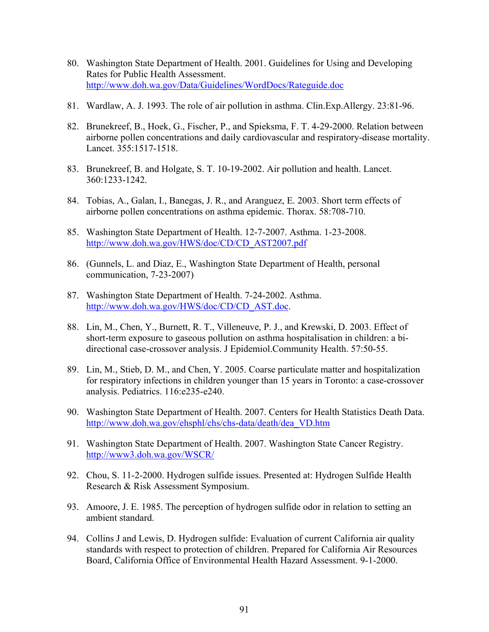- 80. Washington State Department of Health. 2001. Guidelines for Using and Developing Rates for Public Health Assessment. <http://www.doh.wa.gov/Data/Guidelines/WordDocs/Rateguide.doc>
- 81. Wardlaw, A. J. 1993. The role of air pollution in asthma. Clin.Exp.Allergy. 23:81-96.
- 82. Brunekreef, B., Hoek, G., Fischer, P., and Spieksma, F. T. 4-29-2000. Relation between airborne pollen concentrations and daily cardiovascular and respiratory-disease mortality. Lancet. 355:1517-1518.
- 83. Brunekreef, B. and Holgate, S. T. 10-19-2002. Air pollution and health. Lancet. 360:1233-1242.
- 84. Tobias, A., Galan, I., Banegas, J. R., and Aranguez, E. 2003. Short term effects of airborne pollen concentrations on asthma epidemic. Thorax. 58:708-710.
- 85. Washington State Department of Health. 12-7-2007. Asthma. 1-23-2008. [http://www.doh.wa.gov/HWS/doc/CD/CD\\_AST2007.pdf](http://www.doh.wa.gov/HWS/doc/CD/CD_AST2007.pdf)
- 86. (Gunnels, L. and Diaz, E., Washington State Department of Health, personal communication, 7-23-2007)
- 87. Washington State Department of Health. 7-24-2002. Asthma. [http://www.doh.wa.gov/HWS/doc/CD/CD\\_AST.doc](http://www.doh.wa.gov/HWS/doc/CD/CD_AST.doc).
- 88. Lin, M., Chen, Y., Burnett, R. T., Villeneuve, P. J., and Krewski, D. 2003. Effect of short-term exposure to gaseous pollution on asthma hospitalisation in children: a bidirectional case-crossover analysis. J Epidemiol.Community Health. 57:50-55.
- 89. Lin, M., Stieb, D. M., and Chen, Y. 2005. Coarse particulate matter and hospitalization for respiratory infections in children younger than 15 years in Toronto: a case-crossover analysis. Pediatrics. 116:e235-e240.
- 90. Washington State Department of Health. 2007. Centers for Health Statistics Death Data. [http://www.doh.wa.gov/ehsphl/chs/chs-data/death/dea\\_VD.htm](http://www.doh.wa.gov/ehsphl/chs/chs-data/death/dea_VD.htm)
- 91. Washington State Department of Health. 2007. Washington State Cancer Registry. <http://www3.doh.wa.gov/WSCR/>
- 92. Chou, S. 11-2-2000. Hydrogen sulfide issues. Presented at: Hydrogen Sulfide Health Research & Risk Assessment Symposium.
- 93. Amoore, J. E. 1985. The perception of hydrogen sulfide odor in relation to setting an ambient standard.
- 94. Collins J and Lewis, D. Hydrogen sulfide: Evaluation of current California air quality standards with respect to protection of children. Prepared for California Air Resources Board, California Office of Environmental Health Hazard Assessment. 9-1-2000.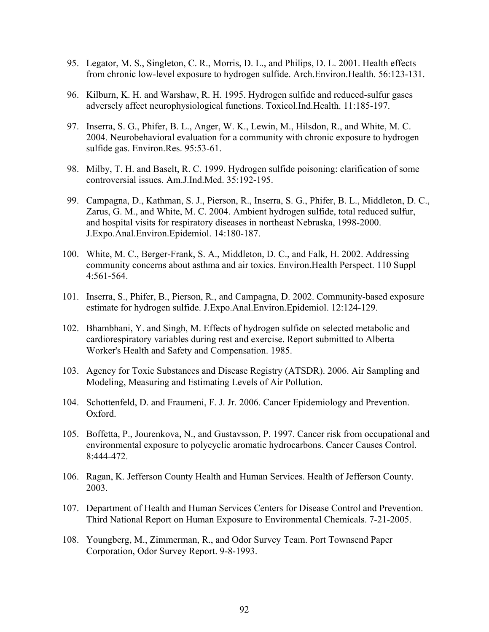- 95. Legator, M. S., Singleton, C. R., Morris, D. L., and Philips, D. L. 2001. Health effects from chronic low-level exposure to hydrogen sulfide. Arch.Environ.Health. 56:123-131.
- 96. Kilburn, K. H. and Warshaw, R. H. 1995. Hydrogen sulfide and reduced-sulfur gases adversely affect neurophysiological functions. Toxicol.Ind.Health. 11:185-197.
- 97. Inserra, S. G., Phifer, B. L., Anger, W. K., Lewin, M., Hilsdon, R., and White, M. C. 2004. Neurobehavioral evaluation for a community with chronic exposure to hydrogen sulfide gas. Environ.Res. 95:53-61.
- 98. Milby, T. H. and Baselt, R. C. 1999. Hydrogen sulfide poisoning: clarification of some controversial issues. Am.J.Ind.Med. 35:192-195.
- 99. Campagna, D., Kathman, S. J., Pierson, R., Inserra, S. G., Phifer, B. L., Middleton, D. C., Zarus, G. M., and White, M. C. 2004. Ambient hydrogen sulfide, total reduced sulfur, and hospital visits for respiratory diseases in northeast Nebraska, 1998-2000. J.Expo.Anal.Environ.Epidemiol. 14:180-187.
- 100. White, M. C., Berger-Frank, S. A., Middleton, D. C., and Falk, H. 2002. Addressing community concerns about asthma and air toxics. Environ.Health Perspect. 110 Suppl 4:561-564.
- 101. Inserra, S., Phifer, B., Pierson, R., and Campagna, D. 2002. Community-based exposure estimate for hydrogen sulfide. J.Expo.Anal.Environ.Epidemiol. 12:124-129.
- 102. Bhambhani, Y. and Singh, M. Effects of hydrogen sulfide on selected metabolic and cardiorespiratory variables during rest and exercise. Report submitted to Alberta Worker's Health and Safety and Compensation. 1985.
- 103. Agency for Toxic Substances and Disease Registry (ATSDR). 2006. Air Sampling and Modeling, Measuring and Estimating Levels of Air Pollution.
- 104. Schottenfeld, D. and Fraumeni, F. J. Jr. 2006. Cancer Epidemiology and Prevention. Oxford.
- 105. Boffetta, P., Jourenkova, N., and Gustavsson, P. 1997. Cancer risk from occupational and environmental exposure to polycyclic aromatic hydrocarbons. Cancer Causes Control. 8:444-472.
- 106. Ragan, K. Jefferson County Health and Human Services. Health of Jefferson County. 2003.
- 107. Department of Health and Human Services Centers for Disease Control and Prevention. Third National Report on Human Exposure to Environmental Chemicals. 7-21-2005.
- 108. Youngberg, M., Zimmerman, R., and Odor Survey Team. Port Townsend Paper Corporation, Odor Survey Report. 9-8-1993.